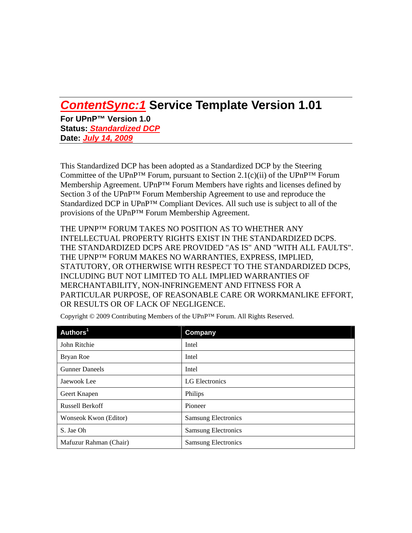# *ContentSync:1* **Service Template Version 1.01**

**For UPnP™ Version 1.0 Status:** *Standardized DCP* **Date:** *July 14, 2009*

This Standardized DCP has been adopted as a Standardized DCP by the Steering Committee of the UPnP<sup>™</sup> Forum, pursuant to Section 2.1(c)(ii) of the UPnP<sup>™</sup> Forum Membership Agreement. UPnP™ Forum Members have rights and licenses defined by Section 3 of the UPnP™ Forum Membership Agreement to use and reproduce the Standardized DCP in UPnP™ Compliant Devices. All such use is subject to all of the provisions of the UPnP™ Forum Membership Agreement.

THE UPNP™ FORUM TAKES NO POSITION AS TO WHETHER ANY INTELLECTUAL PROPERTY RIGHTS EXIST IN THE STANDARDIZED DCPS. THE STANDARDIZED DCPS ARE PROVIDED "AS IS" AND "WITH ALL FAULTS". THE UPNP™ FORUM MAKES NO WARRANTIES, EXPRESS, IMPLIED, STATUTORY, OR OTHERWISE WITH RESPECT TO THE STANDARDIZED DCPS, INCLUDING BUT NOT LIMITED TO ALL IMPLIED WARRANTIES OF MERCHANTABILITY, NON-INFRINGEMENT AND FITNESS FOR A PARTICULAR PURPOSE, OF REASONABLE CARE OR WORKMANLIKE EFFORT, OR RESULTS OR OF LACK OF NEGLIGENCE.

| Authors <sup>1</sup>   | <b>Company</b>             |
|------------------------|----------------------------|
| John Ritchie           | Intel                      |
| Bryan Roe              | Intel                      |
| <b>Gunner Daneels</b>  | Intel                      |
| Jaewook Lee            | LG Electronics             |
| Geert Knapen           | Philips                    |
| <b>Russell Berkoff</b> | Pioneer                    |
| Wonseok Kwon (Editor)  | <b>Samsung Electronics</b> |
| S. Jae Oh              | <b>Samsung Electronics</b> |
| Mafuzur Rahman (Chair) | <b>Samsung Electronics</b> |

Copyright © 2009 Contributing Members of the UPnP™ Forum. All Rights Reserved.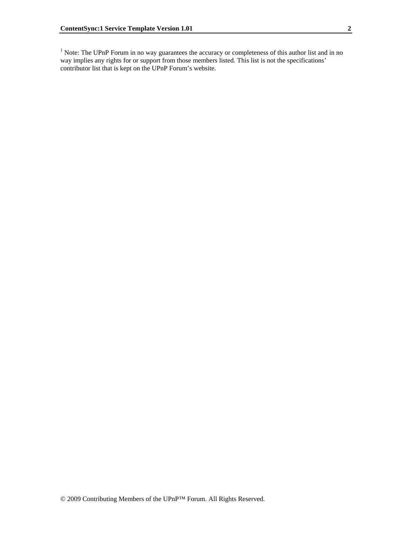<sup>1</sup> Note: The UPnP Forum in no way guarantees the accuracy or completeness of this author list and in no way implies any rights for or support from those members listed. This list is not the specifications' contributor list that is kept on the UPnP Forum's website.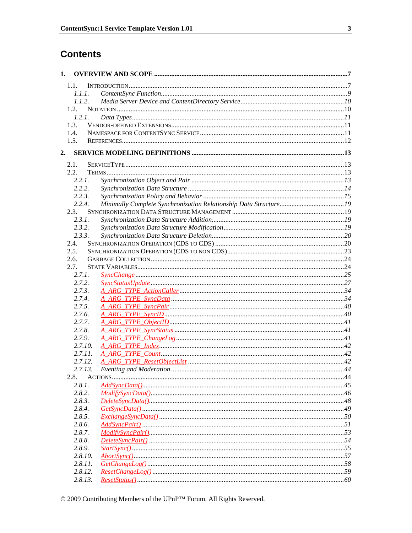# **Contents**

| 1. |         |  |
|----|---------|--|
|    | 1.1.    |  |
|    | 1.1.1.  |  |
|    | 1.1.2.  |  |
|    | 1.2.    |  |
|    | 1.2.1.  |  |
|    | 1.3.    |  |
|    | 1.4.    |  |
|    | 1.5.    |  |
| 2. |         |  |
|    | 2.1.    |  |
|    | 2.2.    |  |
|    | 2.2.1.  |  |
|    | 2.2.2.  |  |
|    | 2.2.3.  |  |
|    | 2.2.4.  |  |
|    | 2.3.    |  |
|    | 2.3.1.  |  |
|    | 2.3.2.  |  |
|    | 2.3.3.  |  |
|    | 2.4.    |  |
|    | 2.5.    |  |
|    | 2.6.    |  |
|    | 2.7.    |  |
|    | 2.7.1.  |  |
|    | 2.7.2.  |  |
|    | 2.7.3.  |  |
|    | 2.7.4.  |  |
|    | 2.7.5.  |  |
|    | 2.7.6.  |  |
|    | 2.7.7.  |  |
|    | 2.7.8.  |  |
|    | 2.7.9.  |  |
|    | 2.7.10. |  |
|    | 2.7.11. |  |
|    | 2.7.12. |  |
|    | 2.7.13. |  |
|    | 2.8.    |  |
|    | 2.8.1.  |  |
|    | 2.8.2.  |  |
|    | 2.8.3.  |  |
|    | 2.8.4.  |  |
|    | 2.8.5.  |  |
|    | 2.8.6.  |  |
|    | 2.8.7.  |  |
|    | 2.8.8.  |  |
|    | 2.8.9.  |  |
|    | 2.8.10. |  |
|    | 2.8.11. |  |
|    | 2.8.12. |  |
|    | 2.8.13. |  |
|    |         |  |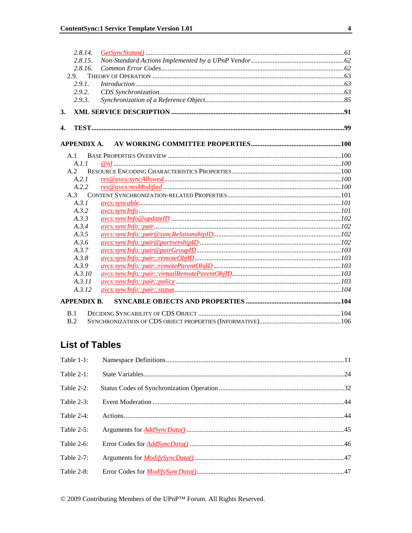| 2.8.14.                                         |  |
|-------------------------------------------------|--|
| 2.8.15.                                         |  |
| 2.8.16.                                         |  |
| 2.9.                                            |  |
| 2.9.1.                                          |  |
| 2.9.2.                                          |  |
| 2.9.3.                                          |  |
| 3.                                              |  |
| 4.                                              |  |
| APPENDIX A.                                     |  |
| A.1                                             |  |
| A.1.1                                           |  |
| A.2                                             |  |
| A.2.1                                           |  |
| A.2.2                                           |  |
| A.3                                             |  |
| A.3.1                                           |  |
| A.3.2                                           |  |
| A.3.3                                           |  |
| A.3.4                                           |  |
| A.3.5                                           |  |
| A.3.6                                           |  |
| A.3.7                                           |  |
| $avcs: synclnfo::pair::remoteObjID103$<br>A.3.8 |  |
| A.3.9                                           |  |
| A.3.10                                          |  |
| A.3.11                                          |  |
| A.3.12                                          |  |
| <b>APPENDIX B.</b>                              |  |
| B.1                                             |  |
| B.2                                             |  |

## **List of Tables**

| Table 1-1:    |  |
|---------------|--|
| Table $2-1$ : |  |
| Table 2-2:    |  |
| Table 2-3:    |  |
| Table 2-4:    |  |
| Table $2-5$ : |  |
| Table 2-6:    |  |
| Table 2-7:    |  |
| Table 2-8:    |  |

 $\odot$  2009 Contributing Members of the UPnP™ Forum. All Rights Reserved.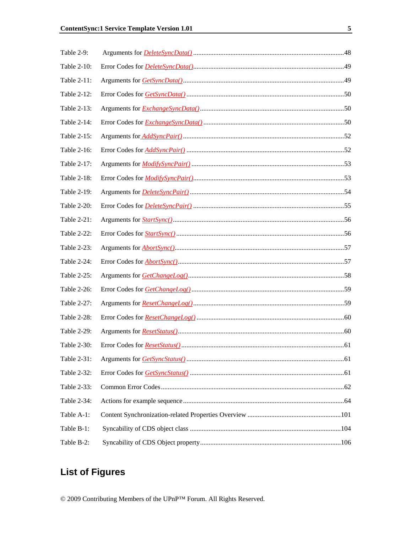| Table 2-9:  |  |
|-------------|--|
| Table 2-10: |  |
| Table 2-11: |  |
| Table 2-12: |  |
| Table 2-13: |  |
| Table 2-14: |  |
| Table 2-15: |  |
| Table 2-16: |  |
| Table 2-17: |  |
| Table 2-18: |  |
| Table 2-19: |  |
| Table 2-20: |  |
| Table 2-21: |  |
| Table 2-22: |  |
| Table 2-23: |  |
| Table 2-24: |  |
| Table 2-25: |  |
| Table 2-26: |  |
| Table 2-27: |  |
| Table 2-28: |  |
| Table 2-29: |  |
| Table 2-30: |  |
| Table 2-31: |  |
| Table 2-32: |  |
| Table 2-33: |  |
| Table 2-34: |  |
| Table A-1:  |  |
| Table B-1:  |  |
| Table B-2:  |  |

# **List of Figures**

 $\odot$  2009 Contributing Members of the UPnP™ Forum. All Rights Reserved.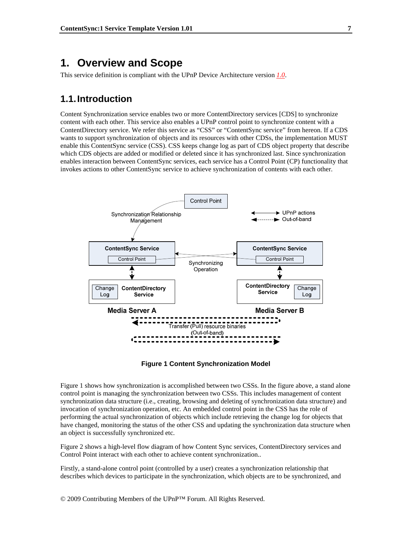## **1. Overview and Scope**

This service definition is compliant with the UPnP Device Architecture version *1.0*.

## **1.1. Introduction**

Content Synchronization service enables two or more ContentDirectory services [CDS] to synchronize content with each other. This service also enables a UPnP control point to synchronize content with a ContentDirectory service. We refer this service as "CSS" or "ContentSync service" from hereon. If a CDS wants to support synchronization of objects and its resources with other CDSs, the implementation MUST enable this ContentSync service (CSS). CSS keeps change log as part of CDS object property that describe which CDS objects are added or modified or deleted since it has synchronized last. Since synchronization enables interaction between ContentSync services, each service has a Control Point (CP) functionality that invokes actions to other ContentSync service to achieve synchronization of contents with each other.





Figure 1 shows how synchronization is accomplished between two CSSs. In the figure above, a stand alone control point is managing the synchronization between two CSSs. This includes management of content synchronization data structure (i.e., creating, browsing and deleting of synchronization data structure) and invocation of synchronization operation, etc. An embedded control point in the CSS has the role of performing the actual synchronization of objects which include retrieving the change log for objects that have changed, monitoring the status of the other CSS and updating the synchronization data structure when an object is successfully synchronized etc.

Figure 2 shows a high-level flow diagram of how Content Sync services, ContentDirectory services and Control Point interact with each other to achieve content synchronization..

Firstly, a stand-alone control point (controlled by a user) creates a synchronization relationship that describes which devices to participate in the synchronization, which objects are to be synchronized, and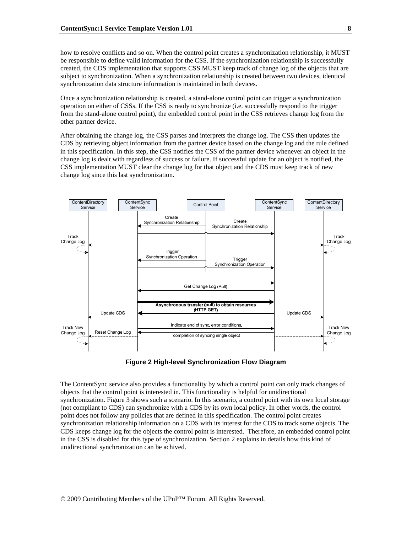how to resolve conflicts and so on. When the control point creates a synchronization relationship, it MUST be responsible to define valid information for the CSS. If the synchronization relationship is successfully created, the CDS implementation that supports CSS MUST keep track of change log of the objects that are subject to synchronization. When a synchronization relationship is created between two devices, identical synchronization data structure information is maintained in both devices.

Once a synchronization relationship is created, a stand-alone control point can trigger a synchronization operation on either of CSSs. If the CSS is ready to synchronize (i.e. successfully respond to the trigger from the stand-alone control point), the embedded control point in the CSS retrieves change log from the other partner device.

After obtaining the change log, the CSS parses and interprets the change log. The CSS then updates the CDS by retrieving object information from the partner device based on the change log and the rule defined in this specification. In this step, the CSS notifies the CSS of the partner device whenever an object in the change log is dealt with regardless of success or failure. If successful update for an object is notified, the CSS implementation MUST clear the change log for that object and the CDS must keep track of new change log since this last synchronization.



**Figure 2 High-level Synchronization Flow Diagram** 

The ContentSync service also provides a functionality by which a control point can only track changes of objects that the control point is interested in. This functionality is helpful for unidirectional synchronization. Figure 3 shows such a scenario. In this scenario, a control point with its own local storage (not compliant to CDS) can synchronize with a CDS by its own local policy. In other words, the control point does not follow any policies that are defined in this specification. The control point creates synchronization relationship information on a CDS with its interest for the CDS to track some objects. The CDS keeps change log for the objects the control point is interested. Therefore, an embedded control point in the CSS is disabled for this type of synchronization. Section 2 explains in details how this kind of unidirectional synchronization can be achived.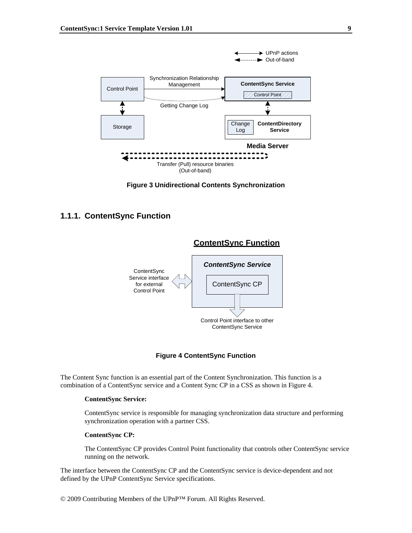

**Figure 3 Unidirectional Contents Synchronization** 

### **1.1.1. ContentSync Function**



### **Figure 4 ContentSync Function**

The Content Sync function is an essential part of the Content Synchronization. This function is a combination of a ContentSync service and a Content Sync CP in a CSS as shown in Figure 4.

### **ContentSync Service:**

ContentSync service is responsible for managing synchronization data structure and performing synchronization operation with a partner CSS.

### **ContentSync CP:**

The ContentSync CP provides Control Point functionality that controls other ContentSync service running on the network.

The interface between the ContentSync CP and the ContentSync service is device-dependent and not defined by the UPnP ContentSync Service specifications.

© 2009 Contributing Members of the UPnP™ Forum. All Rights Reserved.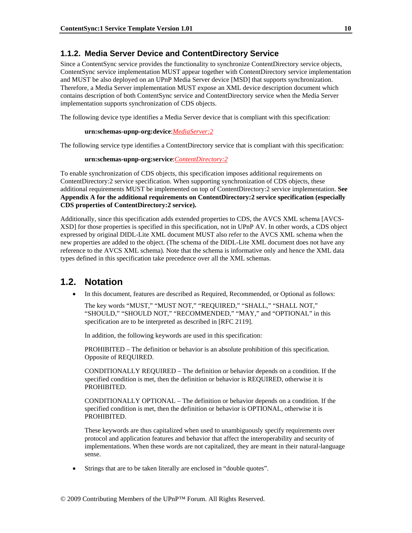### **1.1.2. Media Server Device and ContentDirectory Service**

Since a ContentSync service provides the functionality to synchronize ContentDirectory service objects, ContentSync service implementation MUST appear together with ContentDirectory service implementation and MUST be also deployed on an UPnP Media Server device [MSD] that supports synchronization. Therefore, a Media Server implementation MUST expose an XML device description document which contains description of both ContentSync service and ContentDirectory service when the Media Server implementation supports synchronization of CDS objects.

The following device type identifies a Media Server device that is compliant with this specification:

### **urn:schemas-upnp-org:device**:*MediaServer:2*

The following service type identifies a ContentDirectory service that is compliant with this specification:

### **urn:schemas-upnp-org:service**:*ContentDirectory:2*

To enable synchronization of CDS objects, this specification imposes additional requirements on ContentDirectory:2 service specification. When supporting synchronization of CDS objects, these additional requirements MUST be implemented on top of ContentDirectory:2 service implementation. **See Appendix A for the additional requirements on ContentDirectory:2 service specification (especially CDS properties of ContentDirectory:2 service).** 

Additionally, since this specification adds extended properties to CDS, the AVCS XML schema [AVCS-XSD] for those properties is specified in this specification, not in UPnP AV. In other words, a CDS object expressed by original DIDL-Lite XML document MUST also refer to the AVCS XML schema when the new properties are added to the object. (The schema of the DIDL-Lite XML document does not have any reference to the AVCS XML schema). Note that the schema is informative only and hence the XML data types defined in this specification take precedence over all the XML schemas.

## **1.2. Notation**

• In this document, features are described as Required, Recommended, or Optional as follows:

The key words "MUST," "MUST NOT," "REQUIRED," "SHALL," "SHALL NOT," "SHOULD," "SHOULD NOT," "RECOMMENDED," "MAY," and "OPTIONAL" in this specification are to be interpreted as described in [RFC 2119].

In addition, the following keywords are used in this specification:

PROHIBITED – The definition or behavior is an absolute prohibition of this specification. Opposite of REQUIRED.

CONDITIONALLY REQUIRED – The definition or behavior depends on a condition. If the specified condition is met, then the definition or behavior is REQUIRED, otherwise it is PROHIBITED.

CONDITIONALLY OPTIONAL – The definition or behavior depends on a condition. If the specified condition is met, then the definition or behavior is OPTIONAL, otherwise it is PROHIBITED.

These keywords are thus capitalized when used to unambiguously specify requirements over protocol and application features and behavior that affect the interoperability and security of implementations. When these words are not capitalized, they are meant in their natural-language sense.

Strings that are to be taken literally are enclosed in "double quotes".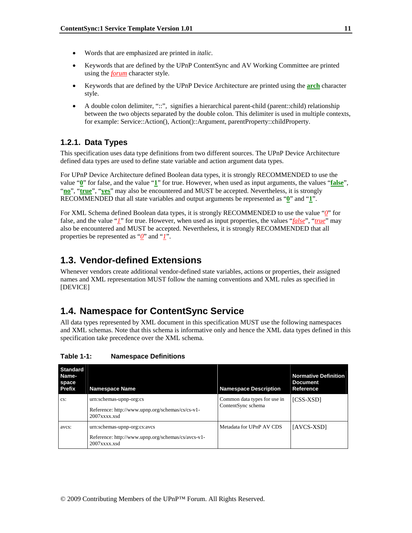- Words that are emphasized are printed in *italic*.
- Keywords that are defined by the UPnP ContentSync and AV Working Committee are printed using the *forum* character style.
- Keywords that are defined by the UPnP Device Architecture are printed using the **arch** character style.
- A double colon delimiter, "::", signifies a hierarchical parent-child (parent::child) relationship between the two objects separated by the double colon. This delimiter is used in multiple contexts, for example: Service::Action(), Action()::Argument, parentProperty::childProperty.

## **1.2.1. Data Types**

This specification uses data type definitions from two different sources. The UPnP Device Architecture defined data types are used to define state variable and action argument data types.

For UPnP Device Architecture defined Boolean data types, it is strongly RECOMMENDED to use the value "**0**" for false, and the value "**1**" for true. However, when used as input arguments, the values "**false**", "**no**", "**true**", "**yes**" may also be encountered and MUST be accepted. Nevertheless, it is strongly RECOMMENDED that all state variables and output arguments be represented as "**0**" and "**1**".

For XML Schema defined Boolean data types, it is strongly RECOMMENDED to use the value "*0*" for false, and the value "*1*" for true. However, when used as input properties, the values "*false*", "*true*" may also be encountered and MUST be accepted. Nevertheless, it is strongly RECOMMENDED that all properties be represented as "*0*" and "*1*".

## **1.3. Vendor-defined Extensions**

Whenever vendors create additional vendor-defined state variables, actions or properties, their assigned names and XML representation MUST follow the naming conventions and XML rules as specified in [DEVICE]

## **1.4. Namespace for ContentSync Service**

All data types represented by XML document in this specification MUST use the following namespaces and XML schemas. Note that this schema is informative only and hence the XML data types defined in this specification take precedence over the XML schema.

| <b>Standard</b><br>Name-<br>space<br>Prefix | <b>Namespace Name</b>                                                                                 | <b>Namespace Description</b>                       | <b>Normative Definition</b><br><b>Document</b><br>Reference |
|---------------------------------------------|-------------------------------------------------------------------------------------------------------|----------------------------------------------------|-------------------------------------------------------------|
| CS:                                         | urn:schemas-upnp-org:cs<br>Reference: http://www.upnp.org/schemas/cs/cs-v1-<br>$2007$ xxxx.xsd        | Common data types for use in<br>ContentSync schema | [CSS-XSD]                                                   |
| avcs:                                       | urn:schemas-upnp-org:cs:avcs<br>Reference: http://www.upnp.org/schemas/cs/avcs-v1-<br>$2007$ xxxx.xsd | Metadata for UPnP AV CDS                           | [AVCS-XSD]                                                  |

**Table 1-1: Namespace Definitions**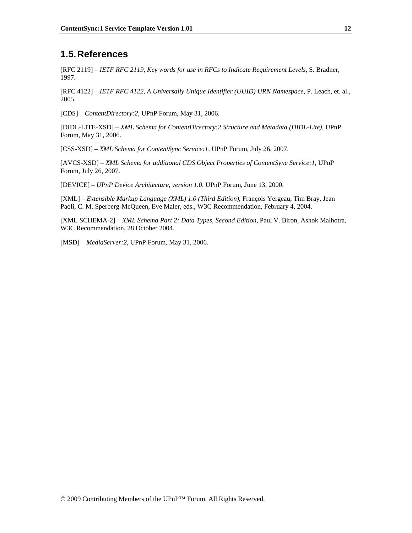## **1.5. References**

[RFC 2119] – *IETF RFC 2119*, *Key words for use in RFCs to Indicate Requirement Levels*, S. Bradner, 1997.

[RFC 4122] – *IETF RFC 4122, A Universally Unique Identifier (UUID) URN Namespace*, P. Leach, et. al., 2005.

[CDS] – *ContentDirectory:2*, UPnP Forum, May 31, 2006.

[DIDL-LITE-XSD] – *XML Schema for ContentDirectory:2 Structure and Metadata (DIDL-Lite)*, UPnP Forum, May 31, 2006.

[CSS-XSD] – *XML Schema for ContentSync Service:1*, UPnP Forum, July 26, 2007.

[AVCS-XSD] – *XML Schema for additional CDS Object Properties of ContentSync Service:1*, UPnP Forum, July 26, 2007.

[DEVICE] – *UPnP Device Architecture, version 1.0*, UPnP Forum, June 13, 2000.

[XML] – *Extensible Markup Language (XML) 1.0 (Third Edition)*, François Yergeau, Tim Bray, Jean Paoli, C. M. Sperberg-McQueen, Eve Maler, eds., W3C Recommendation, February 4, 2004.

[XML SCHEMA-2] – *XML Schema Part 2: Data Types, Second Edition*, Paul V. Biron, Ashok Malhotra, W3C Recommendation, 28 October 2004.

[MSD] – *MediaServer:2*, UPnP Forum, May 31, 2006.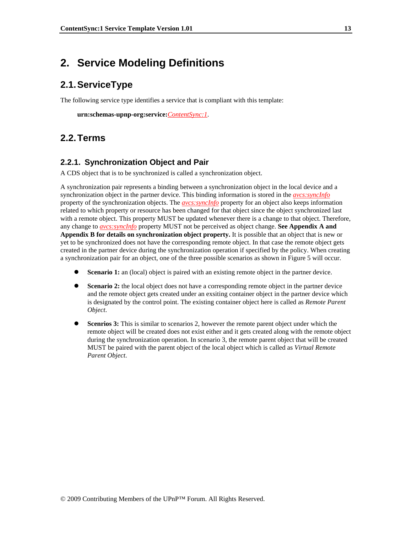## **2. Service Modeling Definitions**

## **2.1. ServiceType**

The following service type identifies a service that is compliant with this template:

 **urn:schemas-upnp-org:service:***ContentSync:1*.

## **2.2. Terms**

## **2.2.1. Synchronization Object and Pair**

A CDS object that is to be synchronized is called a synchronization object.

A synchronization pair represents a binding between a synchronization object in the local device and a synchronization object in the partner device. This binding information is stored in the *avcs:syncInfo* property of the synchronization objects. The *avcs:syncInfo* property for an object also keeps information related to which property or resource has been changed for that object since the object synchronized last with a remote object. This property MUST be updated whenever there is a change to that object. Therefore, any change to *avcs:syncInfo* property MUST not be perceived as object change. **See Appendix A and Appendix B for details on synchronization object property.** It is possible that an object that is new or yet to be synchronized does not have the corresponding remote object. In that case the remote object gets created in the partner device during the synchronization operation if specified by the policy. When creating a synchronization pair for an object, one of the three possible scenarios as shown in Figure 5 will occur.

- **Scenario 1:** an (local) object is paired with an existing remote object in the partner device.
- **Scenario 2:** the local object does not have a corresponding remote object in the partner device and the remote object gets created under an exsiting container object in the partner device which is designated by the control point. The existing container object here is called as *Remote Parent Object*.
- **•** Scenrios 3: This is similar to scenarios 2, however the remote parent object under which the remote object will be created does not exist either and it gets created along with the remote object during the synchronization operation. In scenario 3, the remote parent object that will be created MUST be paired with the parent object of the local object which is called as *Virtual Remote Parent Object*.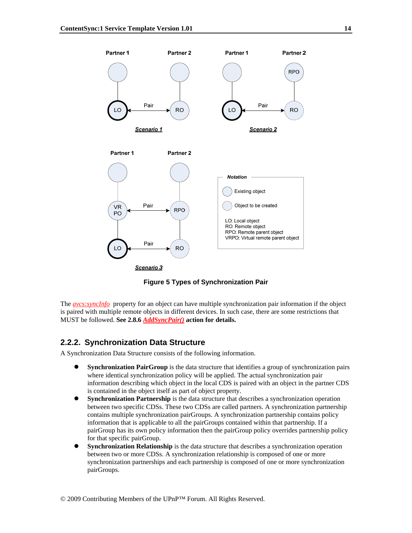

**Figure 5 Types of Synchronization Pair** 

The *avcs:syncInfo* property for an object can have multiple synchronization pair information if the object is paired with multiple remote objects in different devices. In such case, there are some restrictions that MUST be followed. **See 2.8.6** *AddSyncPair()* **action for details.**

### **2.2.2. Synchronization Data Structure**

A Synchronization Data Structure consists of the following information.

- **Synchronization PairGroup** is the data structure that identifies a group of synchronization pairs where identical synchronization policy will be applied. The actual synchronization pair information describing which object in the local CDS is paired with an object in the partner CDS is contained in the object itself as part of object property.
- **•** Synchronization Partnership is the data structure that describes a synchronization operation between two specific CDSs. These two CDSs are called partners. A synchronization partnership contains multiple synchronization pairGroups. A synchronization partnership contains policy information that is applicable to all the pairGroups contained within that partnership. If a pairGroup has its own policy information then the pairGroup policy overrides partnership policy for that specific pairGroup.
- **Synchronization Relationship** is the data structure that describes a synchronization operation between two or more CDSs. A synchronization relationship is composed of one or more synchronization partnerships and each partnership is composed of one or more synchronization pairGroups.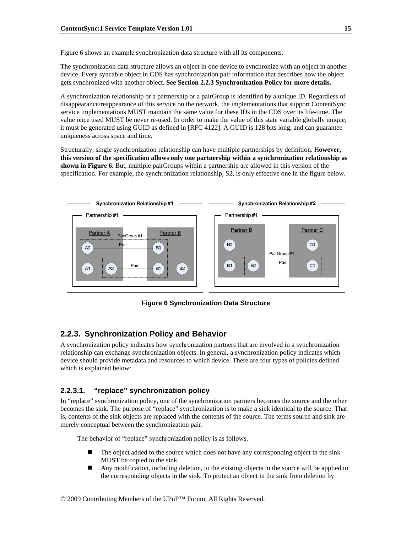Figure 6 shows an example synchronization data structure with all its components.

The synchronization data structure allows an object in one device to synchronize with an object in another device. Every syncable object in CDS has synchronization pair information that describes how the object gets synchronized with another object. **See Section 2.2.3 Synchronization Policy for more details.**

A synchronization relationship or a partnership or a pairGroup is identified by a unique ID. Regardless of disappearance/reappearance of this service on the network, the implementations that support ContentSync service implementations MUST maintain the same value for these IDs in the CDS over its life-time. The value once used MUST be never re-used. In order to make the value of this state variable globally unique, it must be generated using GUID as defined in [RFC 4122]. A GUID is 128 bits long, and can guarantee uniqueness across space and time.

Structurally, single synchronization relationship can have multiple partnerships by definition. H**owever, this version of the specification allows only one partnership within a synchronization relationship as shown in Figure 6.** But, multiple pairGroups within a partnership are allowed in this version of the specification. For example, the synchronization relationship, S2, is only effective one in the figure below.



**Figure 6 Synchronization Data Structure** 

## **2.2.3. Synchronization Policy and Behavior**

A synchronization policy indicates how synchronization partners that are involved in a synchronization relationship can exchange synchronization objects. In general, a synchronization policy indicates which device should provide metadata and resources to which device. There are four types of policies defined which is explained below:

### **2.2.3.1. "replace" synchronization policy**

In "replace" synchronization policy, one of the synchronization partners becomes the source and the other becomes the sink. The purpose of "replace" synchronization is to make a sink identical to the source. That is, contents of the sink objects are replaced with the contents of the source. The terms source and sink are merely conceptual between the synchronization pair.

The behavior of "replace" synchronization policy is as follows.

- The object added to the source which does not have any corresponding object in the sink MUST be copied to the sink.
- Any modification, including deletion, to the existing objects in the source will be applied to the corresponding objects in the sink. To protect an object in the sink from deletion by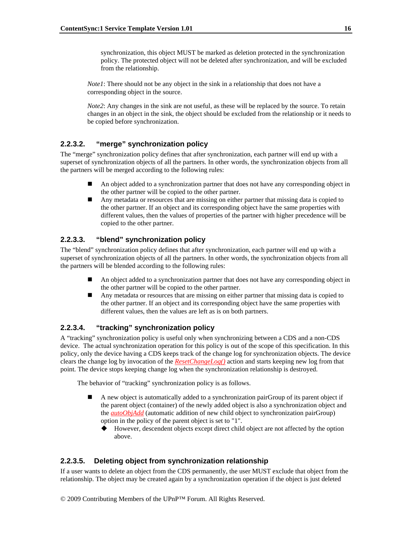synchronization, this object MUST be marked as deletion protected in the synchronization policy. The protected object will not be deleted after synchronization, and will be excluded from the relationship.

*Notel*: There should not be any object in the sink in a relationship that does not have a corresponding object in the source.

*Note2*: Any changes in the sink are not useful, as these will be replaced by the source. To retain changes in an object in the sink, the object should be excluded from the relationship or it needs to be copied before synchronization.

### **2.2.3.2. "merge" synchronization policy**

The "merge" synchronization policy defines that after synchronization, each partner will end up with a superset of synchronization objects of all the partners. In other words, the synchronization objects from all the partners will be merged according to the following rules:

- An object added to a synchronization partner that does not have any corresponding object in the other partner will be copied to the other partner.
- Any metadata or resources that are missing on either partner that missing data is copied to the other partner. If an object and its corresponding object have the same properties with different values, then the values of properties of the partner with higher precedence will be copied to the other partner.

### **2.2.3.3. "blend" synchronization policy**

The "blend" synchronization policy defines that after synchronization, each partner will end up with a superset of synchronization objects of all the partners. In other words, the synchronization objects from all the partners will be blended according to the following rules:

- An object added to a synchronization partner that does not have any corresponding object in the other partner will be copied to the other partner.
- Any metadata or resources that are missing on either partner that missing data is copied to the other partner. If an object and its corresponding object have the same properties with different values, then the values are left as is on both partners.

### **2.2.3.4. "tracking" synchronization policy**

A "tracking" synchronization policy is useful only when synchronizing between a CDS and a non-CDS device. The actual synchronization operation for this policy is out of the scope of this specification. In this policy, only the device having a CDS keeps track of the change log for synchronization objects. The device clears the change log by invocation of the *ResetChangeLog()* action and starts keeping new log from that point. The device stops keeping change log when the synchronization relationship is destroyed.

The behavior of "tracking" synchronization policy is as follows.

- A new object is automatically added to a synchronization pairGroup of its parent object if the parent object (container) of the newly added object is also a synchronization object and the *autoObjAdd* (automatic addition of new child object to synchronization pairGroup) option in the policy of the parent object is set to "1".
	- However, descendent objects except direct child object are not affected by the option above.

### **2.2.3.5. Deleting object from synchronization relationship**

If a user wants to delete an object from the CDS permanently, the user MUST exclude that object from the relationship. The object may be created again by a synchronization operation if the object is just deleted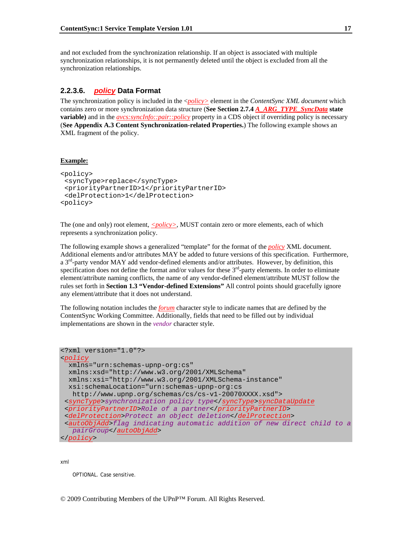and not excluded from the synchronization relationship. If an object is associated with multiple synchronization relationships, it is not permanently deleted until the object is excluded from all the synchronization relationships.

### **2.2.3.6.** *policy* **Data Format**

The synchronization policy is included in the <*policy>* element in the *ContentSync XML document* which contains zero or more synchronization data structure (**See Section 2.7.4** *A\_ARG\_TYPE\_SyncData* **state variable**) and in the *avcs:syncInfo::pair::policy* property in a CDS object if overriding policy is necessary (**See Appendix A.3 Content Synchronization-related Properties.**) The following example shows an XML fragment of the policy.

### **Example:**

```
<policy> 
  <syncType>replace</syncType> 
  <priorityPartnerID>1</priorityPartnerID> 
  <delProtection>1</delProtection> 
<policy>
```
The (one and only) root element,  $\leq$ *policy* $>$ , MUST contain zero or more elements, each of which represents a synchronization policy.

The following example shows a generalized "template" for the format of the *policy* XML document. Additional elements and/or attributes MAY be added to future versions of this specification. Furthermore, a 3<sup>rd</sup>-party vendor MAY add vendor-defined elements and/or attributes. However, by definition, this specification does not define the format and/or values for these  $3<sup>rd</sup>$ -party elements. In order to eliminate element/attribute naming conflicts, the name of any vendor-defined element/attribute MUST follow the rules set forth in **Section 1.3 "Vendor-defined Extensions"** All control points should gracefully ignore any element/attribute that it does not understand.

The following notation includes the *forum* character style to indicate names that are defined by the ContentSync Working Committee. Additionally, fields that need to be filled out by individual implementations are shown in the *vendor* character style.

```
<?xml version="1.0"?> 
<policy
  xmlns="urn:schemas-upnp-org:cs" 
  xmlns:xsd="http://www.w3.org/2001/XMLSchema" 
  xmlns:xsi="http://www.w3.org/2001/XMLSchema-instance" 
   xsi:schemaLocation="urn:schemas-upnp-org:cs 
    http://www.upnp.org/schemas/cs/cs-v1-20070XXXX.xsd"> 
  <syncType>synchronization policy type</syncType>syncDataUpdate 
  <priorityPartnerID>Role of a partner</priorityPartnerID> 
  <delProtection>Protect an object deletion</delProtection> 
  <autoObjAdd>flag indicating automatic addition of new direct child to a 
    pairGroup</autoObjAdd> 
</policy>
```
xml

OPTIONAL. Case sensitive.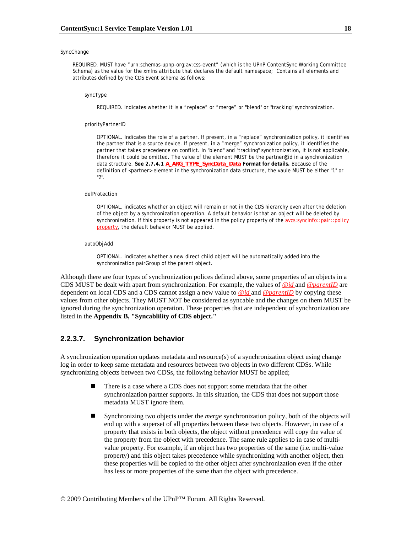### **SyncChange**

REQUIRED. MUST have "urn:schemas-upnp-org:av:css-event" (which is the UPnP ContentSync Working Committee Schema) as the value for the xmlns attribute that declares the default namespace; Contains all elements and attributes defined by the CDS Event schema as follows:

### syncType

REQUIRED. Indicates whether it is a "replace" or "merge" or "blend" or "tracking" synchronization.

#### priorityPartnerID

OPTIONAL. Indicates the role of a partner. If present, in a "replace" synchronization policy, it identifies the partner that is a source device. If present, in a "merge" synchronization policy, it identifies the partner that takes precedence on conflict. In "blend" and "tracking" synchronization, it is not applicable, therefore it could be omitted. The value of the element MUST be the partner@id in a synchronization data structure. **See 2.7.4.1** *A\_ARG\_TYPE\_SyncData\_Data* **Format for details.** Because of the definition of <partner> element in the synchronization data structure, the vaule MUST be either "1" or "2".

#### delProtection

OPTIONAL. indicates whether an object will remain or not in the CDS hierarchy even after the deletion of the object by a synchronization operation. A default behavior is that an object will be deleted by synchronization. If this property is not appeared in the policy property of the *avcs:syncInfo::pair::policy property*, the default behavior MUST be applied.

### autoObjAdd

OPTIONAL. indicates whether a new direct child object will be automatically added into the synchronization pairGroup of the parent object.

Although there are four types of synchronization polices defined above, some properties of an objects in a CDS MUST be dealt with apart from synchronization. For example, the values of *@id* and *@parentID* are dependent on local CDS and a CDS cannot assign a new value to *@id* and *@parentID* by copying these values from other objects. They MUST NOT be considered as syncable and the changes on them MUST be ignored during the synchronization operation. These properties that are independent of synchronization are listed in the **Appendix B, "Syncablility of CDS object."**

### **2.2.3.7. Synchronization behavior**

A synchronization operation updates metadata and resource(s) of a synchronization object using change log in order to keep same metadata and resources between two objects in two different CDSs. While synchronizing objects between two CDSs, the following behavior MUST be applied;

- There is a case where a CDS does not support some metadata that the other synchronization partner supports. In this situation, the CDS that does not support those metadata MUST ignore them.
- Synchronizing two objects under the *merge* synchronization policy, both of the objects will end up with a superset of all properties between these two objects. However, in case of a property that exists in both objects, the object without precedence will copy the value of the property from the object with precedence. The same rule applies to in case of multivalue property. For example, if an object has two properties of the same (i.e. multi-value property) and this object takes precedence while synchronizing with another object, then these properties will be copied to the other object after synchronization even if the other has less or more properties of the same than the object with precedence.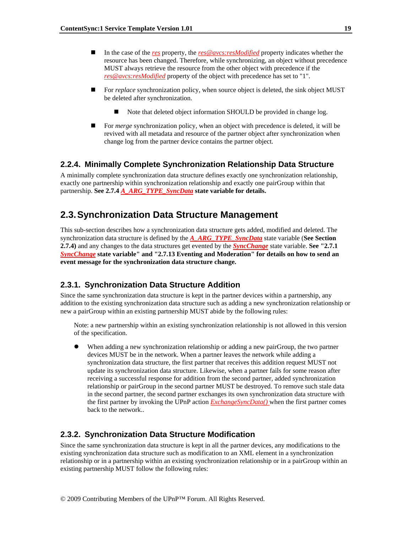- In the case of the *res* property, the *res@avcs:resModified* property indicates whether the resource has been changed. Therefore, while synchronizing, an object without precedence MUST always retrieve the resource from the other object with precedence if the *res@avcs:resModified* property of the object with precedence has set to "1".
- For *replace* synchronization policy, when source object is deleted, the sink object MUST be deleted after synchronization.
	- Note that deleted object information SHOULD be provided in change log.
- For *merge* synchronization policy, when an object with precedence is deleted, it will be revived with all metadata and resource of the partner object after synchronization when change log from the partner device contains the partner object.

### **2.2.4. Minimally Complete Synchronization Relationship Data Structure**

A minimally complete synchronization data structure defines exactly one synchronization relationship, exactly one partnership within synchronization relationship and exactly one pairGroup within that partnership. See 2.7.4 *A\_ARG\_TYPE\_SyncData* state variable for details.

## **2.3. Synchronization Data Structure Management**

This sub-section describes how a synchronization data structure gets added, modified and deleted. The synchronization data structure is defined by the *A\_ARG\_TYPE\_SyncData* state variable (**See Section 2.7.4)** and any changes to the data structures get evented by the *SyncChange* state variable. **See "2.7.1**  *SyncChange* **state variable" and "2.7.13 Eventing and Moderation" for details on how to send an event message for the synchronization data structure change.**

### **2.3.1. Synchronization Data Structure Addition**

Since the same synchronization data structure is kept in the partner devices within a partnership, any addition to the existing synchronization data structure such as adding a new synchronization relationship or new a pairGroup within an existing partnership MUST abide by the following rules:

Note: a new partnership within an existing synchronization relationship is not allowed in this version of the specification.

When adding a new synchronization relationship or adding a new pairGroup, the two partner devices MUST be in the network. When a partner leaves the network while adding a synchronization data structure, the first partner that receives this addition request MUST not update its synchronization data structure. Likewise, when a partner fails for some reason after receiving a successful response for addition from the second partner, added synchronization relationship or pairGroup in the second partner MUST be destroyed. To remove such stale data in the second partner, the second partner exchanges its own synchronization data structure with the first partner by invoking the UPnP action *ExchangeSyncData()* when the first partner comes back to the network..

### **2.3.2. Synchronization Data Structure Modification**

Since the same synchronization data structure is kept in all the partner devices, any modifications to the existing synchronization data structure such as modification to an XML element in a synchronization relationship or in a partnership within an existing synchronization relationship or in a pairGroup within an existing partnership MUST follow the following rules: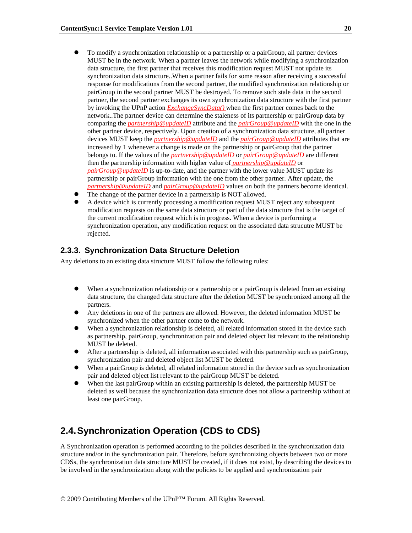- To modify a synchronization relationship or a partnership or a pair Group, all partner devices MUST be in the network. When a partner leaves the network while modifying a synchronization data structure, the first partner that receives this modification request MUST not update its synchronization data structure..When a partner fails for some reason after receiving a successful response for modifications from the second partner, the modified synchronization relationship or pairGroup in the second partner MUST be destroyed. To remove such stale data in the second partner, the second partner exchanges its own synchronization data structure with the first partner by invoking the UPnP action *ExchangeSyncData()* when the first partner comes back to the network..The partner device can determine the staleness of its partnership or pairGroup data by comparing the *partnership@updateID* attribute and the *pairGroup@updateID* with the one in the other partner device, respectively. Upon creation of a synchronization data structure, all partner devices MUST keep the *partnership@updateID* and the *pairGroup@updateID* attributes that are increased by 1 whenever a change is made on the partnership or pairGroup that the partner belongs to. If the values of the *partnership@updateID* or *pairGroup@updateID* are different then the partnership information with higher value of *partnership@updateID* or *pairGroup@updateID* is up-to-date, and the partner with the lower value MUST update its partnership or pairGroup information with the one from the other partner. After update, the *partnership@updateID* and *pairGroup@updateID* values on both the partners become identical.
- The change of the partner device in a partnership is NOT allowed.
- A device which is currently processing a modification request MUST reject any subsequent modification requests on the same data structure or part of the data structure that is the target of the current modification request which is in progress. When a device is performing a synchronization operation, any modification request on the associated data strucutre MUST be rejected.

### **2.3.3. Synchronization Data Structure Deletion**

Any deletions to an existing data structure MUST follow the following rules:

- When a synchronization relationship or a partnership or a pairGroup is deleted from an existing data structure, the changed data structure after the deletion MUST be synchronized among all the partners.
- Any deletions in one of the partners are allowed. However, the deleted information MUST be synchronized when the other partner come to the network.
- When a synchronization relationship is deleted, all related information stored in the device such as partnership, pairGroup, synchronization pair and deleted object list relevant to the relationship MUST be deleted.
- After a partnership is deleted, all information associated with this partnership such as pairGroup, synchronization pair and deleted object list MUST be deleted.
- When a pairGroup is deleted, all related information stored in the device such as synchronization pair and deleted object list relevant to the pairGroup MUST be deleted.
- When the last pairGroup within an existing partnership is deleted, the partnership MUST be deleted as well because the synchronization data structure does not allow a partnership without at least one pairGroup.

## **2.4. Synchronization Operation (CDS to CDS)**

A Synchronization operation is performed according to the policies described in the synchronization data structure and/or in the synchronization pair. Therefore, before synchronizing objects between two or more CDSs, the synchronization data structure MUST be created, if it does not exist, by describing the devices to be involved in the synchronization along with the policies to be applied and synchronization pair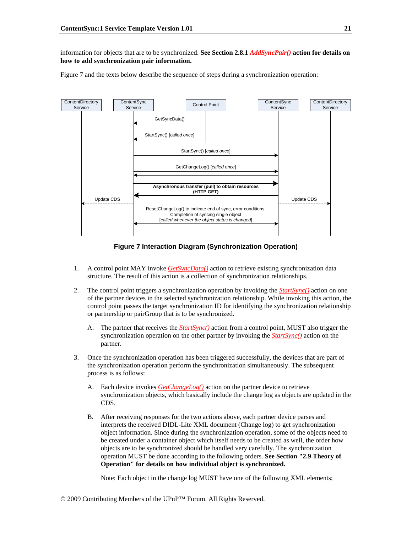information for objects that are to be synchronized. **See Section 2.8.1** *AddSyncPair()* **action for details on how to add synchronization pair information.** 

Figure 7 and the texts below describe the sequence of steps during a synchronization operation:



**Figure 7 Interaction Diagram (Synchronization Operation)** 

- 1. A control point MAY invoke *GetSyncData()* action to retrieve existing synchronization data structure. The result of this action is a collection of synchronization relationships.
- 2. The control point triggers a synchronization operation by invoking the *StartSync()* action on one of the partner devices in the selected synchronization relationship. While invoking this action, the control point passes the target synchronization ID for identifying the synchronization relationship or partnership or pairGroup that is to be synchronized.
	- A. The partner that receives the *StartSync()* action from a control point, MUST also trigger the synchronization operation on the other partner by invoking the *StartSync()* action on the partner.
- 3. Once the synchronization operation has been triggered successfully, the devices that are part of the synchronization operation perform the synchronization simultaneously. The subsequent process is as follows:
	- A. Each device invokes *GetChangeLog()* action on the partner device to retrieve synchronization objects, which basically include the change log as objects are updated in the CDS.
	- B. After receiving responses for the two actions above, each partner device parses and interprets the received DIDL-Lite XML document (Change log) to get synchronization object information. Since during the synchronization operation, some of the objects need to be created under a container object which itself needs to be created as well, the order how objects are to be synchronized should be handled very carefully. The synchronization operation MUST be done according to the following orders. **See Section "2.9 Theory of Operation" for details on how individual object is synchronized.**

Note: Each object in the change log MUST have one of the following XML elements;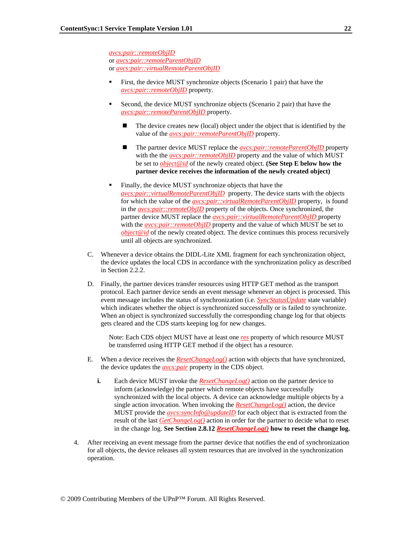*avcs:pair::remoteObjID* or *avcs:pair::remoteParentObjID* or *avcs:pair::virtualRemoteParentObjID*

- First, the device MUST synchronize objects (Scenario 1 pair) that have the *avcs:pair::remoteObjID* property.
- Second, the device MUST synchronize objects (Scenario 2 pair) that have the *avcs:pair::remoteParentObjID* property.
	- The device creates new (local) object under the object that is identified by the value of the *avcs:pair::remoteParentObjID* property.
	- The partner device MUST replace the *avcs:pair::remoteParentObjID* property with the the *avcs:pair::remoteObjID* property and the value of which MUST be set to *object@id* of the newly created object. **(See Step E below how the partner device receives the information of the newly created object)**
- Finally, the device MUST synchronize objects that have the *avcs:pair::virtualRemoteParentObjID* property. The device starts with the objects for which the value of the *avcs:pair::virtualRemoteParentObjID* property, is found in the *avcs:pair::remoteObjID* property of the objects. Once synchronized, the partner device MUST replace the *avcs:pair::virtualRemoteParentObjID* property with the *avcs:pair::remoteObjID* property and the value of which MUST be set to *object@id* of the newly created object. The device continues this process recursively until all objects are synchronized.
- C. Whenever a device obtains the DIDL-Lite XML fragment for each synchronization object, the device updates the local CDS in accordance with the synchronization policy as described in Section 2.2.2.
- D. Finally, the partner devices transfer resources using HTTP GET method as the transport protocol. Each partner device sends an event message whenever an object is processed. This event message includes the status of synchronization (i.e. *SyncStatusUpdate* state variable) which indicates whether the object is synchronized successfully or is failed to synchronize. When an object is synchronized successfully the corresponding change log for that objects gets cleared and the CDS starts keeping log for new changes.

Note: Each CDS object MUST have at least one *res* property of which resource MUST be transferred using HTTP GET method if the object has a resource.

- E. When a device receives the *ResetChangeLog()* action with objects that have synchronized, the device updates the *avcs:pair* property in the CDS object.
	- **i.** Each device MUST invoke the **ResetChangeLog()** action on the partner device to inform (acknowledge) the partner which remote objects have successfully synchronized with the local objects. A device can acknowledge multiple objects by a single action invocation. When invoking the *ResetChangeLog()* action, the device MUST provide the *avcs:syncInfo@updateID* for each object that is extracted from the result of the last *GetChangeLog()* action in order for the partner to decide what to reset in the change log. **See Section 2.8.12** *ResetChangeLog()* **how to reset the change log.**
- 4. After receiving an event message from the partner device that notifies the end of synchronization for all objects, the device releases all system resources that are involved in the synchronization operation.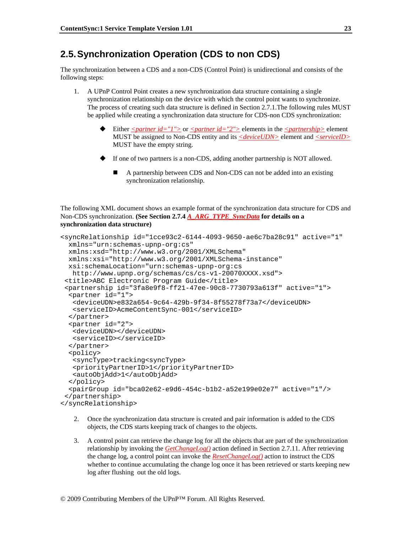## **2.5. Synchronization Operation (CDS to non CDS)**

The synchronization between a CDS and a non-CDS (Control Point) is unidirectional and consists of the following steps:

- 1. A UPnP Control Point creates a new synchronization data structure containing a single synchronization relationship on the device with which the control point wants to synchronize. The process of creating such data structure is defined in Section 2.7.1.The following rules MUST be applied while creating a synchronization data structure for CDS-non CDS synchronization:
	- Either  $\leq$  *partner id="1"*> or  $\leq$  *partner id="2"*> elements in the  $\leq$  *partnership*> element MUST be assigned to Non-CDS entity and its *<deviceUDN>* element and *<serviceID>* MUST have the empty string.
	- If one of two partners is a non-CDS, adding another partnership is NOT allowed.
		- A partnership between CDS and Non-CDS can not be added into an existing synchronization relationship.

The following XML document shows an example format of the synchronization data structure for CDS and Non-CDS synchronization. **(See Section 2.7.4** *A\_ARG\_TYPE\_SyncData* **for details on a synchronization data structure)**

```
<syncRelationship id="1cce93c2-6144-4093-9650-ae6c7ba28c91" active="1" 
  xmlns="urn:schemas-upnp-org:cs" 
  xmlns:xsd="http://www.w3.org/2001/XMLSchema" 
  xmlns:xsi="http://www.w3.org/2001/XMLSchema-instance" 
   xsi:schemaLocation="urn:schemas-upnp-org:cs 
    http://www.upnp.org/schemas/cs/cs-v1-20070XXXX.xsd"> 
  <title>ABC Electronic Program Guide</title> 
  <partnership id="3fa8e9f8-ff21-47ee-90c8-7730793a613f" active="1"> 
   <partner id="1"> 
    <deviceUDN>e832a654-9c64-429b-9f34-8f55278f73a7</deviceUDN> 
    <serviceID>AcmeContentSync-001</serviceID> 
   </partner> 
   <partner id="2"> 
    <deviceUDN></deviceUDN> 
    <serviceID></serviceID> 
   </partner> 
   <policy> 
    <syncType>tracking<syncType> 
    <priorityPartnerID>1</priorityPartnerID> 
    <autoObjAdd>1</autoObjAdd> 
   </policy> 
   <pairGroup id="bca02e62-e9d6-454c-b1b2-a52e199e02e7" active="1"/> 
  </partnership> 
</syncRelationship>
```
- 2. Once the synchronization data structure is created and pair information is added to the CDS objects, the CDS starts keeping track of changes to the objects.
- 3. A control point can retrieve the change log for all the objects that are part of the synchronization relationship by invoking the *GetChangeLog()* action defined in Section 2.7.11. After retrieving the change log, a control point can invoke the *ResetChangeLog()* action to instruct the CDS whether to continue accumulating the change log once it has been retrieved or starts keeping new log after flushing out the old logs.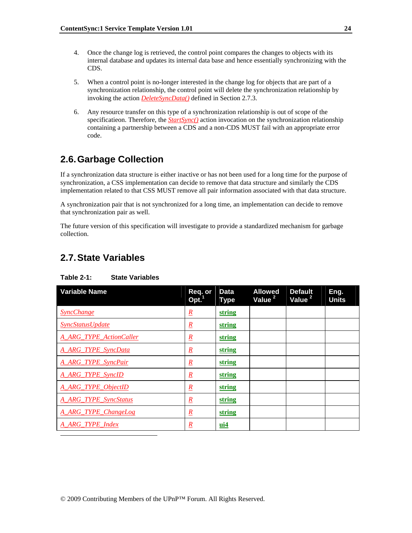- 4. Once the change log is retrieved, the control point compares the changes to objects with its internal database and updates its internal data base and hence essentially synchronizing with the CDS.
- 5. When a control point is no-longer interested in the change log for objects that are part of a synchronization relationship, the control point will delete the synchronization relationship by invoking the action *DeleteSyncData()* defined in Section 2.7.3.
- 6. Any resource transfer on this type of a synchronization relationship is out of scope of the specificatieon. Therefore, the *StartSync()* action invocation on the synchronization relationship containing a partnership between a CDS and a non-CDS MUST fail with an appropriate error code.

## **2.6. Garbage Collection**

If a synchronization data structure is either inactive or has not been used for a long time for the purpose of synchronization, a CSS implementation can decide to remove that data structure and similarly the CDS implementation related to that CSS MUST remove all pair information associated with that data structure.

A synchronization pair that is not synchronized for a long time, an implementation can decide to remove that synchronization pair as well.

The future version of this specification will investigate to provide a standardized mechanism for garbage collection.

## **2.7. State Variables**

l

| <b>Variable Name</b>           | Req. or<br>Opt. <sup>1</sup> | <b>Data</b><br><b>Type</b> | <b>Allowed</b><br>Value <sup>2</sup> | <b>Default</b><br>Value <sup>2</sup> | Eng.<br><b>Units</b> |
|--------------------------------|------------------------------|----------------------------|--------------------------------------|--------------------------------------|----------------------|
| <b>SyncChange</b>              | $\underline{R}$              | string                     |                                      |                                      |                      |
| <b>SyncStatusUpdate</b>        | $\underline{R}$              | string                     |                                      |                                      |                      |
| <b>A ARG TYPE ActionCaller</b> | $\mathbf{R}$                 | string                     |                                      |                                      |                      |
| A_ARG_TYPE_SyncData            | $\underline{R}$              | string                     |                                      |                                      |                      |
| <b>A ARG TYPE SyncPair</b>     | $\mathbf{R}$                 | string                     |                                      |                                      |                      |
| <b>A ARG TYPE SyncID</b>       | $\mathbf{R}$                 | string                     |                                      |                                      |                      |
| A ARG TYPE ObjectID            | $\underline{R}$              | string                     |                                      |                                      |                      |
| <b>A ARG TYPE SyncStatus</b>   | $\underline{R}$              | string                     |                                      |                                      |                      |
| A_ARG_TYPE_ChangeLog           | $\underline{R}$              | string                     |                                      |                                      |                      |
| A ARG TYPE Index               | $\boldsymbol{R}$             | $\mathbf{u}$ i4            |                                      |                                      |                      |

### **Table 2-1: State Variables**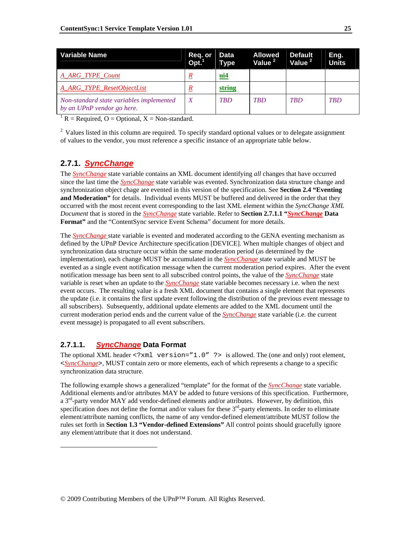| Variable Name                                                          | Req. or<br>Opt. <sup>1</sup> | <b>Data</b><br><b>Type</b> | <b>Allowed</b><br>Value <sup>2</sup> | <b>Default</b><br>Value <sup>2</sup> | Eng.<br><b>Units</b> |
|------------------------------------------------------------------------|------------------------------|----------------------------|--------------------------------------|--------------------------------------|----------------------|
| A ARG TYPE Count                                                       |                              | ui4                        |                                      |                                      |                      |
| A ARG TYPE ResetObjectList                                             |                              | string                     |                                      |                                      |                      |
| Non-standard state variables implemented<br>by an UPnP vendor go here. |                              | TRD                        | <b>TBD</b>                           | <b>TBD</b>                           | <b>TBD</b>           |

 ${}^{1}R$  = Required, O = Optional, X = Non-standard.

<sup>2</sup> Values listed in this column are required. To specify standard optional values or to delegate assignment of values to the vendor, you must reference a specific instance of an appropriate table below.

## **2.7.1.** *SyncChange*

The *SyncChange* state variable contains an XML document identifying *all* changes that have occurred since the last time the *SyncChange* state variable was evented. Synchronization data structure change and synchronization object chage are evented in this version of the specification. See **Section 2.4 "Eventing and Moderation"** for details. Individual events MUST be buffered and delivered in the order that they occurred with the most recent event corresponding to the last XML element within the *SyncChange XML Document* that is stored in the *SyncChange* state variable. Refer to **Section 2.7.1.1 "***SyncChange* **Data Format"** and the "ContentSync service Event Schema" document for more details.

The *SyncChange* state variable is evented and moderated according to the GENA eventing mechanism as defined by the UPnP Device Architecture specification [DEVICE]. When multiple changes of object and synchronization data structure occur within the same moderation period (as determined by the implementation), each change MUST be accumulated in the *SyncChange* state variable and MUST be evented as a single event notification message when the current moderation period expires. After the event notification message has been sent to all subscribed control points, the value of the *SyncChange* state variable is reset when an update to the *SyncChange* state variable becomes necessary i.e. when the next event occurs. The resulting value is a fresh XML document that contains a single element that represents the update (i.e. it contains the first update event following the distribution of the previous event message to all subscribers). Subsequently, additional update elements are added to the XML document until the current moderation period ends and the current value of the *SyncChange* state variable (i.e. the current event message) is propagated to all event subscribers.

## **2.7.1.1.** *SyncChange* **Data Format**

l

The optional XML header  $\leq 2$ xml version="1.0" ?> is allowed. The (one and only) root element, <*SyncChange*>, MUST contain zero or more elements, each of which represents a change to a specific synchronization data structure.

The following example shows a generalized "template" for the format of the *SyncChange* state variable. Additional elements and/or attributes MAY be added to future versions of this specification. Furthermore, a 3<sup>rd</sup>-party vendor MAY add vendor-defined elements and/or attributes. However, by definition, this specification does not define the format and/or values for these  $3<sup>rd</sup>$ -party elements. In order to eliminate element/attribute naming conflicts, the name of any vendor-defined element/attribute MUST follow the rules set forth in **Section 1.3 "Vendor-defined Extensions"** All control points should gracefully ignore any element/attribute that it does not understand.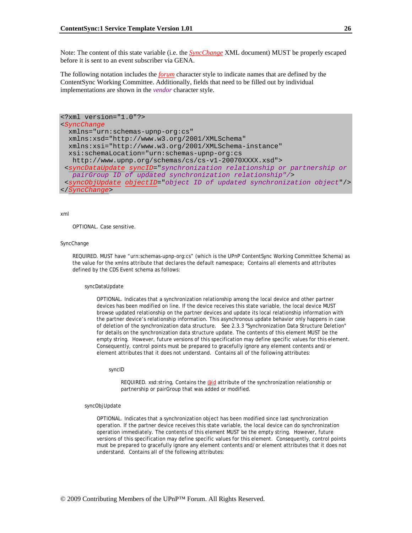Note: The content of this state variable (i.e. the *SyncChange* XML document) MUST be properly escaped before it is sent to an event subscriber via GENA.

The following notation includes the *forum* character style to indicate names that are defined by the ContentSync Working Committee. Additionally, fields that need to be filled out by individual implementations are shown in the *vendor* character style.

```
<?xml version="1.0"?> 
<SyncChange
  xmlns="urn:schemas-upnp-org:cs" 
  xmlns:xsd="http://www.w3.org/2001/XMLSchema" 
  xmlns:xsi="http://www.w3.org/2001/XMLSchema-instance" 
  xsi:schemaLocation="urn:schemas-upnp-org:cs 
   http://www.upnp.org/schemas/cs/cs-v1-20070XXXX.xsd"> 
  <syncDataUpdate syncID="synchronization relationship or partnership or 
   pairGroup ID of updated synchronization relationship"/> 
  <syncObjUpdate objectID="object ID of updated synchronization object"/> 
</SyncChange>
```
### xml

OPTIONAL. Case sensitive.

### SyncChange

REQUIRED. MUST have "urn:schemas-upnp-org:cs" (which is the UPnP ContentSync Working Committee Schema) as the value for the xmlns attribute that declares the default namespace; Contains all elements and attributes defined by the CDS Event schema as follows:

#### syncDataUpdate

OPTIONAL. Indicates that a synchronization relationship among the local device and other partner devices has been modified on line. If the device receives this state variable, the local device MUST browse updated relationship on the partner devices and update its local relationship information with the partner device's relationship information. This asynchronous update behavior only happens in case of deletion of the synchronization data structure. See 2.3.3 "Synchronization Data Structure Deletion" for details on the synchronization data structure update. The contents of this element MUST be the empty string. However, future versions of this specification may define specific values for this element. Consequently, control points must be prepared to gracefully ignore any element contents and/or element attributes that it does not understand. Contains all of the following attributes:

syncID

REQUIRED. xsd:string, Contains the *@id* attribute of the synchronization relationship or partnership or pairGroup that was added or modified.

#### syncObjUpdate

OPTIONAL. Indicates that a synchronization object has been modified since last synchronization operation. If the partner device receives this state variable, the local device can do synchronization operation immediately. The contents of this element MUST be the empty string. However, future versions of this specification may define specific values for this element. Consequently, control points must be prepared to gracefully ignore any element contents and/or element attributes that it does not understand. Contains all of the following attributes: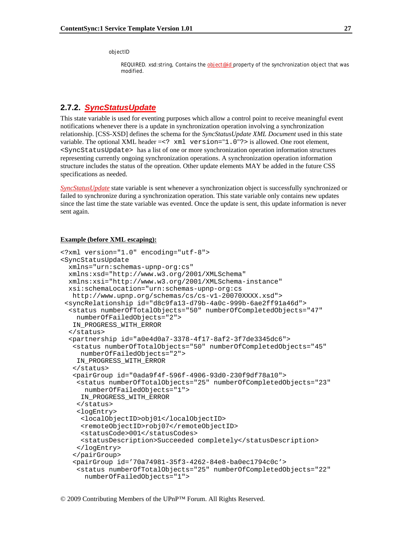objectID

REQUIRED. xsd:string, Contains the *object@id* property of the synchronization object that was modified.

## **2.7.2.** *SyncStatusUpdate*

This state variable is used for eventing purposes which allow a control point to receive meaningful event notifications whenever there is a update in synchronization operation involving a synchronization relationship. [CSS-XSD] defines the schema for the *SyncStatusUpdate XML Document* used in this state variable. The optional XML header =<? xml version="1.0"?> is allowed. One root element, <SyncStatusUpdate> has a list of one or more synchronization operation information structures representing currently ongoing synchronization operations. A synchronization operation information structure includes the status of the opreation. Other update elements MAY be added in the future CSS specifications as needed.

*SyncStatusUpdate* state variable is sent whenever a synchronization object is successfully synchronized or failed to synchronize during a synchronization operation. This state variable only contains new updates since the last time the state variable was evented. Once the update is sent, this update information is never sent again.

### **Example (before XML escaping):**

```
<?xml version="1.0" encoding="utf-8"> 
<SyncStatusUpdate 
   xmlns="urn:schemas-upnp-org:cs" 
   xmlns:xsd="http://www.w3.org/2001/XMLSchema" 
   xmlns:xsi="http://www.w3.org/2001/XMLSchema-instance" 
   xsi:schemaLocation="urn:schemas-upnp-org:cs 
    http://www.upnp.org/schemas/cs/cs-v1-20070XXXX.xsd"> 
  <syncRelationship id="d8c9fa13-d79b-4a0c-999b-6ae2ff91a46d"> 
   <status numberOfTotalObjects="50" numberOfCompletedObjects="47" 
     numberOfFailedObjects="2"> 
    IN_PROGRESS_WITH_ERROR 
   </status> 
   <partnership id="a0e4d0a7-3378-4f17-8af2-3f7de3345dc6"> 
    <status numberOfTotalObjects="50" numberOfCompletedObjects="45" 
      numberOfFailedObjects="2"> 
     IN_PROGRESS_WITH_ERROR 
    </status> 
    <pairGroup id="0ada9f4f-596f-4906-93d0-230f9df78a10"> 
     <status numberOfTotalObjects="25" numberOfCompletedObjects="23" 
       numberOfFailedObjects="1"> 
      IN_PROGRESS_WITH_ERROR 
     </status> 
     <logEntry> 
      <localObjectID>obj01</localObjectID> 
      <remoteObjectID>robj07</remoteObjectID> 
      <statusCode>001</statusCodes> 
      <statusDescription>Succeeded completely</statusDescription> 
     </logEntry> 
    </pairGroup> 
    <pairGroup id='70a74981-35f3-4262-84e8-ba0ec1794c0c'> 
     <status numberOfTotalObjects="25" numberOfCompletedObjects="22" 
       numberOfFailedObjects="1">
```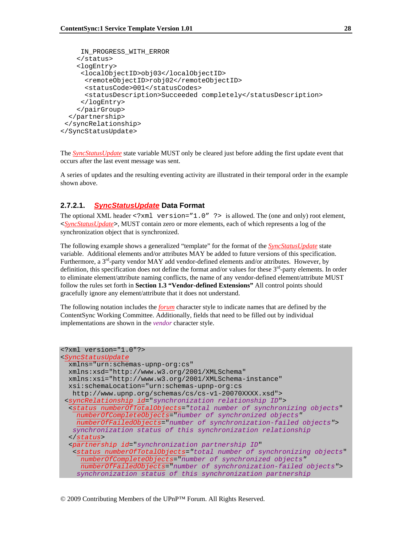```
 IN_PROGRESS_WITH_ERROR 
     </status> 
     <logEntry> 
      <localObjectID>obj03</localObjectID> 
       <remoteObjectID>robj02</remoteObjectID> 
       <statusCode>001</statusCodes> 
       <statusDescription>Succeeded completely</statusDescription> 
      </logEntry> 
     </pairGroup> 
   </partnership> 
  </syncRelationship> 
</SyncStatusUpdate>
```
The *SyncStatusUpdate* state variable MUST only be cleared just before adding the first update event that occurs after the last event message was sent.

A series of updates and the resulting eventing activity are illustrated in their temporal order in the example shown above.

### **2.7.2.1.** *SyncStatusUpdate* **Data Format**

The optional XML header  $\leq 2$ xml version="1.0" ?> is allowed. The (one and only) root element, <*SyncStatusUpdate*>, MUST contain zero or more elements, each of which represents a log of the synchronization object that is synchronized.

The following example shows a generalized "template" for the format of the *SyncStatusUpdate* state variable. Additional elements and/or attributes MAY be added to future versions of this specification. Furthermore, a  $3<sup>rd</sup>$ -party vendor MAY add vendor-defined elements and/or attributes. However, by definition, this specification does not define the format and/or values for these  $3<sup>rd</sup>$ -party elements. In order to eliminate element/attribute naming conflicts, the name of any vendor-defined element/attribute MUST follow the rules set forth in **Section 1.3 "Vendor-defined Extensions"** All control points should gracefully ignore any element/attribute that it does not understand.

The following notation includes the *forum* character style to indicate names that are defined by the ContentSync Working Committee. Additionally, fields that need to be filled out by individual implementations are shown in the *vendor* character style.

```
<?xml version="1.0"?> 
<SyncStatusUpdate
  xmlns="urn:schemas-upnp-org:cs" 
  xmlns:xsd="http://www.w3.org/2001/XMLSchema" 
  xmlns:xsi="http://www.w3.org/2001/XMLSchema-instance" 
  xsi:schemaLocation="urn:schemas-upnp-org:cs 
   http://www.upnp.org/schemas/cs/cs-v1-20070XXXX.xsd"> 
  <syncRelationship id="synchronization relationship ID">
   <status numberOfTotalObjects="total number of synchronizing objects"
     numberOfCompleteObjects="number of synchronized objects"
    numberOfFailedObjects="number of synchronization-failed objects"> 
   synchronization status of this synchronization relationship 
   </status> 
   <partnership id="synchronization partnership ID" 
    <status numberOfTotalObjects="total number of synchronizing objects"
      numberOfCompleteObjects="number of synchronized objects"
      numberOfFailedObjects="number of synchronization-failed objects"> 
     synchronization status of this synchronization partnership
```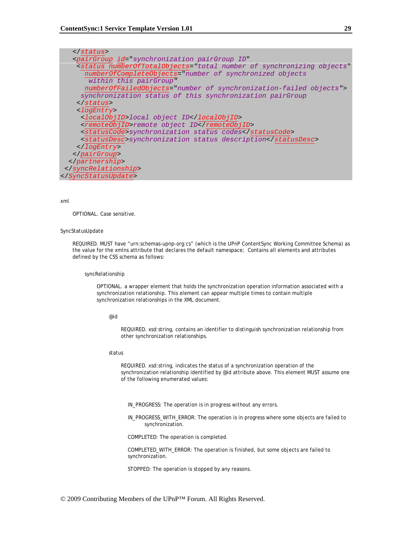| <pairgroup <="" id="synchronization pairGroup ID" td=""></pairgroup>                      |
|-------------------------------------------------------------------------------------------|
| <status <="" numberoftotalobjects="total number of synchronizing objects" td=""></status> |
| numberOfCompleteObjects="number of synchronized objects                                   |
| within this pairGroup"                                                                    |
| numberOfFailedObjects="number of synchronization-failed objects">                         |
| synchronization status of this synchronization pairGroup                                  |
| $\langle$ status>                                                                         |
| <logentry></logentry>                                                                     |
| <localobjid>local object ID</localobjid>                                                  |
| <remoteobjid>remote object ID</remoteobjid>                                               |
| <statuscode>synchronization status codes</statuscode>                                     |
| <statusdesc>synchronization status description</statusdesc>                               |
|                                                                                           |
|                                                                                           |
|                                                                                           |
|                                                                                           |
|                                                                                           |

### xml

OPTIONAL. Case sensitive.

#### SyncStatusUpdate

REQUIRED. MUST have "urn:schemas-upnp-org:cs" (which is the UPnP ContentSync Working Committee Schema) as the value for the xmlns attribute that declares the default namespace; Contains all elements and attributes defined by the CSS schema as follows:

### syncRelationship

OPTIONAL. a wrapper element that holds the synchronization operation information associated with a synchronization relationship. This element can appear multiple times to contain multiple synchronization relationships in the XML document.

@id

REQUIRED. xsd:string, contains an identifier to distinguish synchronization relationship from other synchronization relationships.

#### status

REQUIRED. xsd:string, indicates the status of a synchronization operation of the synchronization relationship identified by @id attribute above. This element MUST assume one of the following enumerated values:

IN\_PROGRESS: The operation is in progress without any errors.

 IN\_PROGRESS\_WITH\_ERROR: The operation is in progress where some objects are failed to synchronization.

COMPLETED: The operation is completed.

 COMPLETED\_WITH\_ERROR: The operation is finished, but some objects are failed to synchronization.

STOPPED: The operation is stopped by any reasons.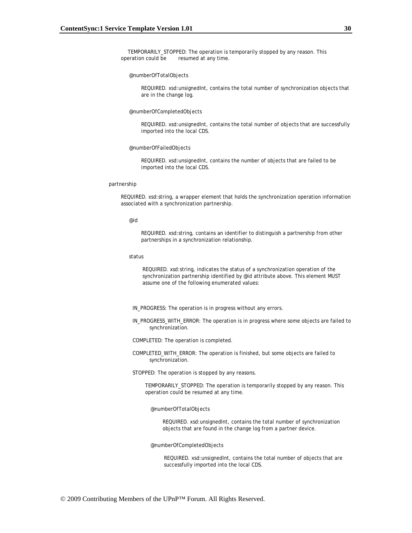TEMPORARILY\_STOPPED: The operation is temporarily stopped by any reason. This operation could be resumed at any time.

#### @numberOfTotalObjects

REQUIRED. xsd:unsignedInt, contains the total number of synchronization objects that are in the change log.

#### @numberOfCompletedObjects

REQUIRED. xsd:unsignedInt, contains the total number of objects that are successfully imported into the local CDS.

### @numberOfFailedObjects

REQUIRED. xsd:unsignedInt, contains the number of objects that are failed to be imported into the local CDS.

### partnership

REQUIRED. xsd:string, a wrapper element that holds the synchronization operation information associated with a synchronization partnership.

#### @id

REQUIRED. xsd:string, contains an identifier to distinguish a partnership from other partnerships in a synchronization relationship.

#### status

REQUIRED. xsd:string, indicates the status of a synchronization operation of the synchronization partnership identified by @id attribute above. This element MUST assume one of the following enumerated values:

IN\_PROGRESS: The operation is in progress without any errors.

 IN\_PROGRESS\_WITH\_ERROR: The operation is in progress where some objects are failed to synchronization.

COMPLETED: The operation is completed.

 COMPLETED\_WITH\_ERROR: The operation is finished, but some objects are failed to synchronization.

STOPPED: The operation is stopped by any reasons.

TEMPORARILY\_STOPPED: The operation is temporarily stopped by any reason. This operation could be resumed at any time.

#### @numberOfTotalObjects

REQUIRED. xsd:unsignedInt, contains the total number of synchronization objects that are found in the change log from a partner device.

@numberOfCompletedObjects

REQUIRED. xsd:unsignedInt, contains the total number of objects that are successfully imported into the local CDS.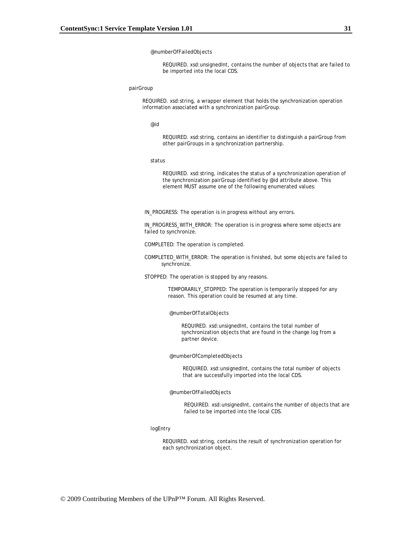### @numberOfFailedObjects

REQUIRED. xsd:unsignedInt, contains the number of objects that are failed to be imported into the local CDS.

### pairGroup

REQUIRED. xsd:string, a wrapper element that holds the synchronization operation information associated with a synchronization pairGroup.

@id

REQUIRED. xsd:string, contains an identifier to distinguish a pairGroup from other pairGroups in a synchronization partnership.

### status

REQUIRED. xsd:string, indicates the status of a synchronization operation of the synchronization pairGroup identified by @id attribute above. This element MUST assume one of the following enumerated values:

IN\_PROGRESS: The operation is in progress without any errors.

IN\_PROGRESS\_WITH\_ERROR: The operation is in progress where some objects are failed to synchronize.

COMPLETED: The operation is completed.

 COMPLETED\_WITH\_ERROR: The operation is finished, but some objects are failed to synchronize.

STOPPED: The operation is stopped by any reasons.

TEMPORARILY\_STOPPED: The operation is temporarily stopped for any reason. This operation could be resumed at any time.

#### @numberOfTotalObjects

REQUIRED. xsd:unsignedInt, contains the total number of synchronization objects that are found in the change log from a partner device.

#### @numberOfCompletedObjects

REQUIRED. xsd:unsignedInt, contains the total number of objects that are successfully imported into the local CDS.

#### @numberOfFailedObjects

REQUIRED. xsd:unsignedInt, contains the number of objects that are failed to be imported into the local CDS.

### logEntry

REQUIRED. xsd:string, contains the result of synchronization operation for each synchronization object.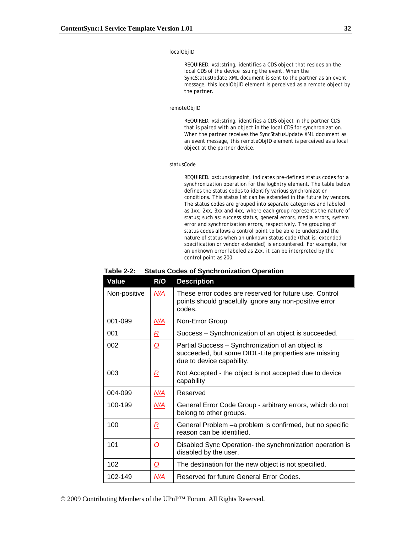### localObjID

REQUIRED. xsd:string, identifies a CDS object that resides on the local CDS of the device issuing the event. When the *SyncStatusUpdate XML document* is sent to the partner as an event message, this localObjID element is perceived as a remote object by the partner.

### remoteObjID

REQUIRED. xsd:string, identifies a CDS object in the partner CDS that is paired with an object in the local CDS for synchronization. When the partner receives the *SyncStatusUpdate XML document* as an event message, this remoteObjID element is perceived as a local object at the partner device.

#### statusCode

REQUIRED. xsd:unsignedInt, indicates pre-defined status codes for a synchronization operation for the logEntry element. The table below defines the status codes to identify various synchronization conditions. This status list can be extended in the future by vendors. The status codes are grouped into separate categories and labeled as 1xx, 2xx, 3xx and 4xx, where each group represents the nature of status; such as: success status, general errors, media errors, system error and synchronization errors, respectively. The grouping of status codes allows a control point to be able to understand the nature of status when an unknown status code (that is: extended specification or vendor extended) is encountered. For example, for an unknown error labeled as 2xx, it can be interpreted by the control point as 200.

### **Table 2-2: Status Codes of Synchronization Operation**

| Value        | R/O                 | <b>Description</b>                                                                                                                     |
|--------------|---------------------|----------------------------------------------------------------------------------------------------------------------------------------|
| Non-positive | N/A                 | These error codes are reserved for future use. Control<br>points should gracefully ignore any non-positive error<br>codes.             |
| 001-099      | <u>N/A</u>          | Non-Error Group                                                                                                                        |
| 001          | $\underline{R}$     | Success – Synchronization of an object is succeeded.                                                                                   |
| 002          | <u>୦</u>            | Partial Success – Synchronization of an object is<br>succeeded, but some DIDL-Lite properties are missing<br>due to device capability. |
| 003          | <u>R</u>            | Not Accepted - the object is not accepted due to device<br>capability                                                                  |
| 004-099      | N/A                 | Reserved                                                                                                                               |
| 100-199      | N/A                 | General Error Code Group - arbitrary errors, which do not<br>belong to other groups.                                                   |
| 100          | $\overline{R}$      | General Problem - a problem is confirmed, but no specific<br>reason can be identified.                                                 |
| 101          | <u>୦</u>            | Disabled Sync Operation- the synchronization operation is<br>disabled by the user.                                                     |
| 102          | $\overline{\Omega}$ | The destination for the new object is not specified.                                                                                   |
| 102-149      | N/A                 | Reserved for future General Error Codes.                                                                                               |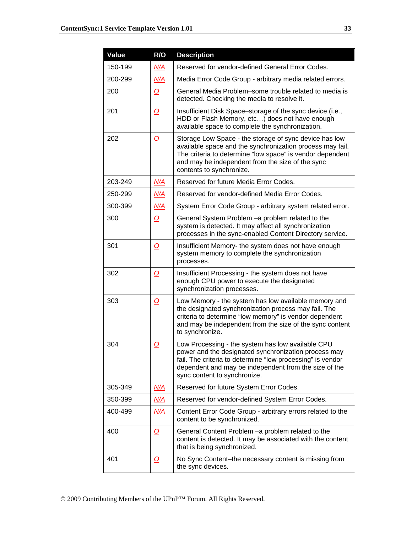| Value   | R/O        | <b>Description</b>                                                                                                                                                                                                                                               |
|---------|------------|------------------------------------------------------------------------------------------------------------------------------------------------------------------------------------------------------------------------------------------------------------------|
| 150-199 | N/A        | Reserved for vendor-defined General Error Codes.                                                                                                                                                                                                                 |
| 200-299 | N/A        | Media Error Code Group - arbitrary media related errors.                                                                                                                                                                                                         |
| 200     | <u>0</u>   | General Media Problem–some trouble related to media is<br>detected. Checking the media to resolve it.                                                                                                                                                            |
| 201     | <u>0</u>   | Insufficient Disk Space–storage of the sync device (i.e.,<br>HDD or Flash Memory, etc) does not have enough<br>available space to complete the synchronization.                                                                                                  |
| 202     | <u>0</u>   | Storage Low Space - the storage of sync device has low<br>available space and the synchronization process may fail.<br>The criteria to determine "low space" is vendor dependent<br>and may be independent from the size of the sync<br>contents to synchronize. |
| 203-249 | N/A        | Reserved for future Media Error Codes.                                                                                                                                                                                                                           |
| 250-299 | N/A        | Reserved for vendor-defined Media Error Codes.                                                                                                                                                                                                                   |
| 300-399 | N/A        | System Error Code Group - arbitrary system related error.                                                                                                                                                                                                        |
| 300     | <u>o</u>   | General System Problem - a problem related to the<br>system is detected. It may affect all synchronization<br>processes in the sync-enabled Content Directory service.                                                                                           |
| 301     | 0          | Insufficient Memory- the system does not have enough<br>system memory to complete the synchronization<br>processes.                                                                                                                                              |
| 302     | O          | Insufficient Processing - the system does not have<br>enough CPU power to execute the designated<br>synchronization processes.                                                                                                                                   |
| 303     | <u>o</u>   | Low Memory - the system has low available memory and<br>the designated synchronization process may fail. The<br>criteria to determine "low memory" is vendor dependent<br>and may be independent from the size of the sync content<br>to synchronize.            |
| 304     | <u>0</u>   | Low Processing - the system has low available CPU<br>power and the designated synchronization process may<br>fail. The criteria to determine "low processing" is vendor<br>dependent and may be independent from the size of the<br>sync content to synchronize. |
| 305-349 | <u>N/A</u> | Reserved for future System Error Codes.                                                                                                                                                                                                                          |
| 350-399 | <u>N/A</u> | Reserved for vendor-defined System Error Codes.                                                                                                                                                                                                                  |
| 400-499 | <u>N/A</u> | Content Error Code Group - arbitrary errors related to the<br>content to be synchronized.                                                                                                                                                                        |
| 400     | O          | General Content Problem - a problem related to the<br>content is detected. It may be associated with the content<br>that is being synchronized.                                                                                                                  |
| 401     | <u>o</u>   | No Sync Content-the necessary content is missing from<br>the sync devices.                                                                                                                                                                                       |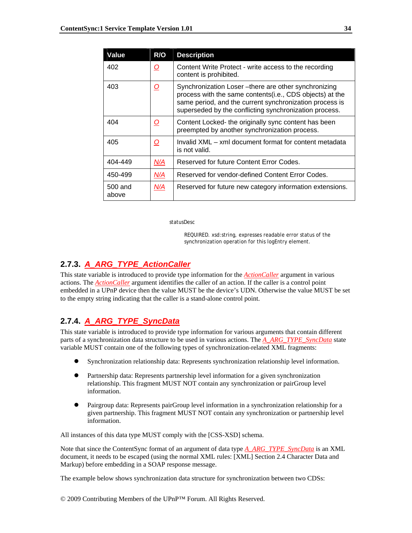| Value            | R/O                 | <b>Description</b>                                                                                                                                                                                                                   |
|------------------|---------------------|--------------------------------------------------------------------------------------------------------------------------------------------------------------------------------------------------------------------------------------|
| 402              | $\overline{\Omega}$ | Content Write Protect - write access to the recording<br>content is prohibited.                                                                                                                                                      |
| 403              | <u>0</u>            | Synchronization Loser-there are other synchronizing<br>process with the same contents(i.e., CDS objects) at the<br>same period, and the current synchronization process is<br>superseded by the conflicting synchronization process. |
| 404              | $\overline{\Omega}$ | Content Locked- the originally sync content has been<br>preempted by another synchronization process.                                                                                                                                |
| 405              | <u>0</u>            | Invalid XML – xml document format for content metadata<br>is not valid.                                                                                                                                                              |
| 404-449          | N/A                 | Reserved for future Content Error Codes.                                                                                                                                                                                             |
| 450-499          | N/A                 | Reserved for vendor-defined Content Error Codes.                                                                                                                                                                                     |
| 500 and<br>above | N/A                 | Reserved for future new category information extensions.                                                                                                                                                                             |

statusDesc

REQUIRED. xsd:string, expresses readable error status of the synchronization operation for this logEntry element.

## **2.7.3.** *A\_ARG\_TYPE\_ActionCaller*

This state variable is introduced to provide type information for the *ActionCaller* argument in various actions. The *ActionCaller* argument identifies the caller of an action. If the caller is a control point embedded in a UPnP device then the value MUST be the device's UDN. Otherwise the value MUST be set to the empty string indicating that the caller is a stand-alone control point.

## **2.7.4.** *A\_ARG\_TYPE\_SyncData*

This state variable is introduced to provide type information for various arguments that contain different parts of a synchronization data structure to be used in various actions. The *A\_ARG\_TYPE\_SyncData* state variable MUST contain one of the following types of synchronization-related XML fragments:

- z Synchronization relationship data: Represents synchronization relationship level information.
- Partnership data: Represents partnership level information for a given synchronization relationship. This fragment MUST NOT contain any synchronization or pairGroup level information.
- Pairgroup data: Represents pairGroup level information in a synchronization relationship for a given partnership. This fragment MUST NOT contain any synchronization or partnership level information.

All instances of this data type MUST comply with the [CSS-XSD] schema.

Note that since the ContentSync format of an argument of data type *A\_ARG\_TYPE\_SyncData* is an XML document, it needs to be escaped (using the normal XML rules: [XML] Section 2.4 Character Data and Markup) before embedding in a SOAP response message.

The example below shows synchronization data structure for synchronization between two CDSs:

© 2009 Contributing Members of the UPnP™ Forum. All Rights Reserved.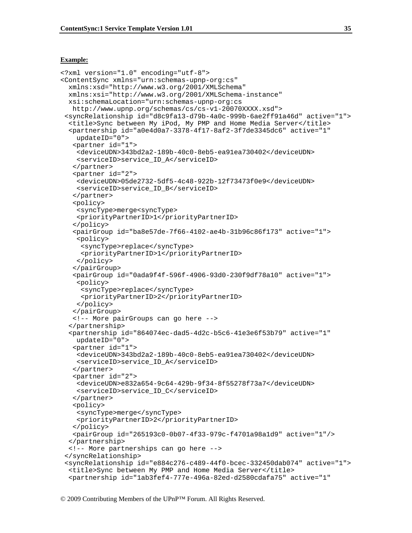### **Example:**

```
<?xml version="1.0" encoding="utf-8"> 
<ContentSync xmlns="urn:schemas-upnp-org:cs" 
  xmlns:xsd="http://www.w3.org/2001/XMLSchema" 
  xmlns:xsi="http://www.w3.org/2001/XMLSchema-instance" 
  xsi:schemaLocation="urn:schemas-upnp-org:cs 
   http://www.upnp.org/schemas/cs/cs-v1-20070XXXX.xsd"> 
  <syncRelationship id="d8c9fa13-d79b-4a0c-999b-6ae2ff91a46d" active="1"> 
   <title>Sync between My iPod, My PMP and Home Media Server</title> 
   <partnership id="a0e4d0a7-3378-4f17-8af2-3f7de3345dc6" active="1" 
     updateID="0"> 
    <partner id="1"> 
     <deviceUDN>343bd2a2-189b-40c0-8eb5-ea91ea730402</deviceUDN> 
     <serviceID>service_ID_A</serviceID> 
    </partner> 
    <partner id="2"> 
     <deviceUDN>05de2732-5df5-4c48-922b-12f73473f0e9</deviceUDN> 
     <serviceID>service_ID_B</serviceID> 
    </partner> 
    <policy> 
     <syncType>merge<syncType> 
     <priorityPartnerID>1</priorityPartnerID> 
    </policy> 
    <pairGroup id="ba8e57de-7f66-4102-ae4b-31b96c86f173" active="1"> 
     <policy> 
      <syncType>replace</syncType> 
      <priorityPartnerID>1</priorityPartnerID> 
     </policy> 
    </pairGroup> 
    <pairGroup id="0ada9f4f-596f-4906-93d0-230f9df78a10" active="1"> 
     <policy> 
      <syncType>replace</syncType> 
      <priorityPartnerID>2</priorityPartnerID> 
     </policy> 
    </pairGroup> 
    <!-- More pairGroups can go here --> 
   </partnership> 
   <partnership id="864074ec-dad5-4d2c-b5c6-41e3e6f53b79" active="1" 
     updateID="0"> 
    <partner id="1"> 
     <deviceUDN>343bd2a2-189b-40c0-8eb5-ea91ea730402</deviceUDN> 
     <serviceID>service_ID_A</serviceID> 
    </partner> 
    <partner id="2"> 
     <deviceUDN>e832a654-9c64-429b-9f34-8f55278f73a7</deviceUDN> 
     <serviceID>service_ID_C</serviceID> 
    </partner> 
    <policy> 
     <syncType>merge</syncType> 
     <priorityPartnerID>2</priorityPartnerID> 
    </policy> 
    <pairGroup id="265193c0-0b07-4f33-979c-f4701a98a1d9" active="1"/> 
   </partnership> 
   <!-- More partnerships can go here --> 
  </syncRelationship> 
  <syncRelationship id="e884c276-c489-44f0-bcec-332450dab074" active="1"> 
   <title>Sync between My PMP and Home Media Server</title> 
   <partnership id="1ab3fef4-777e-496a-82ed-d2580cdafa75" active="1"
```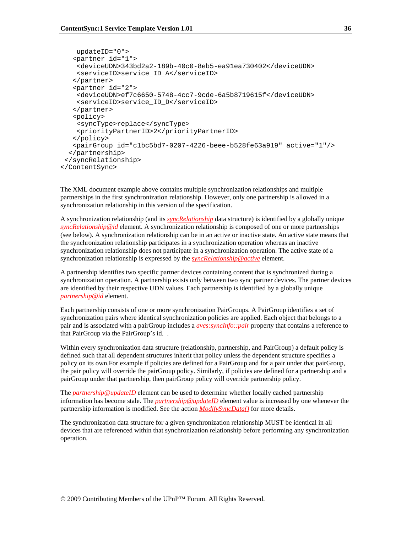```
 updateID="0"> 
    <partner id="1"> 
     <deviceUDN>343bd2a2-189b-40c0-8eb5-ea91ea730402</deviceUDN> 
     <serviceID>service_ID_A</serviceID> 
    </partner> 
    <partner id="2"> 
     <deviceUDN>ef7c6650-5748-4cc7-9cde-6a5b8719615f</deviceUDN> 
     <serviceID>service_ID_D</serviceID> 
    </partner> 
    <policy> 
     <syncType>replace</syncType> 
     <priorityPartnerID>2</priorityPartnerID> 
    </policy> 
    <pairGroup id="c1bc5bd7-0207-4226-beee-b528fe63a919" active="1"/> 
   </partnership> 
  </syncRelationship> 
</ContentSync>
```
The XML document example above contains multiple synchronization relationships and multiple partnerships in the first synchronization relationship. However, only one partnership is allowed in a synchronization relationship in this version of the specification.

A synchronization relationship (and its *syncRelationship* data structure) is identified by a globally unique *syncRelationship@id* element. A synchronization relationship is composed of one or more partnerships (see below). A synchronization relationship can be in an active or inactive state. An active state means that the synchronization relationship participates in a synchronization operation whereas an inactive synchronization relationship does not participate in a synchronization operation. The active state of a synchronization relationship is expressed by the *syncRelationship@active* element.

A partnership identifies two specific partner devices containing content that is synchronized during a synchronization operation. A partnership exists only between two sync partner devices. The partner devices are identified by their respective UDN values. Each partnership is identified by a globally unique *partnership@id* element.

Each partnership consists of one or more synchronization PairGroups. A PairGroup identifies a set of synchronization pairs where identical synchronization policies are applied. Each object that belongs to a pair and is associated with a pairGroup includes a *avcs:syncInfo::pair* property that contains a reference to that PairGroup via the PairGroup's id. .

Within every synchronization data structure (relationship, partnership, and PairGroup) a default policy is defined such that all dependent structures inherit that policy unless the dependent structure specifies a policy on its own.For example if policies are defined for a PairGroup and for a pair under that pairGroup, the pair policy will override the pairGroup policy. Similarly, if policies are defined for a partnership and a pairGroup under that partnership, then pairGroup policy will override partnership policy.

The *partnership@updateID* element can be used to determine whether locally cached partnership information has become stale. The *partnership@updateID* element value is increased by one whenever the partnership information is modified. See the action *ModifySyncData()* for more details.

The synchronization data structure for a given synchronization relationship MUST be identical in all devices that are referenced within that synchronization relationship before performing any synchronization operation.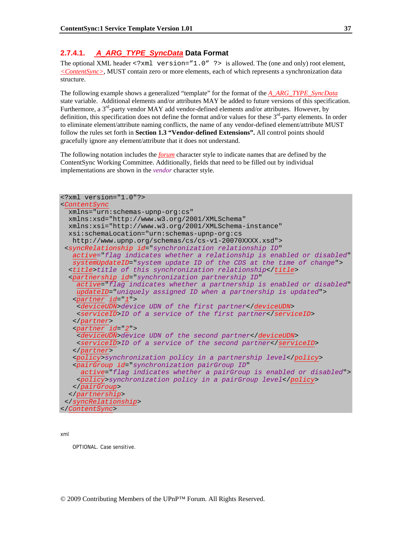### **2.7.4.1.** *A\_ARG\_TYPE\_SyncData* **Data Format**

The optional XML header <?xml version="1.0" ?> is allowed. The (one and only) root element, *<ContentSync>*, MUST contain zero or more elements, each of which represents a synchronization data structure.

The following example shows a generalized "template" for the format of the *A\_ARG\_TYPE\_SyncData* state variable. Additional elements and/or attributes MAY be added to future versions of this specification. Furthermore, a  $3<sup>rd</sup>$ -party vendor MAY add vendor-defined elements and/or attributes. However, by definition, this specification does not define the format and/or values for these  $3<sup>rd</sup>$ -party elements. In order to eliminate element/attribute naming conflicts, the name of any vendor-defined element/attribute MUST follow the rules set forth in **Section 1.3 "Vendor-defined Extensions".** All control points should gracefully ignore any element/attribute that it does not understand.

The following notation includes the *forum* character style to indicate names that are defined by the ContentSync Working Committee. Additionally, fields that need to be filled out by individual implementations are shown in the *vendor* character style.

| $\leq$ ?xml version="1.0"?>                                                           |
|---------------------------------------------------------------------------------------|
| <contentsync< td=""></contentsync<>                                                   |
| $xmlns="urn:schemas-upnp-orq:cs"$                                                     |
| xmlns:xsd="http://www.w3.org/2001/XMLSchema"                                          |
| xmlns:xsi="http://www.w3.org/2001/XMLSchema-instance"                                 |
| xsi:schemaLocation="urn:schemas-upnp-org:cs                                           |
| http://www.upnp.org/schemas/cs/cs-v1-20070XXXX.xsd">                                  |
| <syncrelationship <="" id="synchronization relationship ID" td=""></syncrelationship> |
| active="flag indicates whether a relationship is enabled or disabled"                 |
| systemUpdateID="system update ID of the CDS at the time of change">                   |
| <title>title of this synchronization relationship</title>                             |
| <partnership <="" id="synchronization partnership ID" td=""></partnership>            |
| active="flag indicates whether a partnership is enabled or disabled"                  |
| updateID="uniquely assigned ID when a partnership is updated">                        |
| $\epsilon$ partner id="1">                                                            |
| <deviceudn>device UDN of the first partner</deviceudn>                                |
| <serviceid>ID of a service of the first partner</serviceid>                           |
|                                                                                       |
| <partner id="2"></partner>                                                            |
| <deviceudn>device UDN of the second partner</deviceudn>                               |
| <serviceid>ID of a service of the second partner</serviceid>                          |
|                                                                                       |
| <policy>synchronization policy in a partnership level</policy>                        |
| <pairgroup <="" id="synchronization pairGroup ID" td=""></pairgroup>                  |
| active="flag indicates whether a pairGroup is enabled or disabled">                   |
| <policy>synchronization policy in a pairGroup level</policy>                          |
|                                                                                       |
|                                                                                       |
|                                                                                       |
|                                                                                       |

xml

OPTIONAL. Case sensitive.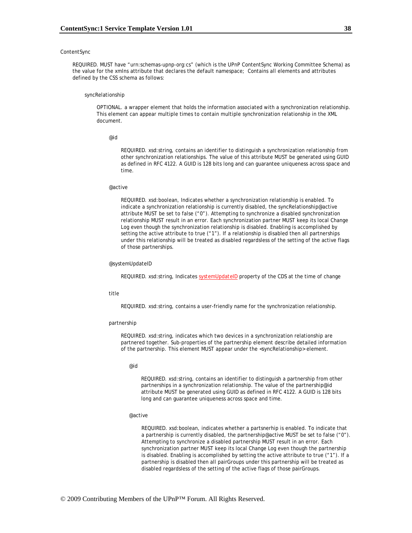#### **ContentSync**

REQUIRED. MUST have "urn:schemas-upnp-org:cs" (which is the UPnP ContentSync Working Committee Schema) as the value for the xmlns attribute that declares the default namespace; Contains all elements and attributes defined by the CSS schema as follows:

#### syncRelationship

OPTIONAL. a wrapper element that holds the information associated with a synchronization relationship. This element can appear multiple times to contain multiple synchronization relationship in the XML document.

@id

REQUIRED. xsd:string, contains an identifier to distinguish a synchronization relationship from other synchronization relationships. The value of this attribute MUST be generated using GUID as defined in RFC 4122. A GUID is 128 bits long and can guarantee uniqueness across space and time.

#### @active

REQUIRED. xsd:boolean, Indicates whether a synchronization relationship is enabled. To indicate a synchronization relationship is currently disabled, the syncRelationship@active attribute MUST be set to false ("0"). Attempting to synchronize a disabled synchronization relationship MUST result in an error. Each synchronization partner MUST keep its local Change Log even though the synchronization relationship is disabled. Enabling is accomplished by setting the active attribute to true ("1"). If a relationship is disabled then all partnerships under this relationship will be treated as disabled regardsless of the setting of the active flags of those partnerships.

#### @systemUpdateID

REQUIRED. xsd:string, Indicates *systemUpdateID* property of the CDS at the time of change

#### title

REQUIRED. xsd:string, contains a user-friendly name for the synchronization relationship.

#### partnership

REQUIRED. xsd:string, indicates which two devices in a synchronization relationship are partnered together. Sub-properties of the partnership element describe detailed information of the partnership. This element MUST appear under the <syncRelationship> element.

#### @id

REQUIRED. xsd:string, contains an identifier to distinguish a partnership from other partnerships in a synchronization relationship. The value of the partnership@id attribute MUST be generated using GUID as defined in RFC 4122. A GUID is 128 bits long and can guarantee uniqueness across space and time.

#### @active

REQUIRED. xsd:boolean, indicates whether a partsnerhip is enabled. To indicate that a partnership is currently disabled, the partnership@active MUST be set to false ("0"). Attempting to synchronize a disabled partnership MUST result in an error. Each synchronization partner MUST keep its local Change Log even though the partnership is disabled. Enabling is accomplished by setting the active attribute to true ("1"). If a partnership is disabled then all pairGroups under this partnership will be treated as disabled regardsless of the setting of the active flags of those pairGroups.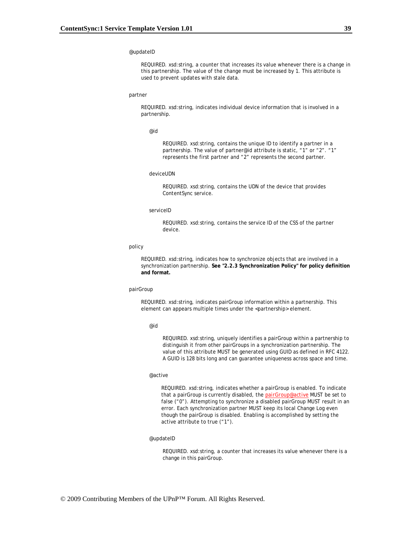#### @updateID

REQUIRED. xsd:string, a counter that increases its value whenever there is a change in this partnership. The value of the change must be increased by 1. This attribute is used to prevent updates with stale data.

#### partner

REQUIRED. xsd:string, indicates individual device information that is involved in a partnership.

#### @id

REQUIRED. xsd:string, contains the unique ID to identify a partner in a partnership. The value of partner@id attribute is static, "1" or "2". "1" represents the first partner and "2" represents the second partner.

#### deviceUDN

REQUIRED. xsd:string, contains the UDN of the device that provides ContentSync service.

#### serviceID

REQUIRED. xsd:string, contains the service ID of the CSS of the partner device.

#### policy

REQUIRED. xsd:string, indicates how to synchronize objects that are involved in a synchronization partnership. **See "2.2.3 Synchronization Policy" for policy definition and format.**

#### pairGroup

REQUIRED. xsd:string, indicates pairGroup information within a partnership. This element can appears multiple times under the <partnership> element.

#### @id

REQUIRED. xsd:string, uniquely identifies a pairGroup within a partnership to distinguish it from other pairGroups in a synchronization partnership. The value of this attribute MUST be generated using GUID as defined in RFC 4122. A GUID is 128 bits long and can guarantee uniqueness across space and time.

#### @active

REQUIRED. xsd:string, indicates whether a pairGroup is enabled. To indicate that a pairGroup is currently disabled, the *pairGroup@active* MUST be set to false ("0"). Attempting to synchronize a disabled pairGroup MUST result in an error. Each synchronization partner MUST keep its local Change Log even though the pairGroup is disabled. Enabling is accomplished by setting the active attribute to true ("1").

#### @updateID

REQUIRED. xsd:string, a counter that increases its value whenever there is a change in this pairGroup.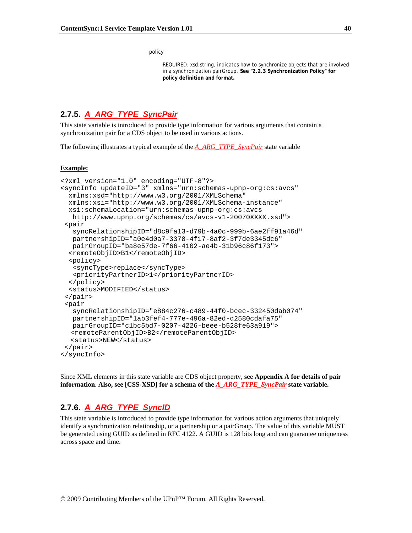policy

REQUIRED. xsd:string, indicates how to synchronize objects that are involved in a synchronization pairGroup. **See "2.2.3 Synchronization Policy" for policy definition and format.**

# **2.7.5.** *A\_ARG\_TYPE\_SyncPair*

This state variable is introduced to provide type information for various arguments that contain a synchronization pair for a CDS object to be used in various actions.

The following illustrates a typical example of the *A\_ARG\_TYPE\_SyncPair* state variable

#### **Example:**

```
<?xml version="1.0" encoding="UTF-8"?> 
<syncInfo updateID="3" xmlns="urn:schemas-upnp-org:cs:avcs" 
  xmlns:xsd="http://www.w3.org/2001/XMLSchema" 
  xmlns:xsi="http://www.w3.org/2001/XMLSchema-instance" 
  xsi:schemaLocation="urn:schemas-upnp-org:cs:avcs 
   http://www.upnp.org/schemas/cs/avcs-v1-20070XXXX.xsd"> 
 <pair 
    syncRelationshipID="d8c9fa13-d79b-4a0c-999b-6ae2ff91a46d" 
   partnershipID="a0e4d0a7-3378-4f17-8af2-3f7de3345dc6" 
   pairGroupID="ba8e57de-7f66-4102-ae4b-31b96c86f173"> 
   <remoteObjID>B1</remoteObjID> 
  <policy> 
    <syncType>replace</syncType> 
    <priorityPartnerID>1</priorityPartnerID> 
  </policy> 
   <status>MODIFIED</status> 
  </pair> 
  <pair 
    syncRelationshipID="e884c276-c489-44f0-bcec-332450dab074" 
   partnershipID="1ab3fef4-777e-496a-82ed-d2580cdafa75" 
   pairGroupID="c1bc5bd7-0207-4226-beee-b528fe63a919"> 
  <remoteParentObjID>B2</remoteParentObjID> 
  <status>NEW</status> 
  </pair> 
</syncInfo>
```
Since XML elements in this state variable are CDS object property, **see Appendix A for details of pair information**. **Also, see [CSS-XSD] for a schema of the** *A\_ARG\_TYPE\_SyncPair* **state variable.**

# **2.7.6.** *A\_ARG\_TYPE\_SyncID*

This state variable is introduced to provide type information for various action arguments that uniquely identify a synchronization relationship, or a partnership or a pairGroup. The value of this variable MUST be generated using GUID as defined in RFC 4122. A GUID is 128 bits long and can guarantee uniqueness across space and time.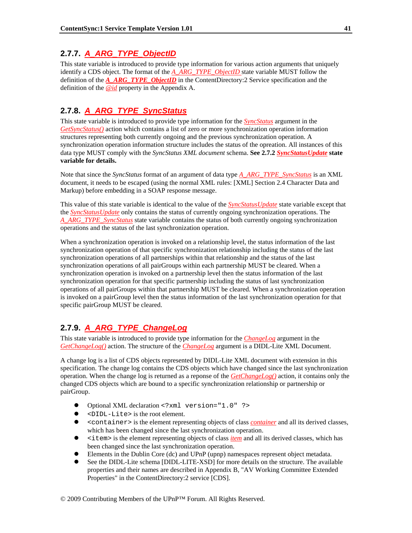# **2.7.7.** *A\_ARG\_TYPE\_ObjectID*

This state variable is introduced to provide type information for various action arguments that uniquely identify a CDS object. The format of the *A\_ARG\_TYPE\_ObjectID* state variable MUST follow the definition of the *A\_ARG\_TYPE\_ObjectID* in the ContentDirectory:2 Service specification and the definition of the *@id* property in the Appendix A.

# **2.7.8.** *A\_ARG\_TYPE\_SyncStatus*

This state variable is introduced to provide type information for the *SyncStatus* argument in the *GetSyncStatus()* action which contains a list of zero or more synchronization operation information structures representing both currently ongoing and the previous synchronization operation. A synchronization operation information structure includes the status of the opreation. All instances of this data type MUST comply with the *SyncStatus XML document* schema. **See 2.7.2** *SyncStatusUpdate* **state variable for details.**

Note that since the *SyncStatus* format of an argument of data type *A\_ARG\_TYPE\_SyncStatus* is an XML document, it needs to be escaped (using the normal XML rules: [XML] Section 2.4 Character Data and Markup) before embedding in a SOAP response message.

This value of this state variable is identical to the value of the *SyncStatusUpdate* state variable except that the *SyncStatusUpdate* only contains the status of currently ongoing synchronization operations. The *A\_ARG\_TYPE\_SyncStatus* state variable contains the status of both currently ongoing synchronization operations and the status of the last synchronization operation.

When a synchronization operation is invoked on a relationship level, the status information of the last synchronization operation of that specific synchronization relationship including the status of the last synchronization operations of all partnerships within that relationship and the status of the last synchronization operations of all pairGroups within each partnership MUST be cleared. When a synchronization operation is invoked on a partnership level then the status information of the last synchronization operation for that specific partnership including the status of last synchronization operations of all pairGroups within that partnership MUST be cleared. When a synchronization operation is invoked on a pairGroup level then the status information of the last synchronization operation for that specific pairGroup MUST be cleared.

# **2.7.9.** *A\_ARG\_TYPE\_ChangeLog*

This state variable is introduced to provide type information for the *ChangeLog* argument in the *GetChangeLog()* action. The structure of the *ChangeLog* argument is a DIDL-Lite XML Document.

A change log is a list of CDS objects represented by DIDL-Lite XML document with extension in this specification. The change log contains the CDS objects which have changed since the last synchronization operation. When the change log is returned as a reponse of the *GetChangeLog()* action, it contains only the changed CDS objects which are bound to a specific synchronization relationship or partnership or pairGroup.

- $\bullet$  Optional XML declaration <?xml version="1.0" ?>
- z <DIDL-Lite> is the root element.
- **•** <container> is the element representing objects of class *container* and all its derived classes, which has been changed since the last synchronization operation.
- sitem> is the element representing objects of class *item* and all its derived classes, which has been changed since the last synchronization operation.
- z Elements in the Dublin Core (dc) and UPnP (upnp) namespaces represent object metadata.
- See the DIDL-Lite schema [DIDL-LITE-XSD] for more details on the structure. The available properties and their names are described in Appendix B, "AV Working Committee Extended Properties" in the ContentDirectory:2 service [CDS].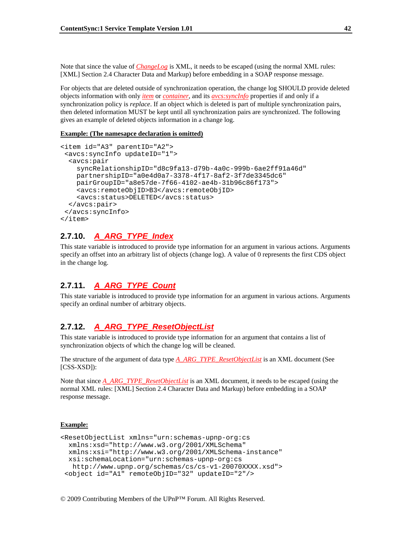Note that since the value of *ChangeLog* is XML, it needs to be escaped (using the normal XML rules: [XML] Section 2.4 Character Data and Markup) before embedding in a SOAP response message.

For objects that are deleted outside of synchronization operation, the change log SHOULD provide deleted objects information with only *item* or *container*, and its *avcs:syncInfo* properties if and only if a synchronization policy is *replace*. If an object which is deleted is part of multiple synchronization pairs, then deleted information MUST be kept until all synchronization pairs are synchronized. The following gives an example of deleted objects information in a change log.

#### **Example: (The namesapce declaration is omitted)**

```
<item id="A3" parentID="A2"> 
  <avcs:syncInfo updateID="1"> 
   <avcs:pair 
     syncRelationshipID="d8c9fa13-d79b-4a0c-999b-6ae2ff91a46d" 
     partnershipID="a0e4d0a7-3378-4f17-8af2-3f7de3345dc6" 
     pairGroupID="a8e57de-7f66-4102-ae4b-31b96c86f173"> 
     <avcs:remoteObjID>B3</avcs:remoteObjID> 
     <avcs:status>DELETED</avcs:status> 
   </avcs:pair> 
  </avcs:syncInfo> 
</item>
```
# **2.7.10.** *A\_ARG\_TYPE\_Index*

This state variable is introduced to provide type information for an argument in various actions. Arguments specify an offset into an arbitrary list of objects (change log). A value of 0 represents the first CDS object in the change log.

# **2.7.11.** *A\_ARG\_TYPE\_Count*

This state variable is introduced to provide type information for an argument in various actions. Arguments specify an ordinal number of arbitrary objects.

# **2.7.12.** *A\_ARG\_TYPE\_ResetObjectList*

This state variable is introduced to provide type information for an argument that contains a list of synchronization objects of which the change log will be cleaned.

The structure of the argument of data type *A\_ARG\_TYPE\_ResetObjectList* is an XML document (See [CSS-XSD]):

Note that since *A\_ARG\_TYPE\_ResetObjectList* is an XML document, it needs to be escaped (using the normal XML rules: [XML] Section 2.4 Character Data and Markup) before embedding in a SOAP response message.

#### **Example:**

```
<ResetObjectList xmlns="urn:schemas-upnp-org:cs 
  xmlns:xsd="http://www.w3.org/2001/XMLSchema" 
  xmlns:xsi="http://www.w3.org/2001/XMLSchema-instance" 
  xsi:schemaLocation="urn:schemas-upnp-org:cs 
   http://www.upnp.org/schemas/cs/cs-v1-20070XXXX.xsd"> 
  <object id="A1" remoteObjID="32" updateID="2"/>
```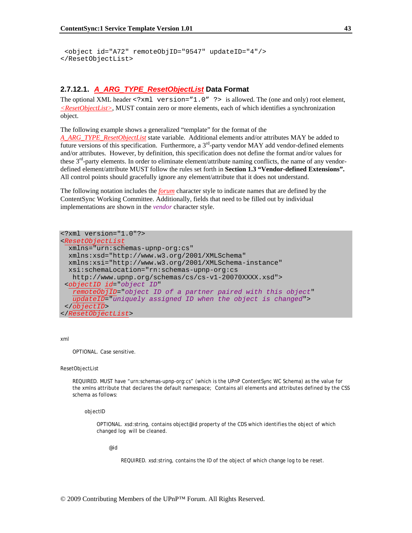```
 <object id="A72" remoteObjID="9547" updateID="4"/> 
</ResetObjectList>
```
### **2.7.12.1.** *A\_ARG\_TYPE\_ResetObjectList* **Data Format**

The optional XML header  $\leq 2 \times m1$  version="1.0" ?> is allowed. The (one and only) root element, *<ResetObjectList>*, MUST contain zero or more elements, each of which identifies a synchronization object.

The following example shows a generalized "template" for the format of the

*A\_ARG\_TYPE\_ResetObjectList* state variable. Additional elements and/or attributes MAY be added to future versions of this specification. Furthermore, a  $3<sup>rd</sup>$ -party vendor MAY add vendor-defined elements and/or attributes. However, by definition, this specification does not define the format and/or values for these  $3<sup>rd</sup>$ -party elements. In order to eliminate element/attribute naming conflicts, the name of any vendordefined element/attribute MUST follow the rules set forth in **Section 1.3 "Vendor-defined Extensions".** All control points should gracefully ignore any element/attribute that it does not understand.

The following notation includes the *forum* character style to indicate names that are defined by the ContentSync Working Committee. Additionally, fields that need to be filled out by individual implementations are shown in the *vendor* character style.

```
<?xml version="1.0"?> 
<ResetObjectList
  xmlns="urn:schemas-upnp-org:cs" 
   xmlns:xsd="http://www.w3.org/2001/XMLSchema" 
   xmlns:xsi="http://www.w3.org/2001/XMLSchema-instance" 
   xsi:schemaLocation="rn:schemas-upnp-org:cs 
    http://www.upnp.org/schemas/cs/cs-v1-20070XXXX.xsd"> 
  <objectID id="object ID" 
    remoteObjID="object ID of a partner paired with this object" 
    updateID="uniquely assigned ID when the object is changed">
  </objectID> 
</ResetObjectList>
```
#### xml

OPTIONAL. Case sensitive.

#### ResetObjectList

REQUIRED. MUST have "urn:schemas-upnp-org:cs" (which is the UPnP ContentSync WC Schema) as the value for the xmlns attribute that declares the default namespace; Contains all elements and attributes defined by the CSS schema as follows:

objectID

OPTIONAL. xsd:string, contains object@id property of the CDS which identifies the object of which changed log will be cleaned.

@id

REQUIRED. xsd:string, contains the ID of the object of which change log to be reset.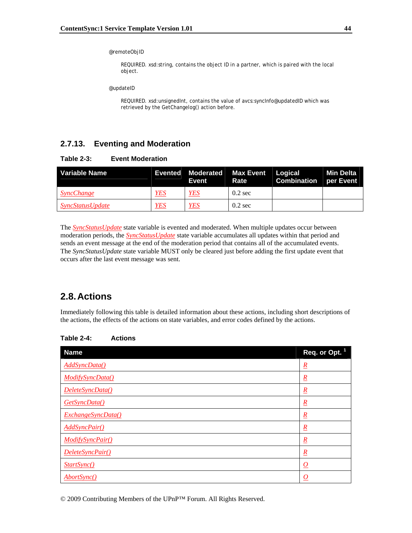#### @remoteObjID

REQUIRED. xsd:string, contains the object ID in a partner, which is paired with the local object.

@updateID

REQUIRED. xsd:unsignedInt, contains the value of avcs:syncInfo@updatedID which was retrieved by the GetChangelog() action before.

# **2.7.13. Eventing and Moderation**

| Variable Name                  |            | Event      | Evented Moderated Max Event Logical<br>Rate | <b>Combination</b> per Event | Min Delta |
|--------------------------------|------------|------------|---------------------------------------------|------------------------------|-----------|
| <i><b>SyncChange</b></i>       | <b>YES</b> | YES        | $0.2 \text{ sec}$                           |                              |           |
| <i><b>SyncStatusUpdate</b></i> | <u>YES</u> | <b>YES</b> | $0.2 \text{ sec}$                           |                              |           |

The *SyncStatusUpdate* state variable is evented and moderated. When multiple updates occur between moderation periods, the *SyncStatusUpdate* state variable accumulates all updates within that period and sends an event message at the end of the moderation period that contains all of the accumulated events. The *SyncStatusUpdate* state variable MUST only be cleared just before adding the first update event that occurs after the last event message was sent.

# **2.8. Actions**

Immediately following this table is detailed information about these actions, including short descriptions of the actions, the effects of the actions on state variables, and error codes defined by the actions.

| <b>Name</b>          | Req. or Opt. 1      |
|----------------------|---------------------|
| AddSyncData()        | $\underline{R}$     |
| ModifySyncData()     | $\underline{R}$     |
| DeleteSyncData()     | $\underline{R}$     |
| GetSyncData()        | $\underline{R}$     |
| ExchangeSyncData()   | $\underline{R}$     |
| <b>AddSyncPair()</b> | $\underline{R}$     |
| ModifySyncPair()     | $\underline{R}$     |
| DeleteSyncPair()     | $\underline{R}$     |
| StartSync()          | $\overline{\Omega}$ |
| AbortSync()          | O                   |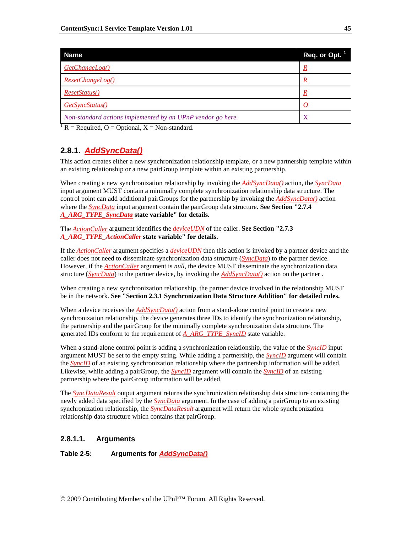| <b>Name</b>                                                 | Req. or Opt. 1 |
|-------------------------------------------------------------|----------------|
| GetChangeLog()                                              | R              |
| ResetChangeLog()                                            | R              |
| ResetStatus()                                               | R              |
| GetSyncStatus()                                             |                |
| Non-standard actions implemented by an UPnP vendor go here. | X              |
|                                                             |                |

 $1 R$  = Required, O = Optional, X = Non-standard.

# **2.8.1.** *AddSyncData()*

This action creates either a new synchronization relationship template, or a new partnership template within an existing relationship or a new pairGroup template within an existing partnership.

When creating a new synchronization relationship by invoking the *AddSyncData()* action, the *SyncData* input argument MUST contain a minimally complete synchronization relationship data structure. The control point can add additional pairGroups for the partnership by invoking the *AddSyncData()* action where the *SyncData* input argument contain the pairGroup data structure. **See Section "2.7.4**  *A\_ARG\_TYPE\_SyncData* **state variable" for details.**

The *ActionCaller* argument identifies the *deviceUDN* of the caller. **See Section "2.7.3**  *A\_ARG\_TYPE\_ActionCaller* **state variable" for details.** 

If the *ActionCaller* argument specifies a *deviceUDN* then this action is invoked by a partner device and the caller does not need to disseminate synchronization data structure (*SyncData*) to the partner device. However, if the *ActionCaller* argument is *null*, the device MUST disseminate the synchronization data structure (*SyncData*) to the partner device, by invoking the *AddSyncData()* action on the partner .

When creating a new synchronization relationship, the partner device involved in the relationship MUST be in the network. **See "Section 2.3.1 Synchronization Data Structure Addition" for detailed rules.**

When a device receives the *AddSyncData()* action from a stand-alone control point to create a new synchronization relationship, the device generates three IDs to identify the synchronization relationship, the partnership and the pairGroup for the minimally complete synchronization data structure. The generated IDs conform to the requirement of *A\_ARG\_TYPE\_SyncID* state variable.

When a stand-alone control point is adding a synchronization relationship, the value of the *SyncID* input argument MUST be set to the empty string. While adding a partnership, the *SyncID* argument will contain the *SyncID* of an existing synchronization relationship where the partnership information will be added. Likewise, while adding a pairGroup, the *SyncID* argument will contain the *SyncID* of an existing partnership where the pairGroup information will be added.

The *SyncDataResult* output argument returns the synchronization relationship data structure containing the newly added data specified by the *SyncData* argument. In the case of adding a pairGroup to an existing synchronization relationship, the *SyncDataResult* argument will return the whole synchronization relationship data structure which contains that pairGroup.

### **2.8.1.1. Arguments**

**Table 2-5: Arguments for** *AddSyncData()*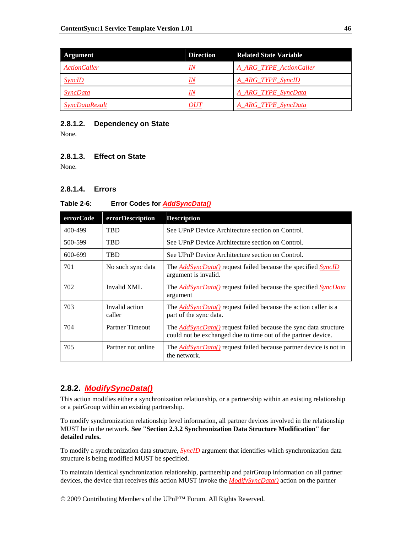| Argument               | <b>Direction</b> | <b>Related State Variable</b> |
|------------------------|------------------|-------------------------------|
| <b>ActionCaller</b>    | IN               | A ARG TYPE ActionCaller       |
| <b>SyncID</b>          | IN               | A ARG TYPE SyncID             |
| <i><b>SyncData</b></i> | IN               | A_ARG_TYPE_SyncData           |
| <b>SyncDataResult</b>  | OUT              | A_ARG_TYPE_SyncData           |

### **2.8.1.2. Dependency on State**

None.

### **2.8.1.3. Effect on State**

None.

### **2.8.1.4. Errors**

### **Table 2-6: Error Codes for** *AddSyncData()*

| errorCode | errorDescription         | <b>Description</b>                                                                                                                       |  |
|-----------|--------------------------|------------------------------------------------------------------------------------------------------------------------------------------|--|
| 400-499   | <b>TBD</b>               | See UPnP Device Architecture section on Control.                                                                                         |  |
| 500-599   | <b>TBD</b>               | See UPnP Device Architecture section on Control.                                                                                         |  |
| 600-699   | <b>TBD</b>               | See UPnP Device Architecture section on Control.                                                                                         |  |
| 701       | No such sync data        | The <b>AddSyncData()</b> request failed because the specified <b>SyncID</b><br>argument is invalid.                                      |  |
| 702       | Invalid XML              | The <i>AddSyncData()</i> request failed because the specified <i>SyncData</i><br>argument                                                |  |
| 703       | Invalid action<br>caller | The <i>AddSyncData()</i> request failed because the action caller is a<br>part of the sync data.                                         |  |
| 704       | Partner Timeout          | The <b>AddSyncData()</b> request failed because the sync data structure<br>could not be exchanged due to time out of the partner device. |  |
| 705       | Partner not online       | The <i>AddSyncData()</i> request failed because partner device is not in<br>the network.                                                 |  |

# **2.8.2.** *ModifySyncData()*

This action modifies either a synchronization relationship, or a partnership within an existing relationship or a pairGroup within an existing partnership.

To modify synchronization relationship level information, all partner devices involved in the relationship MUST be in the network. **See "Section 2.3.2 Synchronization Data Structure Modification" for detailed rules.**

To modify a synchronization data structure, *SyncID* argument that identifies which synchronization data structure is being modified MUST be specified.

To maintain identical synchronization relationship, partnership and pairGroup information on all partner devices, the device that receives this action MUST invoke the *ModifySyncData()* action on the partner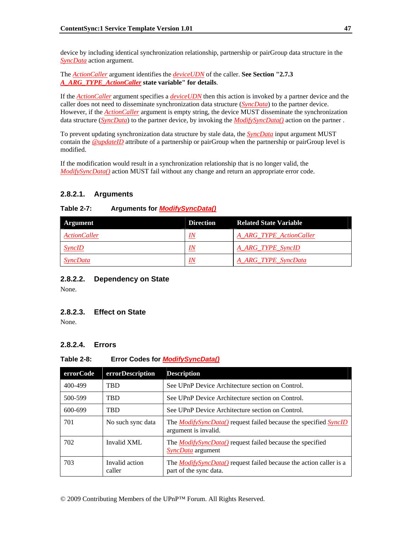device by including identical synchronization relationship, partnership or pairGroup data structure in the *SyncData* action argument.

The *ActionCaller* argument identifies the *deviceUDN* of the caller. **See Section "2.7.3**  *A\_ARG\_TYPE\_ActionCaller* **state variable" for details**.

If the *ActionCaller* argument specifies a *deviceUDN* then this action is invoked by a partner device and the caller does not need to disseminate synchronization data structure (*SyncData*) to the partner device. However, if the *ActionCaller* argument is empty string, the device MUST disseminate the synchronization data structure (*SyncData*) to the partner device, by invoking the *ModifySyncData()* action on the partner .

To prevent updating synchronization data structure by stale data, the *SyncData* input argument MUST contain the *@updateID* attribute of a partnership or pairGroup when the partnership or pairGroup level is modified.

If the modification would result in a synchronization relationship that is no longer valid, the *ModifySyncData()* action MUST fail without any change and return an appropriate error code.

### **2.8.2.1. Arguments**

### **Table 2-7: Arguments for** *ModifySyncData()*

| Argument            | <b>Direction</b> | <b>Related State Variable</b> |
|---------------------|------------------|-------------------------------|
| <b>ActionCaller</b> | IN               | A ARG TYPE ActionCaller       |
| <b>SyncID</b>       | IN               | A ARG TYPE SyncID             |
| <i>SyncData</i>     | IN               | A_ARG_TYPE_SyncData           |

### **2.8.2.2. Dependency on State**

None.

### **2.8.2.3. Effect on State**

None.

# **2.8.2.4. Errors**

### **Table 2-8: Error Codes for** *ModifySyncData()*

| errorCode | errorDescription         | <b>Description</b>                                                                                     |  |
|-----------|--------------------------|--------------------------------------------------------------------------------------------------------|--|
| 400-499   | <b>TRD</b>               | See UPnP Device Architecture section on Control.                                                       |  |
| 500-599   | <b>TBD</b>               | See UPnP Device Architecture section on Control.                                                       |  |
| 600-699   | <b>TRD</b>               | See UPnP Device Architecture section on Control.                                                       |  |
| 701       | No such sync data        | The <i>ModifySyncData()</i> request failed because the specified <i>SyncID</i><br>argument is invalid. |  |
| 702       | Invalid XML              | The <i>ModifySyncData()</i> request failed because the specified<br><i>SyncData</i> argument           |  |
| 703       | Invalid action<br>caller | The <i>ModifySyncData()</i> request failed because the action caller is a<br>part of the sync data.    |  |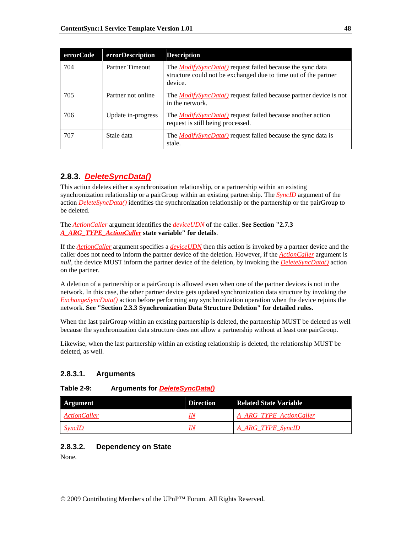| errorCode | errorDescription       | <b>Description</b>                                                                                                                             |
|-----------|------------------------|------------------------------------------------------------------------------------------------------------------------------------------------|
| 704       | <b>Partner Timeout</b> | The <i>ModifySyncData()</i> request failed because the sync data<br>structure could not be exchanged due to time out of the partner<br>device. |
| 705       | Partner not online     | The <i>ModifySyncData</i> () request failed because partner device is not<br>in the network.                                                   |
| 706       | Update in-progress     | The <i>ModifySyncData()</i> request failed because another action<br>request is still being processed.                                         |
| 707       | Stale data             | The <i>ModifySyncData()</i> request failed because the sync data is<br>stale.                                                                  |

# **2.8.3.** *DeleteSyncData()*

This action deletes either a synchronization relationship, or a partnership within an existing synchronization relationship or a pairGroup within an existing partnership. The *SyncID* argument of the action *DeleteSyncData()* identifies the synchronization relationship or the partnership or the pairGroup to be deleted.

The *ActionCaller* argument identifies the *deviceUDN* of the caller. **See Section "2.7.3**  *A\_ARG\_TYPE\_ActionCaller* **state variable" for details**.

If the *ActionCaller* argument specifies a *deviceUDN* then this action is invoked by a partner device and the caller does not need to inform the partner device of the deletion. However, if the *ActionCaller* argument is *null*, the device MUST inform the partner device of the deletion, by invoking the *DeleteSyncData()* action on the partner.

A deletion of a partnership or a pairGroup is allowed even when one of the partner devices is not in the network. In this case, the other partner device gets updated synchronization data structure by invoking the *ExchangeSyncData()* action before performing any synchronization operation when the device rejoins the network. **See "Section 2.3.3 Synchronization Data Structure Deletion" for detailed rules.**

When the last pairGroup within an existing partnership is deleted, the partnership MUST be deleted as well because the synchronization data structure does not allow a partnership without at least one pairGroup.

Likewise, when the last partnership within an existing relationship is deleted, the relationship MUST be deleted, as well.

# **2.8.3.1. Arguments**

| <b>Table 2-9:</b> | Arguments for <b>DeleteSyncData()</b> |  |
|-------------------|---------------------------------------|--|
|                   |                                       |  |

| Argument                   | <b>Direction</b> | <b>Related State Variable</b> |
|----------------------------|------------------|-------------------------------|
| <i><b>ActionCaller</b></i> | IN               | A ARG TYPE ActionCaller       |
| SyncID                     | IN               | A ARG TYPE SyncID             |

# **2.8.3.2. Dependency on State**

None.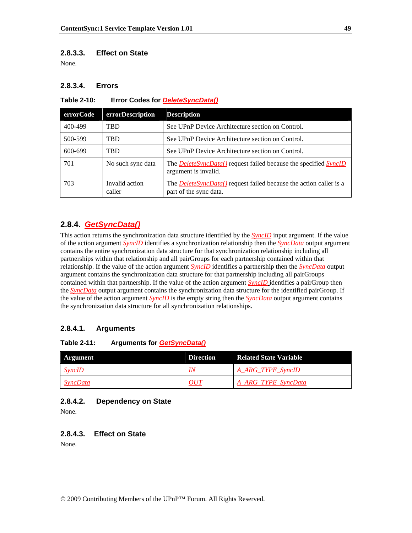### **2.8.3.3. Effect on State**

None.

### **2.8.3.4. Errors**

#### **Table 2-10: Error Codes for** *DeleteSyncData()*

| errorCode | errorDescription         | <b>Description</b>                                                                                   |
|-----------|--------------------------|------------------------------------------------------------------------------------------------------|
| 400-499   | <b>TBD</b>               | See UPnP Device Architecture section on Control.                                                     |
| 500-599   | <b>TBD</b>               | See UPnP Device Architecture section on Control.                                                     |
| 600-699   | <b>TBD</b>               | See UPnP Device Architecture section on Control.                                                     |
| 701       | No such sync data        | The <b>DeleteSyncData()</b> request failed because the specified SyncID<br>argument is invalid.      |
| 703       | Invalid action<br>caller | The <i>DeleteSyncData</i> () request failed because the action caller is a<br>part of the sync data. |

## **2.8.4.** *GetSyncData()*

This action returns the synchronization data structure identified by the *SyncID* input argument. If the value of the action argument *SyncID* identifies a synchronization relationship then the *SyncData* output argument contains the entire synchronization data structure for that synchronization relationship including all partnerships within that relationship and all pairGroups for each partnership contained within that relationship. If the value of the action argument *SyncID* identifies a partnership then the *SyncData* output argument contains the synchronization data structure for that partnership including all pairGroups contained within that partnership. If the value of the action argument *SyncID* identifies a pairGroup then the *SyncData* output argument contains the synchronization data structure for the identified pairGroup. If the value of the action argument *SyncID* is the empty string then the *SyncData* output argument contains the synchronization data structure for all synchronization relationships.

### **2.8.4.1. Arguments**

#### **Table 2-11: Arguments for** *GetSyncData()*

| Argument        | <b>Direction</b> | <b>Related State Variable</b> |
|-----------------|------------------|-------------------------------|
| <i>SyncID</i>   | IN               | A ARG TYPE SyncID             |
| <i>SyncData</i> | OUT              | A ARG TYPE SyncData           |

### **2.8.4.2. Dependency on State**

None.

### **2.8.4.3. Effect on State**

None.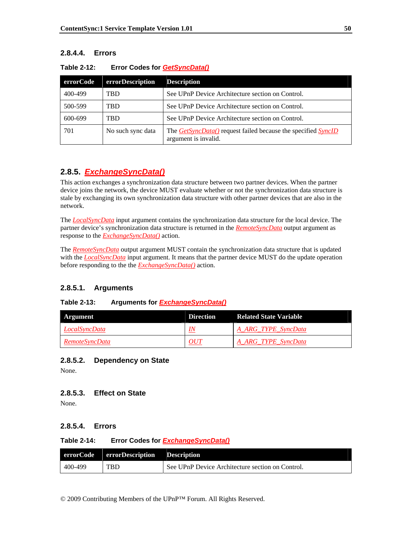# **2.8.4.4. Errors**

| errorCode | errorDescription  | <b>Description</b>                                                                                  |
|-----------|-------------------|-----------------------------------------------------------------------------------------------------|
| 400-499   | TBD               | See UPnP Device Architecture section on Control.                                                    |
| 500-599   | TBD               | See UPnP Device Architecture section on Control.                                                    |
| 600-699   | TBD               | See UPnP Device Architecture section on Control.                                                    |
| 701       | No such sync data | The <i>GetSyncData()</i> request failed because the specified <i>SyncID</i><br>argument is invalid. |

| Table 2-12: | <b>Error Codes for GetSyncData()</b> |  |
|-------------|--------------------------------------|--|
|             |                                      |  |

# **2.8.5.** *ExchangeSyncData()*

This action exchanges a synchronization data structure between two partner devices. When the partner device joins the network, the device MUST evaluate whether or not the synchronization data structure is stale by exchanging its own synchronization data structure with other partner devices that are also in the network.

The *LocalSyncData* input argument contains the synchronization data structure for the local device. The partner device's synchronization data structure is returned in the *RemoteSyncData* output argument as response to the *ExchangeSyncData()* action.

The *RemoteSyncData* output argument MUST contain the synchronization data structure that is updated with the *LocalSyncData* input argument. It means that the partner device MUST do the update operation before responding to the the *ExchangeSyncData()* action.

# **2.8.5.1. Arguments**

### **Table 2-13: Arguments for** *ExchangeSyncData()*

| Argument              | <b>Direction</b> | <b>Related State Variable</b> |
|-----------------------|------------------|-------------------------------|
| <i>LocalSyncData</i>  | IN               | A ARG TYPE SyncData           |
| <b>RemoteSyncData</b> | OUT              | A ARG TYPE SyncData           |

### **2.8.5.2. Dependency on State**

None.

### **2.8.5.3. Effect on State**

None.

# **2.8.5.4. Errors**

### **Table 2-14: Error Codes for** *ExchangeSyncData()*

|         | errorCode errorDescription Description |                                                  |
|---------|----------------------------------------|--------------------------------------------------|
| 400-499 | <b>TBD</b>                             | See UPnP Device Architecture section on Control. |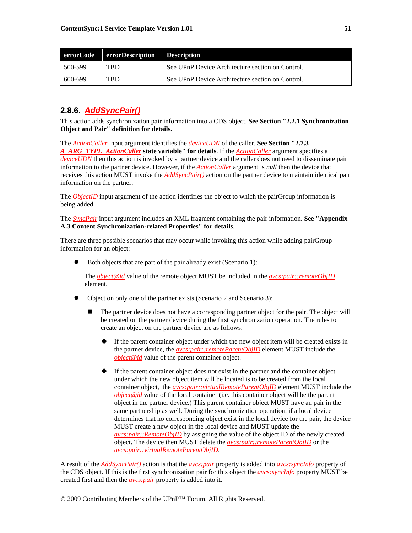|         | errorCode errorDescription Description |                                                  |
|---------|----------------------------------------|--------------------------------------------------|
| 500-599 | . TBD                                  | See UPnP Device Architecture section on Control. |
| 600-699 | . TBD                                  | See UPnP Device Architecture section on Control. |

# **2.8.6.** *AddSyncPair()*

This action adds synchronization pair information into a CDS object. **See Section "2.2.1 Synchronization Object and Pair" definition for details.**

The *ActionCaller* input argument identifies the *deviceUDN* of the caller. **See Section "2.7.3**  *A\_ARG\_TYPE\_ActionCaller* **state variable" for details**. If the *ActionCaller* argument specifies a *deviceUDN* then this action is invoked by a partner device and the caller does not need to disseminate pair information to the partner device. However, if the *ActionCaller* argument is *null* then the device that receives this action MUST invoke the *AddSyncPair()* action on the partner device to maintain identical pair information on the partner.

The *ObjectID* input argument of the action identifies the object to which the pairGroup information is being added.

The *SyncPair* input argument includes an XML fragment containing the pair information. **See "Appendix A.3 Content Synchronization-related Properties" for details**.

There are three possible scenarios that may occur while invoking this action while adding pairGroup information for an object:

• Both objects that are part of the pair already exist (Scenario 1):

The *object@id* value of the remote object MUST be included in the *avcs:pair::remoteObjID* element.

- z Object on only one of the partner exists (Scenario 2 and Scenario 3):
	- The partner device does not have a corresponding partner object for the pair. The object will be created on the partner device during the first synchronization operation. The rules to create an object on the partner device are as follows:
		- If the parent container object under which the new object item will be created exists in the partner device, the *avcs:pair::remoteParentObjID* element MUST include the *object@id* value of the parent container object.
		- $\blacklozenge$  If the parent container object does not exist in the partner and the container object under which the new object item will be located is to be created from the local container object, the *avcs:pair::virtualRemoteParentObjID* element MUST include the *object@id* value of the local container (i.e. this container object will be the parent object in the partner device.) This parent container object MUST have an pair in the same partnership as well. During the synchronization operation, if a local device determines that no corresponding object exist in the local device for the pair, the device MUST create a new object in the local device and MUST update the *avcs:pair::RemoteObjID* by assigning the value of the object ID of the newly created object. The device then MUST delete the *avcs:pair::remoteParentObjID* or the *avcs:pair::virtualRemoteParentObjID*.

A result of the *AddSyncPair()* action is that the *avcs:pair* property is added into *avcs:syncInfo* property of the CDS object. If this is the first synchronization pair for this object the *avcs:syncInfo* property MUST be created first and then the *avcs:pair* property is added into it.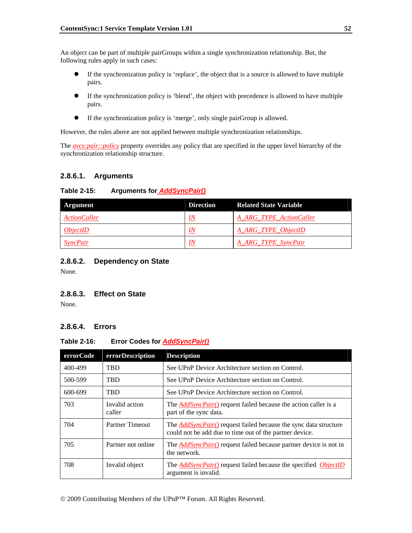An object can be part of multiple pairGroups within a single synchronization relationship. But, the following rules apply in such cases:

- If the synchronization policy is 'replace', the object that is a source is allowed to have multiple pairs.
- z If the synchronization policy is 'blend', the object with precedence is allowed to have multiple pairs.
- If the synchronization policy is 'merge', only single pairGroup is allowed.

However, the rules above are not applied between multiple synchronization relationships.

The *avcs:pair::policy* property overrides any policy that are specified in the upper level hierarchy of the synchronization relationship structure.

### **2.8.6.1. Arguments**

### **Table 2-15: Arguments for** *AddSyncPair()*

| Argument            | <b>Direction</b> | <b>Related State Variable</b> |
|---------------------|------------------|-------------------------------|
| <b>ActionCaller</b> | IN               | A ARG TYPE ActionCaller       |
| ObjectID            | IN               | A ARG TYPE ObjectID           |
| <b>SyncPair</b>     | IN               | A ARG TYPE SyncPair           |

### **2.8.6.2. Dependency on State**

None.

### **2.8.6.3. Effect on State**

None.

### **2.8.6.4. Errors**

### **Table 2-16: Error Codes for** *AddSyncPair()*

| errorCode | errorDescription         | <b>Description</b>                                                                                                                 |
|-----------|--------------------------|------------------------------------------------------------------------------------------------------------------------------------|
| 400-499   | <b>TRD</b>               | See UPnP Device Architecture section on Control.                                                                                   |
| 500-599   | <b>TBD</b>               | See UPnP Device Architecture section on Control.                                                                                   |
| 600-699   | <b>TRD</b>               | See UPnP Device Architecture section on Control.                                                                                   |
| 703       | Invalid action<br>caller | The <b>AddSyncPair()</b> request failed because the action caller is a<br>part of the sync data.                                   |
| 704       | <b>Partner Timeout</b>   | The <b>AddSyncPair()</b> request failed because the sync data structure<br>could not be add due to time out of the partner device. |
| 705       | Partner not online       | The <b>AddSyncPair</b> () request failed because partner device is not in<br>the network.                                          |
| 708       | Invalid object           | The <b>AddSyncPair()</b> request failed because the specified <i>ObjectID</i><br>argument is invalid.                              |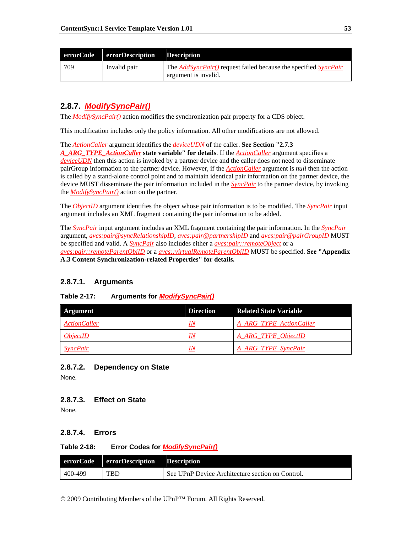|     | errorCode errorDescription Description |                                                                                                       |
|-----|----------------------------------------|-------------------------------------------------------------------------------------------------------|
| 709 | Invalid pair                           | The <i>AddSyncPair()</i> request failed because the specified <i>SyncPair</i><br>argument is invalid. |

# **2.8.7.** *ModifySyncPair()*

The *ModifySyncPair()* action modifies the synchronization pair property for a CDS object.

This modification includes only the policy information. All other modifications are not allowed.

The *ActionCaller* argument identifies the *deviceUDN* of the caller. **See Section "2.7.3** 

*A\_ARG\_TYPE\_ActionCaller* **state variable" for details**. If the *ActionCaller* argument specifies a *deviceUDN* then this action is invoked by a partner device and the caller does not need to disseminate pairGroup information to the partner device. However, if the *ActionCaller* argument is *null* then the action is called by a stand-alone control point and to maintain identical pair information on the partner device, the device MUST disseminate the pair information included in the *SyncPair* to the partner device, by invoking the *ModifySyncPair()* action on the partner.

The *ObjectID* argument identifies the object whose pair information is to be modified. The *SyncPair* input argument includes an XML fragment containing the pair information to be added.

The *SyncPair* input argument includes an XML fragment containing the pair information. In the *SyncPair* argument, *avcs:pair@syncRelationshipID*, *avcs:pair@partnershipID* and *avcs:pair@pairGroupID* MUST be specified and valid. A *SyncPair* also includes either a *avcs:pair::remoteObject* or a *avcs:pair::remoteParentObjID* or a *avcs::virtualRemoteParentObjID* MUST be specified. **See "Appendix A.3 Content Synchronization-related Properties" for details.** 

### **2.8.7.1. Arguments**

| Argument               | <b>Direction</b> | <b>Related State Variable</b> |  |
|------------------------|------------------|-------------------------------|--|
| <b>ActionCaller</b>    | IN               | A ARG_TYPE_ActionCaller       |  |
| <i><b>ObjectID</b></i> | IN               | A ARG TYPE ObjectID           |  |

*IN A\_ARG\_TYPE\_SyncPair* 

# **Table 2-17: Arguments for** *ModifySyncPair()*

### **2.8.7.2. Dependency on State**

None.

### **2.8.7.3. Effect on State**

None.

### **2.8.7.4. Errors**

#### **Table 2-18: Error Codes for** *ModifySyncPair()*

|         | errorCode errorDescription Description |                                                  |
|---------|----------------------------------------|--------------------------------------------------|
| 400-499 | <b>TBD</b>                             | See UPnP Device Architecture section on Control. |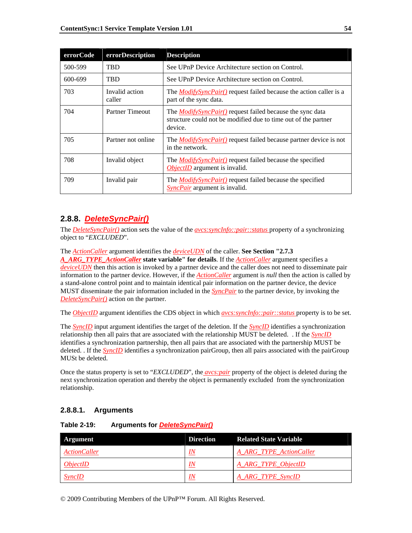| errorCode | errorDescription         | <b>Description</b>                                                                                                                            |
|-----------|--------------------------|-----------------------------------------------------------------------------------------------------------------------------------------------|
| 500-599   | <b>TRD</b>               | See UPnP Device Architecture section on Control.                                                                                              |
| 600-699   | <b>TBD</b>               | See UPnP Device Architecture section on Control.                                                                                              |
| 703       | Invalid action<br>caller | The <i>ModifySyncPair()</i> request failed because the action caller is a<br>part of the sync data.                                           |
| 704       | Partner Timeout          | The <i>ModifySyncPair()</i> request failed because the sync data<br>structure could not be modified due to time out of the partner<br>device. |
| 705       | Partner not online       | The <i>ModifySyncPair()</i> request failed because partner device is not<br>in the network.                                                   |
| 708       | Invalid object           | The <i>ModifySyncPair()</i> request failed because the specified<br>ObjectID argument is invalid.                                             |
| 709       | Invalid pair             | The <i>ModifySyncPair()</i> request failed because the specified<br>SyncPair argument is invalid.                                             |

# **2.8.8.** *DeleteSyncPair()*

The *DeleteSyncPair()* action sets the value of the *avcs:syncInfo::pair::status* property of a synchronizing object to "*EXCLUDED*".

The *ActionCaller* argument identifies the *deviceUDN* of the caller. **See Section "2.7.3** 

*A\_ARG\_TYPE\_ActionCaller* **state variable" for details**. If the *ActionCaller* argument specifies a *deviceUDN* then this action is invoked by a partner device and the caller does not need to disseminate pair information to the partner device. However, if the *ActionCaller* argument is *null* then the action is called by a stand-alone control point and to maintain identical pair information on the partner device, the device MUST disseminate the pair information included in the *SyncPair* to the partner device, by invoking the *DeleteSyncPair()* action on the partner.

The *ObjectID* argument identifies the CDS object in which *avcs:syncInfo::pair::status* property is to be set.

The *SyncID* input argument identifies the target of the deletion. If the *SyncID* identifies a synchronization relationship then all pairs that are associated with the relationship MUST be deleted. . If the *SyncID* identifies a synchronization partnership, then all pairs that are associated with the partnership MUST be deleted. . If the *SyncID* identifies a synchronization pairGroup, then all pairs associated with the pairGroup MUSt be deleted.

Once the status property is set to "*EXCLUDED*", the *avcs:pair* property of the object is deleted during the next synchronization operation and thereby the object is permanently excluded from the synchronization relationship.

# **2.8.8.1. Arguments**

**Table 2-19: Arguments for** *DeleteSyncPair()*

| Argument            | <b>Direction</b> | <b>Related State Variable</b> |
|---------------------|------------------|-------------------------------|
| <i>ActionCaller</i> | <u>IN</u>        | A ARG TYPE ActionCaller       |
| ObjectID            | IN               | A_ARG_TYPE_ObjectID           |
| SyncID              | IN               | A_ARG_TYPE_SyncID             |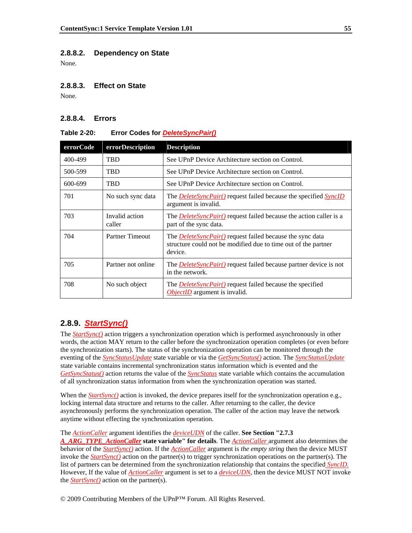#### **2.8.8.2. Dependency on State**

None.

#### **2.8.8.3. Effect on State**

None.

### **2.8.8.4. Errors**

#### **Table 2-20: Error Codes for** *DeleteSyncPair()*

| errorCode | errorDescription         | <b>Description</b>                                                                                                                            |
|-----------|--------------------------|-----------------------------------------------------------------------------------------------------------------------------------------------|
| 400-499   | <b>TRD</b>               | See UPnP Device Architecture section on Control.                                                                                              |
| 500-599   | <b>TBD</b>               | See UPnP Device Architecture section on Control.                                                                                              |
| 600-699   | <b>TBD</b>               | See UPnP Device Architecture section on Control.                                                                                              |
| 701       | No such sync data        | The <b>DeleteSyncPair</b> () request failed because the specified SyncID<br>argument is invalid.                                              |
| 703       | Invalid action<br>caller | The <i>DeleteSyncPair()</i> request failed because the action caller is a<br>part of the sync data.                                           |
| 704       | <b>Partner Timeout</b>   | The <i>DeleteSyncPair()</i> request failed because the sync data<br>structure could not be modified due to time out of the partner<br>device. |
| 705       | Partner not online       | The <i>DeleteSyncPair()</i> request failed because partner device is not<br>in the network.                                                   |
| 708       | No such object           | The <i>DeleteSyncPair()</i> request failed because the specified<br><i>ObjectID</i> argument is invalid.                                      |

### **2.8.9.** *StartSync()*

The *StartSync()* action triggers a synchronization operation which is performed asynchronously in other words, the action MAY return to the caller before the synchronization operation completes (or even before the synchronization starts). The status of the synchronization operation can be monitored through the eventing of the *SyncStatusUpdate* state variable or via the *GetSyncStatus()* action. The *SyncStatusUpdate* state variable contains incremental synchronization status information which is evented and the *GetSyncStatus()* action returns the value of the *SyncStatus* state variable which contains the accumulation of all synchronization status information from when the synchronization operation was started.

When the *StartSync()* action is invoked, the device prepares itself for the synchronization operation e.g., locking internal data structure and returns to the caller. After returning to the caller, the device asynchronously performs the synchronization operation. The caller of the action may leave the network anytime without effecting the synchronization operation.

The *ActionCaller* argument identifies the *deviceUDN* of the caller. **See Section "2.7.3** 

*A\_ARG\_TYPE\_ActionCaller* **state variable" for details**. The *ActionCaller* argument also determines the behavior of the *StartSync()* action. If the *ActionCaller* argument is *the empty string* then the device MUST invoke the *StartSync()* action on the partner(s) to trigger synchronization operations on the partner(s). The list of partners can be determined from the synchronization relationship that contains the specified *SyncID.* However, If the value of *ActionCaller* argument is set to a *deviceUDN*, then the device MUST NOT invoke the *StartSync()* action on the partner(s).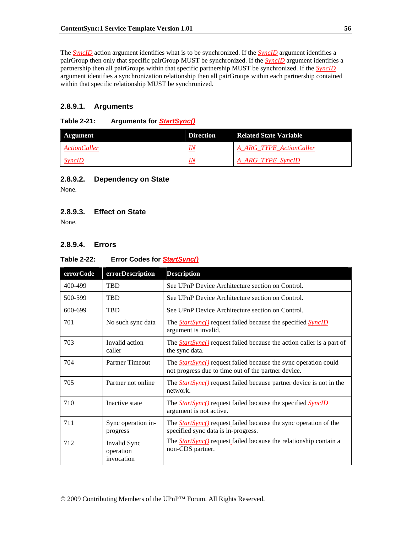The *SyncID* action argument identifies what is to be synchronized. If the *SyncID* argument identifies a pairGroup then only that specific pairGroup MUST be synchronized. If the *SyncID* argument identifies a partnership then all pairGroups within that specific partnership MUST be synchronized. If the *SyncID* argument identifies a synchronization relationship then all pairGroups within each partnership contained within that specific relationship MUST be synchronized.

### **2.8.9.1. Arguments**

### **Table 2-21: Arguments for** *StartSync()*

| Argument            | <b>Direction</b> | <b>Related State Variable</b> |
|---------------------|------------------|-------------------------------|
| <b>ActionCaller</b> | IN               | A ARG TYPE ActionCaller       |
| $S$ <i>yncID</i>    | IN               | A_ARG_TYPE_SyncID             |

### **2.8.9.2. Dependency on State**

None.

### **2.8.9.3. Effect on State**

None.

# **2.8.9.4. Errors**

### **Table 2-22: Error Codes for** *StartSync()*

| errorCode | <b>errorDescription</b>                 | <b>Description</b>                                                                                                             |
|-----------|-----------------------------------------|--------------------------------------------------------------------------------------------------------------------------------|
| 400-499   | <b>TBD</b>                              | See UPnP Device Architecture section on Control.                                                                               |
| 500-599   | <b>TBD</b>                              | See UPnP Device Architecture section on Control.                                                                               |
| 600-699   | <b>TRD</b>                              | See UPnP Device Architecture section on Control.                                                                               |
| 701       | No such sync data                       | The <b>StartSync()</b> request failed because the specified <b>SyncID</b><br>argument is invalid.                              |
| 703       | Invalid action<br>caller                | The <i>StartSync</i> () request failed because the action caller is a part of<br>the sync data.                                |
| 704       | <b>Partner Timeout</b>                  | The <b>StartSync</b> () request failed because the sync operation could<br>not progress due to time out of the partner device. |
| 705       | Partner not online                      | The <b>StartSync</b> () request failed because partner device is not in the<br>network.                                        |
| 710       | Inactive state                          | The <b>StartSync</b> () request failed because the specified <b>SyncID</b><br>argument is not active.                          |
| 711       | Sync operation in-<br>progress          | The <b>StartSync</b> () request failed because the sync operation of the<br>specified sync data is in-progress.                |
| 712       | Invalid Sync<br>operation<br>invocation | The <b>StartSync</b> () request failed because the relationship contain a<br>non-CDS partner.                                  |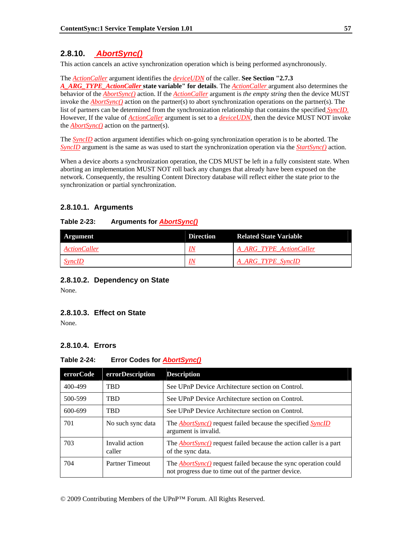# **2.8.10.** *AbortSync()*

This action cancels an active synchronization operation which is being performed asynchronously.

The *ActionCaller* argument identifies the *deviceUDN* of the caller. **See Section "2.7.3**  *A\_ARG\_TYPE\_ActionCaller* **state variable" for details**. The *ActionCaller* argument also determines the behavior of the *AbortSync()* action. If the *ActionCaller* argument is *the empty string* then the device MUST invoke the *AbortSync()* action on the partner(s) to abort synchronization operations on the partner(s). The list of partners can be determined from the synchronization relationship that contains the specified *SyncID.* However, If the value of *ActionCaller* argument is set to a *deviceUDN*, then the device MUST NOT invoke the *AbortSync()* action on the partner(s).

The *SyncID* action argument identifies which on-going synchronization operation is to be aborted. The *SyncID* argument is the same as was used to start the synchronization operation via the *StartSync()* action.

When a device aborts a synchronization operation, the CDS MUST be left in a fully consistent state. When aborting an implementation MUST NOT roll back any changes that already have been exposed on the network. Consequently, the resulting Content Directory database will reflect either the state prior to the synchronization or partial synchronization.

# **2.8.10.1. Arguments**

### **Table 2-23: Arguments for** *AbortSync()*

| Argument                   | <b>Direction</b> | <b>Related State Variable</b> |
|----------------------------|------------------|-------------------------------|
| <i><b>ActionCaller</b></i> | IN               | A ARG TYPE ActionCaller       |
| <b>SyncID</b>              | IN               | A ARG TYPE SyncID             |

### **2.8.10.2. Dependency on State**

None.

### **2.8.10.3. Effect on State**

None.

### **2.8.10.4. Errors**

### **Table 2-24: Error Codes for** *AbortSync()*

| errorCode | errorDescription         | <b>Description</b>                                                                                                            |
|-----------|--------------------------|-------------------------------------------------------------------------------------------------------------------------------|
| 400-499   | <b>TRD</b>               | See UPnP Device Architecture section on Control.                                                                              |
| 500-599   | <b>TRD</b>               | See UPnP Device Architecture section on Control.                                                                              |
| 600-699   | <b>TRD</b>               | See UPnP Device Architecture section on Control.                                                                              |
| 701       | No such sync data        | The <b><i>AbortSync</i></b> () request failed because the specified <i>SyncID</i><br>argument is invalid.                     |
| 703       | Invalid action<br>caller | The <b><i>AbortSync</i></b> request failed because the action caller is a part<br>of the sync data.                           |
| 704       | Partner Timeout          | The <i>AbortSync()</i> request failed because the sync operation could<br>not progress due to time out of the partner device. |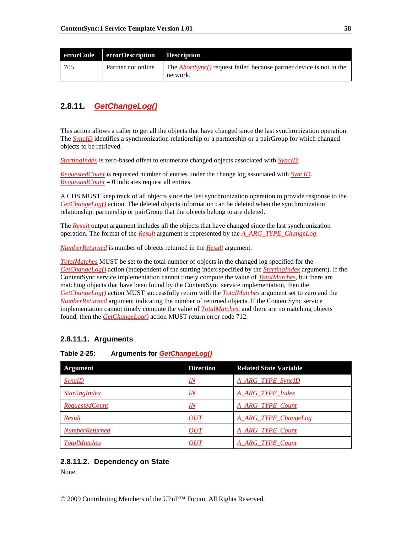|     | errorCode errorDescription Description |                                                                                         |
|-----|----------------------------------------|-----------------------------------------------------------------------------------------|
| 705 | Partner not online                     | The <i>AbortSync</i> () request failed because partner device is not in the<br>network. |

# **2.8.11.** *GetChangeLog()*

This action allows a caller to get all the objects that have changed since the last synchronization operation. The *SyncID* identifies a synchronization relationship or a partnership or a pairGroup for which changed objects to be retrieved.

*StartingIndex* is zero-based offset to enumerate changed objects associated with *SyncID*.

*RequestedCount* is requested number of entries under the change log associated with *SyncID*. *RequestedCount* = 0 indicates request all entries.

A CDS MUST keep track of all objects since the last synchronization operation to provide response to the *GetChangeLog()* action. The deleted objects information can be deleted when the synchronization relationship, partnership or pairGroup that the objects belong to are deleted.

The *Result* output argument includes all the objects that have changed since the last synchronization operation. The format of the *Result* argument is represented by the *A\_ARG\_TYPE\_ChangeLog*.

*NumberReturned* is number of objects returned in the *Result* argument.

*TotalMatches* MUST be set to the total number of objects in the changed log specified for the *GetChangeLog()* action (independent of the starting index specified by the *StartingIndex* argument). If the ContentSync service implementation cannot timely compute the value of *TotalMatches*, but there are matching objects that have been found by the ContentSync service implementation, then the *GetChangeLog()* action MUST successfully return with the *TotalMatches* argument set to zero and the *NumberReturned* argument indicating the number of returned objects. If the ContentSync service implementation cannot timely compute the value of *TotalMatches*, and there are no matching objects found, then the *GetChangeLog()* action MUST return error code 712.

# **2.8.11.1. Arguments**

### **Table 2-25: Arguments for** *GetChangeLog()*

| <b>Argument</b>       | <b>Direction</b>              | <b>Related State Variable</b> |
|-----------------------|-------------------------------|-------------------------------|
| <b>SyncID</b>         | <u>IN</u>                     | <b>A ARG TYPE SyncID</b>      |
| <b>StartingIndex</b>  | $\underline{I} \underline{N}$ | A ARG TYPE Index              |
| <b>RequestedCount</b> | $\underline{I} \underline{N}$ | A_ARG_TYPE_Count              |
| Result                | OUT                           | A_ARG_TYPE_ChangeLog          |
| <b>NumberReturned</b> | OUT                           | A ARG TYPE Count              |
| <b>TotalMatches</b>   | OUT                           | A ARG TYPE Count              |

### **2.8.11.2. Dependency on State**

None.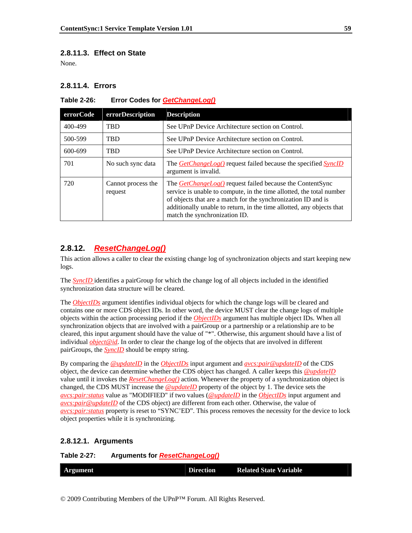### **2.8.11.3. Effect on State**

None.

### **2.8.11.4. Errors**

| errorCode | errorDescription              | <b>Description</b>                                                                                                                                                                                                                                                                                                  |
|-----------|-------------------------------|---------------------------------------------------------------------------------------------------------------------------------------------------------------------------------------------------------------------------------------------------------------------------------------------------------------------|
| 400-499   | <b>TBD</b>                    | See UPnP Device Architecture section on Control.                                                                                                                                                                                                                                                                    |
| 500-599   | <b>TBD</b>                    | See UPnP Device Architecture section on Control.                                                                                                                                                                                                                                                                    |
| 600-699   | <b>TBD</b>                    | See UPnP Device Architecture section on Control.                                                                                                                                                                                                                                                                    |
| 701       | No such sync data             | The <b>GetChangeLog()</b> request failed because the specified <b>SyncID</b><br>argument is invalid.                                                                                                                                                                                                                |
| 720       | Cannot process the<br>request | The <i>GetChangeLog()</i> request failed because the ContentSync<br>service is unable to compute, in the time allotted, the total number<br>of objects that are a match for the synchronization ID and is<br>additionally unable to return, in the time allotted, any objects that<br>match the synchronization ID. |

### **Table 2-26: Error Codes for** *GetChangeLog()*

# **2.8.12.** *ResetChangeLog()*

This action allows a caller to clear the existing change log of synchronization objects and start keeping new logs.

The *SyncID* identifies a pairGroup for which the change log of all objects included in the identified synchronization data structure will be cleared.

The *ObjectIDs* argument identifies individual objects for which the change logs will be cleared and contains one or more CDS object IDs. In other word, the device MUST clear the change logs of multiple objects within the action processing period if the *ObjectIDs* argument has multiple object IDs. When all synchronization objects that are involved with a pairGroup or a partnership or a relationship are to be cleared, this input argument should have the value of "\*". Otherwise, this argument should have a list of individual *object@id*. In order to clear the change log of the objects that are involved in different pairGroups, the *SyncID* should be empty string.

By comparing the *@updateID* in the *ObjectIDs* input argument and *avcs:pair@updateID* of the CDS object, the device can determine whether the CDS object has changed. A caller keeps this *@updateID* value until it invokes the *ResetChangeLog()* action. Whenever the property of a synchronization object is changed, the CDS MUST increase the *@updateID* property of the object by 1. The device sets the *avcs:pair:status* value as "MODIFIED" if two values (*@updateID* in the *ObjectIDs* input argument and *avcs:pair@updateID* of the CDS object) are different from each other. Otherwise, the value of *avcs:pair:status* property is reset to "SYNC'ED". This process removes the necessity for the device to lock object properties while it is synchronizing.

#### **2.8.12.1. Arguments**

**Table 2-27: Arguments for** *ResetChangeLog()*

|  | Argument | <b>Direction</b> | <b>Related State Variable</b> |
|--|----------|------------------|-------------------------------|
|--|----------|------------------|-------------------------------|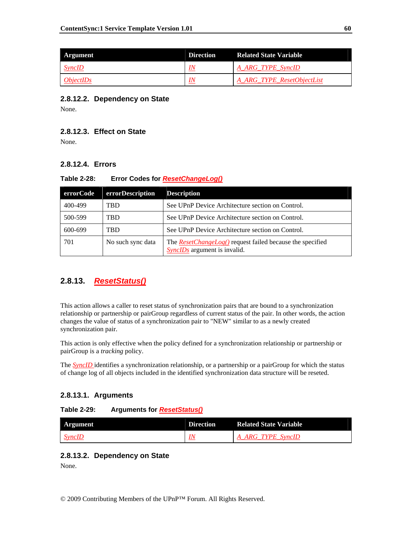| Argument                | <b>Direction</b> | <b>Related State Variable</b> |
|-------------------------|------------------|-------------------------------|
| <i>SyncID</i>           | IN               | A ARG TYPE SyncID             |
| <i><b>ObjectIDs</b></i> | IN               | A ARG TYPE ResetObjectList    |

### **2.8.12.2. Dependency on State**

None.

### **2.8.12.3. Effect on State**

None.

# **2.8.12.4. Errors**

### **Table 2-28: Error Codes for** *ResetChangeLog()*

| errorCode | errorDescription  | <b>Description</b>                                                                                      |
|-----------|-------------------|---------------------------------------------------------------------------------------------------------|
| 400-499   | TBD               | See UPnP Device Architecture section on Control.                                                        |
| 500-599   | TBD               | See UPnP Device Architecture section on Control.                                                        |
| 600-699   | <b>TBD</b>        | See UPnP Device Architecture section on Control.                                                        |
| 701       | No such sync data | The <i>ResetChangeLog()</i> request failed because the specified<br><i>SyncIDs</i> argument is invalid. |

# **2.8.13.** *ResetStatus()*

This action allows a caller to reset status of synchronization pairs that are bound to a synchronization relationship or partnership or pairGroup regardless of current status of the pair. In other words, the action changes the value of status of a synchronization pair to "NEW" similar to as a newly created synchronization pair.

This action is only effective when the policy defined for a synchronization relationship or partnership or pairGroup is a *tracking* policy.

The *SyncID* identifies a synchronization relationship, or a partnership or a pairGroup for which the status of change log of all objects included in the identified synchronization data structure will be reseted.

### **2.8.13.1. Arguments**

### **Table 2-29: Arguments for** *ResetStatus()*

| Argument      | <b>Direction</b> | <b>Related State Variable</b> |
|---------------|------------------|-------------------------------|
| <b>SyncID</b> |                  | <b>ARG TYPE SyncID</b>        |

# **2.8.13.2. Dependency on State**

None.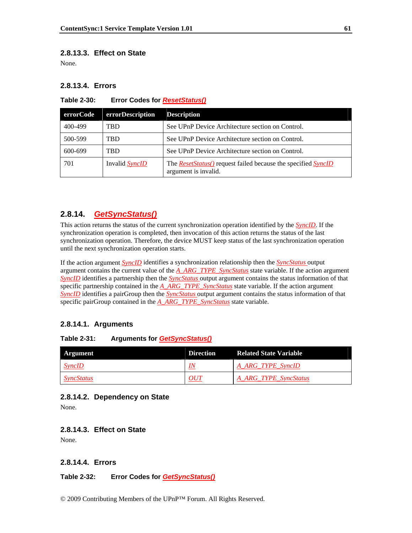### **2.8.13.3. Effect on State**

None.

### **2.8.13.4. Errors**

**Table 2-30: Error Codes for** *ResetStatus()*

| errorCode | errorDescription      | <b>Description</b>                                                                                  |
|-----------|-----------------------|-----------------------------------------------------------------------------------------------------|
| 400-499   | TBD                   | See UPnP Device Architecture section on Control.                                                    |
| 500-599   | TBD                   | See UPnP Device Architecture section on Control.                                                    |
| 600-699   | <b>TRD</b>            | See UPnP Device Architecture section on Control.                                                    |
| 701       | Invalid <i>SyncID</i> | The <i>ResetStatus()</i> request failed because the specified <i>SyncID</i><br>argument is invalid. |

# **2.8.14.** *GetSyncStatus()*

This action returns the status of the current synchronization operation identified by the *SyncID*. If the synchronization operation is completed, then invocation of this action returns the status of the last synchronization operation. Therefore, the device MUST keep status of the last synchronization operation until the next synchronization operation starts.

If the action argument *SyncID* identifies a synchronization relationship then the *SyncStatus* output argument contains the current value of the *A\_ARG\_TYPE\_SyncStatus* state variable. If the action argument *SyncID* identifies a partnership then the *SyncStatus* output argument contains the status information of that specific partnership contained in the *A\_ARG\_TYPE\_SyncStatus* state variable. If the action argument *SyncID* identifies a pairGroup then the *SyncStatus* output argument contains the status information of that specific pairGroup contained in the *A\_ARG\_TYPE\_SyncStatus* state variable.

### **2.8.14.1. Arguments**

### **Table 2-31: Arguments for** *GetSyncStatus()*

| Argument          | <b>Direction</b> | <b>Related State Variable</b> |
|-------------------|------------------|-------------------------------|
| $S$ <i>yncID</i>  | IN               | A_ARG_TYPE_SyncID             |
| <i>SyncStatus</i> | OUT              | A_ARG_TYPE_SyncStatus         |

### **2.8.14.2. Dependency on State**

None.

#### **2.8.14.3. Effect on State**

None.

# **2.8.14.4. Errors**

**Table 2-32: Error Codes for** *GetSyncStatus()*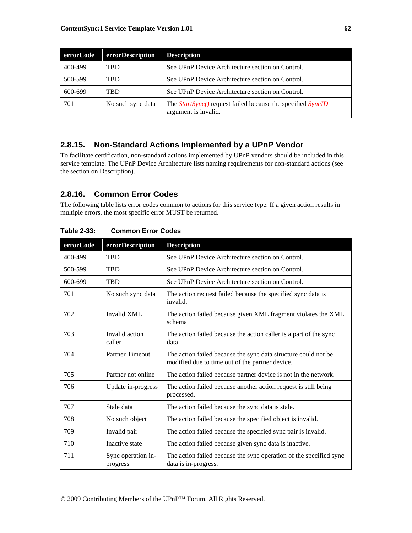| errorCode | errorDescription  | <b>Description</b>                                                                                |
|-----------|-------------------|---------------------------------------------------------------------------------------------------|
| 400-499   | TBD               | See UPnP Device Architecture section on Control.                                                  |
| 500-599   | TBD               | See UPnP Device Architecture section on Control.                                                  |
| 600-699   | TBD               | See UPnP Device Architecture section on Control.                                                  |
| 701       | No such sync data | The <b>StartSync()</b> request failed because the specified <b>SyncID</b><br>argument is invalid. |

# **2.8.15. Non-Standard Actions Implemented by a UPnP Vendor**

To facilitate certification, non-standard actions implemented by UPnP vendors should be included in this service template. The UPnP Device Architecture lists naming requirements for non-standard actions (see the section on Description).

# **2.8.16. Common Error Codes**

The following table lists error codes common to actions for this service type. If a given action results in multiple errors, the most specific error MUST be returned.

| errorCode | errorDescription               | <b>Description</b>                                                                                                |
|-----------|--------------------------------|-------------------------------------------------------------------------------------------------------------------|
| 400-499   | <b>TBD</b>                     | See UPnP Device Architecture section on Control.                                                                  |
| 500-599   | <b>TBD</b>                     | See UPnP Device Architecture section on Control.                                                                  |
| 600-699   | <b>TBD</b>                     | See UPnP Device Architecture section on Control.                                                                  |
| 701       | No such sync data              | The action request failed because the specified sync data is<br>invalid.                                          |
| 702       | Invalid XML                    | The action failed because given XML fragment violates the XML<br>schema                                           |
| 703       | Invalid action<br>caller       | The action failed because the action caller is a part of the sync<br>data.                                        |
| 704       | <b>Partner Timeout</b>         | The action failed because the sync data structure could not be<br>modified due to time out of the partner device. |
| 705       | Partner not online             | The action failed because partner device is not in the network.                                                   |
| 706       | Update in-progress             | The action failed because another action request is still being<br>processed.                                     |
| 707       | Stale data                     | The action failed because the sync data is stale.                                                                 |
| 708       | No such object                 | The action failed because the specified object is invalid.                                                        |
| 709       | Invalid pair                   | The action failed because the specified sync pair is invalid.                                                     |
| 710       | Inactive state                 | The action failed because given sync data is inactive.                                                            |
| 711       | Sync operation in-<br>progress | The action failed because the sync operation of the specified sync<br>data is in-progress.                        |

**Table 2-33: Common Error Codes**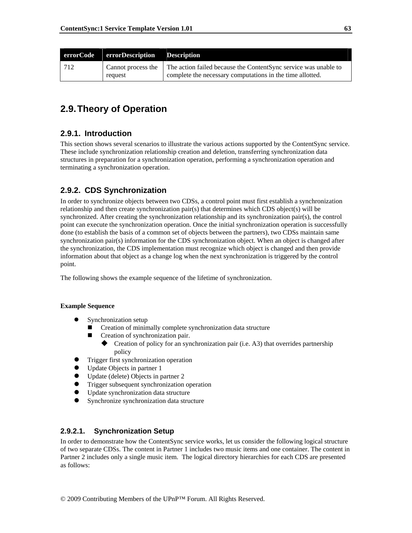|     | errorCode errorDescription Description |                                                                                                                                                          |
|-----|----------------------------------------|----------------------------------------------------------------------------------------------------------------------------------------------------------|
| 712 | request                                | Cannot process the $\vert$ The action failed because the Content Sync service was unable to<br>complete the necessary computations in the time allotted. |

# **2.9. Theory of Operation**

# **2.9.1. Introduction**

This section shows several scenarios to illustrate the various actions supported by the ContentSync service. These include synchronization relationship creation and deletion, transferring synchronization data structures in preparation for a synchronization operation, performing a synchronization operation and terminating a synchronization operation.

# **2.9.2. CDS Synchronization**

In order to synchronize objects between two CDSs, a control point must first establish a synchronization relationship and then create synchronization pair(s) that determines which CDS object(s) will be synchronized. After creating the synchronization relationship and its synchronization pair(s), the control point can execute the synchronization operation. Once the initial synchronization operation is successfully done (to establish the basis of a common set of objects between the partners), two CDSs maintain same synchronization pair(s) information for the CDS synchronization object. When an object is changed after the synchronization, the CDS implementation must recognize which object is changed and then provide information about that object as a change log when the next synchronization is triggered by the control point.

The following shows the example sequence of the lifetime of synchronization.

### **Example Sequence**

- Synchronization setup
	- Creation of minimally complete synchronization data structure
	- Creation of synchronization pair.
		- Creation of policy for an synchronization pair (i.e. A3) that overrides partnership policy
- z Trigger first synchronization operation
- Update Objects in partner 1
- $\bullet$  Update (delete) Objects in partner 2
- **•** Trigger subsequent synchronization operation
- Update synchronization data structure
- Synchronize synchronization data structure

### **2.9.2.1. Synchronization Setup**

In order to demonstrate how the ContentSync service works, let us consider the following logical structure of two separate CDSs. The content in Partner 1 includes two music items and one container. The content in Partner 2 includes only a single music item. The logical directory hierarchies for each CDS are presented as follows: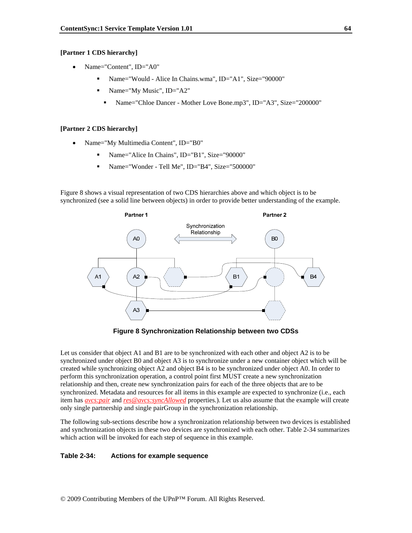#### **[Partner 1 CDS hierarchy]**

- Name="Content", ID="A0"
	- Name="Would Alice In Chains.wma", ID="A1", Size="90000"
	- Name="My Music", ID="A2"
		- Name="Chloe Dancer Mother Love Bone.mp3", ID="A3", Size="200000"

#### **[Partner 2 CDS hierarchy]**

- Name="My Multimedia Content", ID="B0"
	- Name="Alice In Chains", ID="B1", Size="90000"
	- Name="Wonder Tell Me", ID="B4", Size="500000"

Figure 8 shows a visual representation of two CDS hierarchies above and which object is to be synchronized (see a solid line between objects) in order to provide better understanding of the example.



**Figure 8 Synchronization Relationship between two CDSs** 

Let us consider that object A1 and B1 are to be synchronized with each other and object A2 is to be synchronized under object B0 and object A3 is to synchronize under a new container object which will be created while synchronizing object A2 and object B4 is to be synchronized under object A0. In order to perform this synchronization operation, a control point first MUST create a new synchronization relationship and then, create new synchronization pairs for each of the three objects that are to be synchronized. Metadata and resources for all items in this example are expected to synchronize (i.e., each item has *avcs:pair* and *res@avcs:syncAllowed* properties.). Let us also assume that the example will create only single partnership and single pairGroup in the synchronization relationship.

The following sub-sections describe how a synchronization relationship between two devices is established and synchronization objects in these two devices are synchronized with each other. Table 2-34 summarizes which action will be invoked for each step of sequence in this example.

#### **Table 2-34: Actions for example sequence**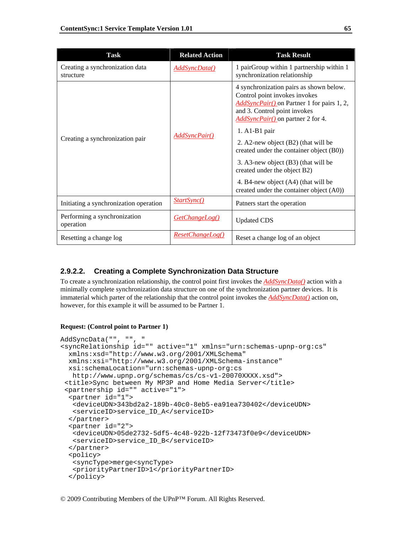| <b>Task</b>                                  | <b>Related Action</b> | <b>Task Result</b>                                                                                                                                                                                                                                                                                                                                                                                                                                                 |
|----------------------------------------------|-----------------------|--------------------------------------------------------------------------------------------------------------------------------------------------------------------------------------------------------------------------------------------------------------------------------------------------------------------------------------------------------------------------------------------------------------------------------------------------------------------|
| Creating a synchronization data<br>structure | AddSyncData()         | 1 pairGroup within 1 partnership within 1<br>synchronization relationship                                                                                                                                                                                                                                                                                                                                                                                          |
| Creating a synchronization pair              | AddSyncPair()         | 4 synchronization pairs as shown below.<br>Control point invokes invokes<br><i>AddSyncPair()</i> on Partner 1 for pairs 1, 2,<br>and 3. Control point invokes<br>AddSyncPair() on partner 2 for 4.<br>$1. A1-B1 pair$<br>2. A2-new object (B2) (that will be<br>created under the container object (B0))<br>3. A3-new object (B3) (that will be<br>created under the object B2)<br>4. B4-new object (A4) (that will be<br>created under the container object (A0)) |
| Initiating a synchronization operation       | StartSync()           | Patners start the operation                                                                                                                                                                                                                                                                                                                                                                                                                                        |
| Performing a synchronization<br>operation    | <b>GetChangeLog()</b> | <b>Updated CDS</b>                                                                                                                                                                                                                                                                                                                                                                                                                                                 |
| Resetting a change log                       | ResetChangeLog()      | Reset a change log of an object                                                                                                                                                                                                                                                                                                                                                                                                                                    |

### **2.9.2.2. Creating a Complete Synchronization Data Structure**

To create a synchronization relationship, the control point first invokes the *AddSyncData()* action with a minimally complete synchronization data structure on one of the synchronization partner devices. It is immaterial which parter of the relationship that the control point invokes the *AddSyncData()* action on, however, for this example it will be assumed to be Partner 1.

#### **Request: (Control point to Partner 1)**

```
AddSyncData("", "", " 
<syncRelationship id="" active="1" xmlns="urn:schemas-upnp-org:cs" 
  xmlns:xsd="http://www.w3.org/2001/XMLSchema" 
   xmlns:xsi="http://www.w3.org/2001/XMLSchema-instance" 
   xsi:schemaLocation="urn:schemas-upnp-org:cs 
   http://www.upnp.org/schemas/cs/cs-v1-20070XXXX.xsd"> 
  <title>Sync between My MP3P and Home Media Server</title> 
  <partnership id="" active="1"> 
   <partner id="1"> 
    <deviceUDN>343bd2a2-189b-40c0-8eb5-ea91ea730402</deviceUDN> 
    <serviceID>service_ID_A</serviceID> 
   </partner> 
   <partner id="2"> 
    <deviceUDN>05de2732-5df5-4c48-922b-12f73473f0e9</deviceUDN> 
    <serviceID>service_ID_B</serviceID> 
   </partner> 
   <policy> 
    <syncType>merge<syncType> 
    <priorityPartnerID>1</priorityPartnerID> 
   </policy>
```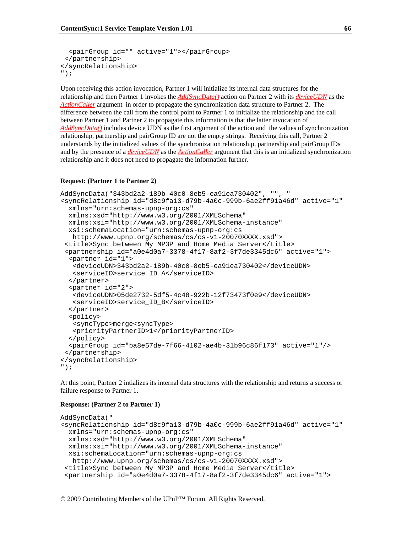```
 <pairGroup id="" active="1"></pairGroup> 
  </partnership> 
</syncRelationship> 
");
```
Upon receiving this action invocation, Partner 1 will initialize its internal data structures for the relationship and then Partner 1 invokes the *AddSyncData()* action on Partner 2 with its *deviceUDN* as the *ActionCaller* argument in order to propagate the synchronization data structure to Partner 2. The difference between the call from the control point to Partner 1 to initialize the relationship and the call between Partner 1 and Partner 2 to propagate this information is that the latter invocation of *AddSyncData()* includes device UDN as the first argument of the action and the values of synchronization relationship, partnership and pairGroup ID are not the empty strings. Receiving this call, Partner 2 understands by the initialized values of the synchronization relationship, partnership and pairGroup IDs and by the presence of a *deviceUDN* as the *ActionCaller* argument that this is an initialized synchronization relationship and it does not need to propagate the information further.

#### **Request: (Partner 1 to Partner 2)**

```
AddSyncData("343bd2a2-189b-40c0-8eb5-ea91ea730402", "", " 
<syncRelationship id="d8c9fa13-d79b-4a0c-999b-6ae2ff91a46d" active="1" 
   xmlns="urn:schemas-upnp-org:cs" 
   xmlns:xsd="http://www.w3.org/2001/XMLSchema" 
   xmlns:xsi="http://www.w3.org/2001/XMLSchema-instance" 
   xsi:schemaLocation="urn:schemas-upnp-org:cs 
    http://www.upnp.org/schemas/cs/cs-v1-20070XXXX.xsd"> 
  <title>Sync between My MP3P and Home Media Server</title> 
  <partnership id="a0e4d0a7-3378-4f17-8af2-3f7de3345dc6" active="1"> 
   <partner id="1"> 
    <deviceUDN>343bd2a2-189b-40c0-8eb5-ea91ea730402</deviceUDN> 
    <serviceID>service_ID_A</serviceID> 
   </partner> 
   <partner id="2"> 
    <deviceUDN>05de2732-5df5-4c48-922b-12f73473f0e9</deviceUDN> 
    <serviceID>service_ID_B</serviceID> 
   </partner> 
   <policy> 
    <syncType>merge<syncType> 
    <priorityPartnerID>1</priorityPartnerID> 
   </policy> 
   <pairGroup id="ba8e57de-7f66-4102-ae4b-31b96c86f173" active="1"/> 
  </partnership> 
</syncRelationship> 
");
```
At this point, Partner 2 intializes its internal data structures with the relationship and returns a success or failure response to Partner 1.

#### **Response: (Partner 2 to Partner 1)**

```
AddSyncData(" 
<syncRelationship id="d8c9fa13-d79b-4a0c-999b-6ae2ff91a46d" active="1" 
  xmlns="urn:schemas-upnp-org:cs" 
  xmlns:xsd="http://www.w3.org/2001/XMLSchema" 
  xmlns:xsi="http://www.w3.org/2001/XMLSchema-instance" 
  xsi:schemaLocation="urn:schemas-upnp-org:cs 
   http://www.upnp.org/schemas/cs/cs-v1-20070XXXX.xsd"> 
  <title>Sync between My MP3P and Home Media Server</title> 
  <partnership id="a0e4d0a7-3378-4f17-8af2-3f7de3345dc6" active="1">
```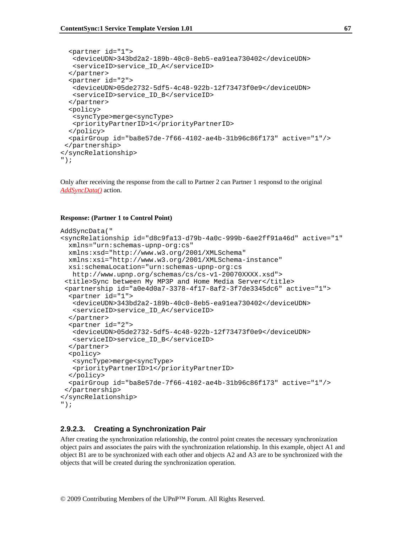```
 <partner id="1"> 
    <deviceUDN>343bd2a2-189b-40c0-8eb5-ea91ea730402</deviceUDN> 
    <serviceID>service_ID_A</serviceID> 
   </partner> 
   <partner id="2"> 
    <deviceUDN>05de2732-5df5-4c48-922b-12f73473f0e9</deviceUDN> 
    <serviceID>service_ID_B</serviceID> 
   </partner> 
   <policy> 
    <syncType>merge<syncType> 
    <priorityPartnerID>1</priorityPartnerID> 
   </policy> 
   <pairGroup id="ba8e57de-7f66-4102-ae4b-31b96c86f173" active="1"/> 
 </partnership> 
</syncRelationship> 
");
```
Only after receiving the response from the call to Partner 2 can Partner 1 responsd to the original *AddSyncData()* action.

#### **Response: (Partner 1 to Control Point)**

```
AddSyncData(" 
<syncRelationship id="d8c9fa13-d79b-4a0c-999b-6ae2ff91a46d" active="1" 
   xmlns="urn:schemas-upnp-org:cs" 
   xmlns:xsd="http://www.w3.org/2001/XMLSchema" 
   xmlns:xsi="http://www.w3.org/2001/XMLSchema-instance" 
   xsi:schemaLocation="urn:schemas-upnp-org:cs 
   http://www.upnp.org/schemas/cs/cs-v1-20070XXXX.xsd"> 
  <title>Sync between My MP3P and Home Media Server</title> 
  <partnership id="a0e4d0a7-3378-4f17-8af2-3f7de3345dc6" active="1"> 
   <partner id="1"> 
    <deviceUDN>343bd2a2-189b-40c0-8eb5-ea91ea730402</deviceUDN> 
    <serviceID>service_ID_A</serviceID> 
   </partner> 
   <partner id="2"> 
    <deviceUDN>05de2732-5df5-4c48-922b-12f73473f0e9</deviceUDN> 
    <serviceID>service_ID_B</serviceID> 
   </partner> 
   <policy> 
    <syncType>merge<syncType> 
    <priorityPartnerID>1</priorityPartnerID> 
   </policy> 
   <pairGroup id="ba8e57de-7f66-4102-ae4b-31b96c86f173" active="1"/> 
  </partnership> 
</syncRelationship> 
");
```
### **2.9.2.3. Creating a Synchronization Pair**

After creating the synchronization relationship, the control point creates the necessary synchronization object pairs and associates the pairs with the synchronization relationship. In this example, object A1 and object B1 are to be synchronized with each other and objects A2 and A3 are to be synchronized with the objects that will be created during the synchronization operation.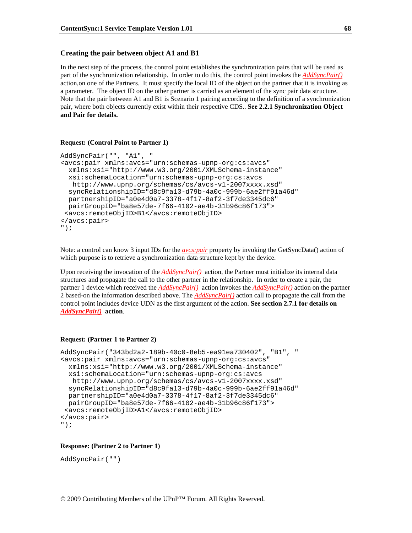#### **Creating the pair between object A1 and B1**

In the next step of the process, the control point establishes the synchronization pairs that will be used as part of the synchronization relationship. In order to do this, the control point invokes the *AddSyncPair()* action,on one of the Partners. It must specify the local ID of the object on the partner that it is invoking as a parameter. The object ID on the other partner is carried as an element of the sync pair data structure. Note that the pair between A1 and B1 is Scenario 1 pairing according to the definition of a synchronization pair, where both objects currently exist within their respective CDS.. **See 2.2.1 Synchronization Object and Pair for details.** 

#### **Request: (Control Point to Partner 1)**

```
AddSyncPair("", "A1", " 
<avcs:pair xmlns:avcs="urn:schemas-upnp-org:cs:avcs" 
  xmlns:xsi="http://www.w3.org/2001/XMLSchema-instance" 
  xsi:schemaLocation="urn:schemas-upnp-org:cs:avcs 
   http://www.upnp.org/schemas/cs/avcs-v1-2007xxxx.xsd" 
   syncRelationshipID="d8c9fa13-d79b-4a0c-999b-6ae2ff91a46d" 
  partnershipID="a0e4d0a7-3378-4f17-8af2-3f7de3345dc6" 
  pairGroupID="ba8e57de-7f66-4102-ae4b-31b96c86f173"> 
  <avcs:remoteObjID>B1</avcs:remoteObjID> 
</avcs:pair> 
");
```
Note: a control can know 3 input IDs for the *avcs:pair* property by invoking the GetSyncData() action of which purpose is to retrieve a synchronization data structure kept by the device.

Upon receiving the invocation of the *AddSyncPair()* action, the Partner must initialize its internal data structures and propagate the call to the other partner in the relationship. In order to create a pair, the partner 1 device which received the *AddSyncPair()* action invokes the *AddSyncPair()* action on the partner 2 based-on the information described above. The *AddSyncPair()* action call to propagate the call from the control point includes device UDN as the first argument of the action. **See section 2.7.1 for details on**  *AddSyncPair()* **action**.

#### **Request: (Partner 1 to Partner 2)**

```
AddSyncPair("343bd2a2-189b-40c0-8eb5-ea91ea730402", "B1", " 
<avcs:pair xmlns:avcs="urn:schemas-upnp-org:cs:avcs" 
  xmlns:xsi="http://www.w3.org/2001/XMLSchema-instance" 
  xsi:schemaLocation="urn:schemas-upnp-org:cs:avcs 
   http://www.upnp.org/schemas/cs/avcs-v1-2007xxxx.xsd" 
   syncRelationshipID="d8c9fa13-d79b-4a0c-999b-6ae2ff91a46d" 
  partnershipID="a0e4d0a7-3378-4f17-8af2-3f7de3345dc6" 
  pairGroupID="ba8e57de-7f66-4102-ae4b-31b96c86f173"> 
  <avcs:remoteObjID>A1</avcs:remoteObjID> 
</avcs:pair> 
");
```
#### **Response: (Partner 2 to Partner 1)**

```
AddSyncPair("")
```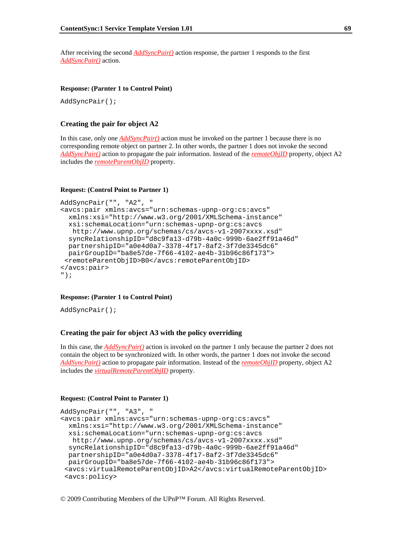After receiving the second *AddSyncPair()* action response, the partner 1 responds to the first *AddSyncPair()* action.

#### **Response: (Parnter 1 to Control Point)**

AddSyncPair();

#### **Creating the pair for object A2**

In this case, only one *AddSyncPair()* action must be invoked on the partner 1 because there is no corresponding remote object on partner 2. In other words, the partner 1 does not invoke the second *AddSyncPair()* action to propagate the pair information. Instead of the *remoteObjID* property, object A2 includes the *remoteParentObjID* property.

#### **Request: (Control Point to Partner 1)**

```
AddSyncPair("", "A2", " 
<avcs:pair xmlns:avcs="urn:schemas-upnp-org:cs:avcs" 
  xmlns:xsi="http://www.w3.org/2001/XMLSchema-instance" 
  xsi:schemaLocation="urn:schemas-upnp-org:cs:avcs 
   http://www.upnp.org/schemas/cs/avcs-v1-2007xxxx.xsd" 
   syncRelationshipID="d8c9fa13-d79b-4a0c-999b-6ae2ff91a46d" 
  partnershipID="a0e4d0a7-3378-4f17-8af2-3f7de3345dc6" 
  pairGroupID="ba8e57de-7f66-4102-ae4b-31b96c86f173"> 
  <remoteParentObjID>B0</avcs:remoteParentObjID> 
</avcs:pair> 
");
```
#### **Response: (Parnter 1 to Control Point)**

AddSyncPair();

#### **Creating the pair for object A3 with the policy overriding**

In this case, the *AddSyncPair()* action is invoked on the partner 1 only because the partner 2 does not contain the object to be synchronized with. In other words, the partner 1 does not invoke the second *AddSyncPair()* action to propagate pair information. Instead of the *remoteObjID* property, object A2 includes the *virtualRemoteParentObjID* property.

#### **Request: (Control Point to Parnter 1)**

```
AddSyncPair("", "A3", " 
<avcs:pair xmlns:avcs="urn:schemas-upnp-org:cs:avcs" 
  xmlns:xsi="http://www.w3.org/2001/XMLSchema-instance" 
  xsi:schemaLocation="urn:schemas-upnp-org:cs:avcs 
    http://www.upnp.org/schemas/cs/avcs-v1-2007xxxx.xsd" 
   syncRelationshipID="d8c9fa13-d79b-4a0c-999b-6ae2ff91a46d" 
  partnershipID="a0e4d0a7-3378-4f17-8af2-3f7de3345dc6" 
  pairGroupID="ba8e57de-7f66-4102-ae4b-31b96c86f173"> 
  <avcs:virtualRemoteParentObjID>A2</avcs:virtualRemoteParentObjID> 
  <avcs:policy>
```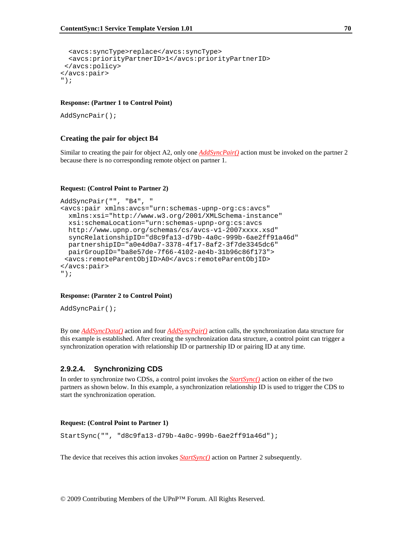```
 <avcs:syncType>replace</avcs:syncType> 
   <avcs:priorityPartnerID>1</avcs:priorityPartnerID> 
  </avcs:policy> 
</avcs:pair> 
");
```
#### **Response: (Partner 1 to Control Point)**

```
AddSyncPair();
```
#### **Creating the pair for object B4**

Similar to creating the pair for object A2, only one *AddSyncPair()* action must be invoked on the partner 2 because there is no corresponding remote object on partner 1.

#### **Request: (Control Point to Partner 2)**

```
AddSyncPair("", "B4", " 
<avcs:pair xmlns:avcs="urn:schemas-upnp-org:cs:avcs" 
  xmlns:xsi="http://www.w3.org/2001/XMLSchema-instance" 
  xsi:schemaLocation="urn:schemas-upnp-org:cs:avcs 
  http://www.upnp.org/schemas/cs/avcs-v1-2007xxxx.xsd" 
  syncRelationshipID="d8c9fa13-d79b-4a0c-999b-6ae2ff91a46d" 
  partnershipID="a0e4d0a7-3378-4f17-8af2-3f7de3345dc6" 
  pairGroupID="ba8e57de-7f66-4102-ae4b-31b96c86f173"> 
  <avcs:remoteParentObjID>A0</avcs:remoteParentObjID> 
</avcs:pair> 
");
```
#### **Response: (Parnter 2 to Control Point)**

AddSyncPair();

By one *AddSyncData()* action and four *AddSyncPair()* action calls, the synchronization data structure for this example is established. After creating the synchronization data structure, a control point can trigger a synchronization operation with relationship ID or partnership ID or pairing ID at any time.

#### **2.9.2.4. Synchronizing CDS**

In order to synchronize two CDSs, a control point invokes the *StartSync()* action on either of the two partners as shown below. In this example, a synchronization relationship ID is used to trigger the CDS to start the synchronization operation.

#### **Request: (Control Point to Partner 1)**

StartSync("", "d8c9fa13-d79b-4a0c-999b-6ae2ff91a46d");

The device that receives this action invokes *StartSync()* action on Partner 2 subsequently.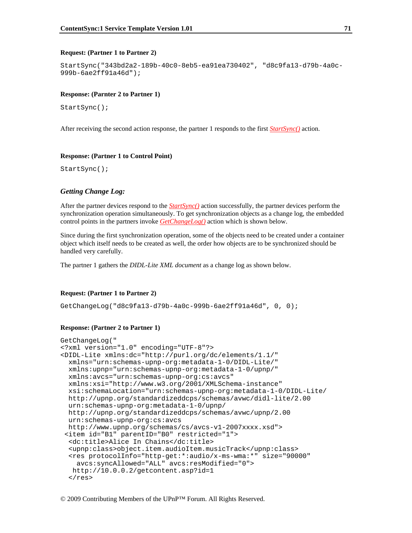#### **Request: (Partner 1 to Partner 2)**

```
StartSync("343bd2a2-189b-40c0-8eb5-ea91ea730402", "d8c9fa13-d79b-4a0c-
999b-6ae2ff91a46d");
```
#### **Response: (Parnter 2 to Partner 1)**

StartSync();

After receiving the second action response, the partner 1 responds to the first *StartSync()* action.

#### **Response: (Partner 1 to Control Point)**

StartSync();

#### *Getting Change Log:*

After the partner devices respond to the *StartSync()* action successfully, the partner devices perform the synchronization operation simultaneously. To get synchronization objects as a change log, the embedded control points in the partners invoke *GetChangeLog()* action which is shown below.

Since during the first synchronization operation, some of the objects need to be created under a container object which itself needs to be created as well, the order how objects are to be synchronized should be handled very carefully.

The partner 1 gathers the *DIDL-Lite XML document* as a change log as shown below.

#### **Request: (Partner 1 to Partner 2)**

GetChangeLog("d8c9fa13-d79b-4a0c-999b-6ae2ff91a46d", 0, 0);

#### **Response: (Partner 2 to Partner 1)**

```
GetChangeLog(" 
<?xml version="1.0" encoding="UTF-8"?> 
<DIDL-Lite xmlns:dc="http://purl.org/dc/elements/1.1/" 
  xmlns="urn:schemas-upnp-org:metadata-1-0/DIDL-Lite/" 
  xmlns:upnp="urn:schemas-upnp-org:metadata-1-0/upnp/" 
  xmlns:avcs="urn:schemas-upnp-org:cs:avcs" 
  xmlns:xsi="http://www.w3.org/2001/XMLSchema-instance" 
  xsi:schemaLocation="urn:schemas-upnp-org:metadata-1-0/DIDL-Lite/ 
  http://upnp.org/standardizeddcps/schemas/avwc/didl-lite/2.00 
  urn:schemas-upnp-org:metadata-1-0/upnp/ 
  http://upnp.org/standardizeddcps/schemas/avwc/upnp/2.00 
  urn:schemas-upnp-org:cs:avcs 
  http://www.upnp.org/schemas/cs/avcs-v1-2007xxxx.xsd"> 
  <item id="B1" parentID="B0" restricted="1"> 
  <dc:title>Alice In Chains</dc:title> 
   <upnp:class>object.item.audioItem.musicTrack</upnp:class> 
   <res protocolInfo="http-get:*:audio/x-ms-wma:*" size="90000" 
     avcs:syncAllowed="ALL" avcs:resModified="0"> 
   http://10.0.0.2/getcontent.asp?id=1 
  \langleres>
```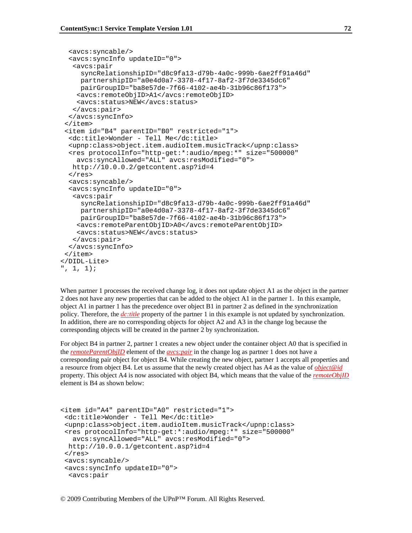```
 <avcs:syncable/> 
   <avcs:syncInfo updateID="0"> 
    <avcs:pair 
      syncRelationshipID="d8c9fa13-d79b-4a0c-999b-6ae2ff91a46d" 
      partnershipID="a0e4d0a7-3378-4f17-8af2-3f7de3345dc6" 
      pairGroupID="ba8e57de-7f66-4102-ae4b-31b96c86f173"> 
     <avcs:remoteObjID>A1</avcs:remoteObjID> 
     <avcs:status>NEW</avcs:status> 
    </avcs:pair> 
   </avcs:syncInfo> 
  </item> 
  <item id="B4" parentID="B0" restricted="1"> 
   <dc:title>Wonder - Tell Me</dc:title> 
   <upnp:class>object.item.audioItem.musicTrack</upnp:class> 
   <res protocolInfo="http-get:*:audio/mpeg:*" size="500000" 
     avcs:syncAllowed="ALL" avcs:resModified="0"> 
   http://10.0.0.2/getcontent.asp?id=4 
  \langleres>
   <avcs:syncable/> 
   <avcs:syncInfo updateID="0"> 
    <avcs:pair 
      syncRelationshipID="d8c9fa13-d79b-4a0c-999b-6ae2ff91a46d" 
      partnershipID="a0e4d0a7-3378-4f17-8af2-3f7de3345dc6" 
     pairGroupID="ba8e57de-7f66-4102-ae4b-31b96c86f173"> 
     <avcs:remoteParentObjID>A0</avcs:remoteParentObjID> 
     <avcs:status>NEW</avcs:status> 
    </avcs:pair> 
   </avcs:syncInfo> 
 </item> 
</DIDL-Lite> 
", 1, 1);
```
When partner 1 processes the received change log, it does not update object A1 as the object in the partner 2 does not have any new properties that can be added to the object A1 in the partner 1. In this example, object A1 in partner 1 has the precedence over object B1 in partner 2 as defined in the synchronization policy. Therefore, the *dc:title* property of the partner 1 in this example is not updated by synchronization. In addition, there are no corresponding objects for object A2 and A3 in the change log because the corresponding objects will be created in the partner 2 by synchronization.

For object B4 in partner 2, partner 1 creates a new object under the container object A0 that is specified in the *remoteParentObjID* element of the *avcs:pair* in the change log as partner 1 does not have a corresponding pair object for object B4. While creating the new object, partner 1 accepts all properties and a resource from object B4. Let us assume that the newly created object has A4 as the value of *object@id* property. This object A4 is now associated with object B4, which means that the value of the *remoteObjID* element is B4 as shown below:

```
<item id="A4" parentID="A0" restricted="1"> 
  <dc:title>Wonder - Tell Me</dc:title> 
  <upnp:class>object.item.audioItem.musicTrack</upnp:class> 
  <res protocolInfo="http-get:*:audio/mpeg:*" size="500000" 
    avcs:syncAllowed="ALL" avcs:resModified="0"> 
  http://10.0.0.1/getcontent.asp?id=4 
 \langle res>
  <avcs:syncable/> 
  <avcs:syncInfo updateID="0"> 
   <avcs:pair
```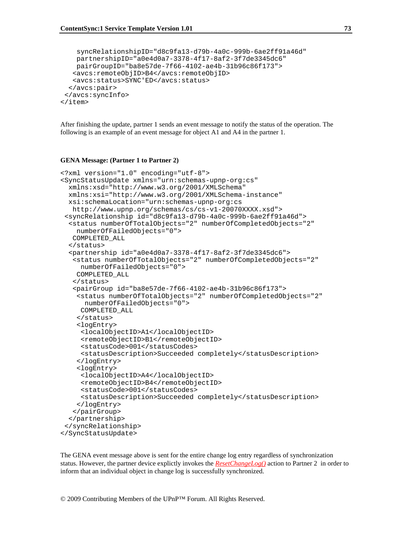```
 syncRelationshipID="d8c9fa13-d79b-4a0c-999b-6ae2ff91a46d" 
    partnershipID="a0e4d0a7-3378-4f17-8af2-3f7de3345dc6" 
    pairGroupID="ba8e57de-7f66-4102-ae4b-31b96c86f173"> 
    <avcs:remoteObjID>B4</avcs:remoteObjID> 
    <avcs:status>SYNC'ED</avcs:status> 
   </avcs:pair> 
  </avcs:syncInfo> 
</item>
```
After finishing the update, partner 1 sends an event message to notify the status of the operation. The following is an example of an event message for object A1 and A4 in the partner 1.

#### **GENA Message: (Partner 1 to Partner 2)**

```
<?xml version="1.0" encoding="utf-8"> 
<SyncStatusUpdate xmlns="urn:schemas-upnp-org:cs" 
   xmlns:xsd="http://www.w3.org/2001/XMLSchema" 
  xmlns:xsi="http://www.w3.org/2001/XMLSchema-instance" 
   xsi:schemaLocation="urn:schemas-upnp-org:cs 
   http://www.upnp.org/schemas/cs/cs-v1-20070XXXX.xsd"> 
  <syncRelationship id="d8c9fa13-d79b-4a0c-999b-6ae2ff91a46d"> 
   <status numberOfTotalObjects="2" numberOfCompletedObjects="2" 
     numberOfFailedObjects="0"> 
    COMPLETED_ALL 
   </status> 
   <partnership id="a0e4d0a7-3378-4f17-8af2-3f7de3345dc6"> 
    <status numberOfTotalObjects="2" numberOfCompletedObjects="2" 
      numberOfFailedObjects="0"> 
    COMPLETED_ALL 
    </status> 
    <pairGroup id="ba8e57de-7f66-4102-ae4b-31b96c86f173"> 
     <status numberOfTotalObjects="2" numberOfCompletedObjects="2" 
       numberOfFailedObjects="0"> 
      COMPLETED_ALL 
     </status> 
     <logEntry> 
      <localObjectID>A1</localObjectID> 
      <remoteObjectID>B1</remoteObjectID> 
      <statusCode>001</statusCodes> 
      <statusDescription>Succeeded completely</statusDescription> 
     </logEntry> 
     <logEntry> 
      <localObjectID>A4</localObjectID> 
      <remoteObjectID>B4</remoteObjectID> 
      <statusCode>001</statusCodes> 
      <statusDescription>Succeeded completely</statusDescription> 
     </logEntry> 
    </pairGroup> 
   </partnership> 
  </syncRelationship> 
</SyncStatusUpdate>
```
The GENA event message above is sent for the entire change log entry regardless of synchronization status. However, the partner device explictly invokes the *ResetChangeLog()* action to Partner 2 in order to inform that an individual object in change log is successfully synchronized.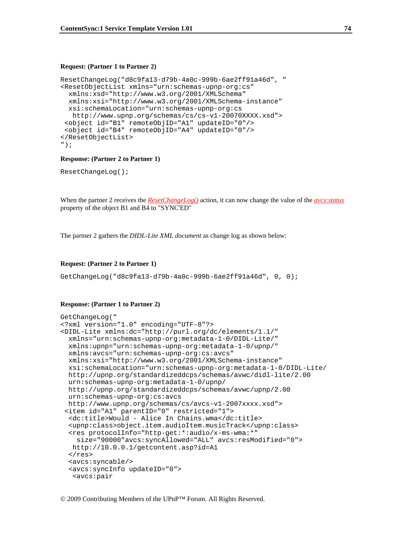#### **Request: (Partner 1 to Partner 2)**

```
ResetChangeLog("d8c9fa13-d79b-4a0c-999b-6ae2ff91a46d", " 
<ResetObjectList xmlns="urn:schemas-upnp-org:cs" 
  xmlns:xsd="http://www.w3.org/2001/XMLSchema" 
  xmlns:xsi="http://www.w3.org/2001/XMLSchema-instance" 
  xsi:schemaLocation="urn:schemas-upnp-org:cs 
   http://www.upnp.org/schemas/cs/cs-v1-20070XXXX.xsd"> 
  <object id="B1" remoteObjID="A1" updateID="0"/> 
  <object id="B4" remoteObjID="A4" updateID="0"/> 
</ResetObjectList> 
");
```
#### **Response: (Partner 2 to Partner 1)**

ResetChangeLog();

When the partner 2 receives the *ResetChangeLog()* action, it can now change the value of the *avcs:status* property of the object B1 and B4 to "SYNC'ED"

The partner 2 gathers the *DIDL-Lite XML document* as change log as shown below:

#### **Request: (Partner 2 to Partner 1)**

GetChangeLog("d8c9fa13-d79b-4a0c-999b-6ae2ff91a46d", 0, 0);

#### **Response: (Partner 1 to Partner 2)**

```
GetChangeLog(" 
<?xml version="1.0" encoding="UTF-8"?> 
<DIDL-Lite xmlns:dc="http://purl.org/dc/elements/1.1/" 
  xmlns="urn:schemas-upnp-org:metadata-1-0/DIDL-Lite/" 
  xmlns:upnp="urn:schemas-upnp-org:metadata-1-0/upnp/" 
  xmlns:avcs="urn:schemas-upnp-org:cs:avcs" 
  xmlns:xsi="http://www.w3.org/2001/XMLSchema-instance" 
  xsi:schemaLocation="urn:schemas-upnp-org:metadata-1-0/DIDL-Lite/ 
  http://upnp.org/standardizeddcps/schemas/avwc/didl-lite/2.00 
  urn:schemas-upnp-org:metadata-1-0/upnp/ 
  http://upnp.org/standardizeddcps/schemas/avwc/upnp/2.00 
  urn:schemas-upnp-org:cs:avcs 
  http://www.upnp.org/schemas/cs/avcs-v1-2007xxxx.xsd"> 
  <item id="A1" parentID="0" restricted="1"> 
   <dc:title>Would - Alice In Chains.wma</dc:title> 
   <upnp:class>object.item.audioItem.musicTrack</upnp:class> 
   <res protocolInfo="http-get:*:audio/x-ms-wma:*" 
     size="90000"avcs:syncAllowed="ALL" avcs:resModified="0"> 
   http://10.0.0.1/getcontent.asp?id=A1 
  \langleres>
   <avcs:syncable/> 
   <avcs:syncInfo updateID="0"> 
    <avcs:pair
```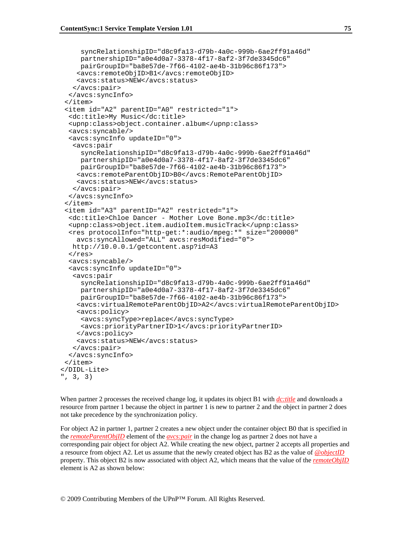```
 syncRelationshipID="d8c9fa13-d79b-4a0c-999b-6ae2ff91a46d" 
      partnershipID="a0e4d0a7-3378-4f17-8af2-3f7de3345dc6" 
      pairGroupID="ba8e57de-7f66-4102-ae4b-31b96c86f173"> 
     <avcs:remoteObjID>B1</avcs:remoteObjID> 
     <avcs:status>NEW</avcs:status> 
    </avcs:pair> 
   </avcs:syncInfo> 
  </item> 
  <item id="A2" parentID="A0" restricted="1"> 
   <dc:title>My Music</dc:title> 
   <upnp:class>object.container.album</upnp:class> 
   <avcs:syncable/> 
   <avcs:syncInfo updateID="0"> 
    <avcs:pair 
      syncRelationshipID="d8c9fa13-d79b-4a0c-999b-6ae2ff91a46d" 
      partnershipID="a0e4d0a7-3378-4f17-8af2-3f7de3345dc6" 
     pairGroupID="ba8e57de-7f66-4102-ae4b-31b96c86f173"> 
     <avcs:remoteParentObjID>B0</avcs:RemoteParentObjID> 
     <avcs:status>NEW</avcs:status> 
    </avcs:pair> 
   </avcs:syncInfo> 
  </item> 
  <item id="A3" parentID="A2" restricted="1"> 
   <dc:title>Chloe Dancer - Mother Love Bone.mp3</dc:title> 
   <upnp:class>object.item.audioItem.musicTrack</upnp:class> 
   <res protocolInfo="http-get:*:audio/mpeg:*" size="200000" 
     avcs:syncAllowed="ALL" avcs:resModified="0"> 
   http://10.0.0.1/getcontent.asp?id=A3 
  \langleres>
   <avcs:syncable/> 
   <avcs:syncInfo updateID="0"> 
    <avcs:pair 
      syncRelationshipID="d8c9fa13-d79b-4a0c-999b-6ae2ff91a46d" 
      partnershipID="a0e4d0a7-3378-4f17-8af2-3f7de3345dc6" 
      pairGroupID="ba8e57de-7f66-4102-ae4b-31b96c86f173"> 
     <avcs:virtualRemoteParentObjID>A2</avcs:virtualRemoteParentObjID> 
     <avcs:policy> 
      <avcs:syncType>replace</avcs:syncType> 
      <avcs:priorityPartnerID>1</avcs:priorityPartnerID> 
     </avcs:policy> 
     <avcs:status>NEW</avcs:status> 
    </avcs:pair> 
   </avcs:syncInfo> 
  </item> 
</DIDL-Lite> 
", 3, 3)
```
When partner 2 processes the received change log, it updates its object B1 with *dc:title* and downloads a resource from partner 1 because the object in partner 1 is new to partner 2 and the object in partner 2 does not take precedence by the synchronization policy.

For object A2 in partner 1, partner 2 creates a new object under the container object B0 that is specified in the *remoteParentObjID* element of the *avcs:pair* in the change log as partner 2 does not have a corresponding pair object for object A2. While creating the new object, partner 2 accepts all properties and a resource from object A2. Let us assume that the newly created object has B2 as the value of *@objectID* property. This object B2 is now associated with object A2, which means that the value of the *remoteObjID* element is A2 as shown below: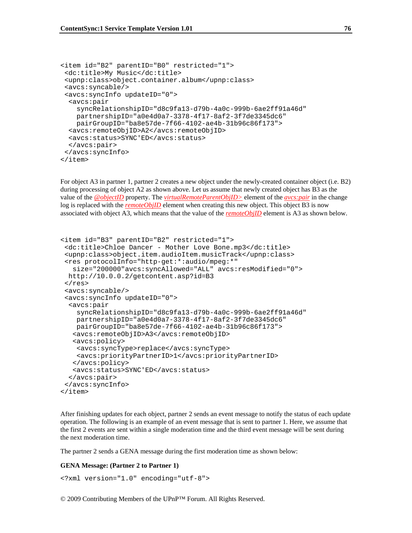```
<item id="B2" parentID="B0" restricted="1"> 
  <dc:title>My Music</dc:title> 
  <upnp:class>object.container.album</upnp:class> 
  <avcs:syncable/> 
  <avcs:syncInfo updateID="0"> 
   <avcs:pair 
     syncRelationshipID="d8c9fa13-d79b-4a0c-999b-6ae2ff91a46d" 
    partnershipID="a0e4d0a7-3378-4f17-8af2-3f7de3345dc6" 
     pairGroupID="ba8e57de-7f66-4102-ae4b-31b96c86f173"> 
   <avcs:remoteObjID>A2</avcs:remoteObjID> 
   <avcs:status>SYNC'ED</avcs:status> 
   </avcs:pair> 
  </avcs:syncInfo> 
</item>
```
For object A3 in partner 1, partner 2 creates a new object under the newly-created container object (i.e. B2) during processing of object A2 as shown above. Let us assume that newly created object has B3 as the value of the *@objectID* property. The *virtualRemoteParentObjID>* element of the *avcs:pair* in the change log is replaced with the *remoteObjID* element when creating this new object. This object B3 is now associated with object A3, which means that the value of the *remoteObjID* element is A3 as shown below.

```
<item id="B3" parentID="B2" restricted="1"> 
  <dc:title>Chloe Dancer - Mother Love Bone.mp3</dc:title> 
  <upnp:class>object.item.audioItem.musicTrack</upnp:class> 
  <res protocolInfo="http-get:*:audio/mpeg:*" 
    size="200000"avcs:syncAllowed="ALL" avcs:resModified="0"> 
  http://10.0.0.2/getcontent.asp?id=B3 
 \langleres>
  <avcs:syncable/> 
  <avcs:syncInfo updateID="0"> 
   <avcs:pair 
     syncRelationshipID="d8c9fa13-d79b-4a0c-999b-6ae2ff91a46d" 
     partnershipID="a0e4d0a7-3378-4f17-8af2-3f7de3345dc6" 
     pairGroupID="ba8e57de-7f66-4102-ae4b-31b96c86f173"> 
    <avcs:remoteObjID>A3</avcs:remoteObjID> 
    <avcs:policy> 
     <avcs:syncType>replace</avcs:syncType> 
     <avcs:priorityPartnerID>1</avcs:priorityPartnerID> 
    </avcs:policy> 
    <avcs:status>SYNC'ED</avcs:status> 
   </avcs:pair> 
  </avcs:syncInfo> 
</item>
```
After finishing updates for each object, partner 2 sends an event message to notify the status of each update operation. The following is an example of an event message that is sent to partner 1. Here, we assume that the first 2 events are sent within a single moderation time and the third event message will be sent during the next moderation time.

The partner 2 sends a GENA message during the first moderation time as shown below:

#### **GENA Message: (Partner 2 to Partner 1)**

```
<?xml version="1.0" encoding="utf-8">
```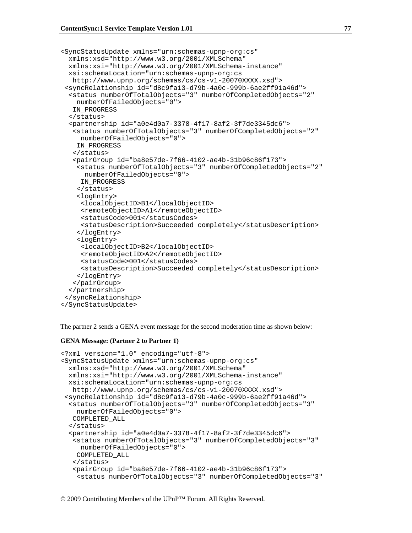```
<SyncStatusUpdate xmlns="urn:schemas-upnp-org:cs" 
  xmlns:xsd="http://www.w3.org/2001/XMLSchema" 
  xmlns:xsi="http://www.w3.org/2001/XMLSchema-instance" 
  xsi:schemaLocation="urn:schemas-upnp-org:cs 
   http://www.upnp.org/schemas/cs/cs-v1-20070XXXX.xsd"> 
  <syncRelationship id="d8c9fa13-d79b-4a0c-999b-6ae2ff91a46d"> 
   <status numberOfTotalObjects="3" numberOfCompletedObjects="2" 
     numberOfFailedObjects="0"> 
    IN_PROGRESS 
   </status> 
   <partnership id="a0e4d0a7-3378-4f17-8af2-3f7de3345dc6"> 
    <status numberOfTotalObjects="3" numberOfCompletedObjects="2" 
      numberOfFailedObjects="0"> 
    IN_PROGRESS 
    </status> 
    <pairGroup id="ba8e57de-7f66-4102-ae4b-31b96c86f173"> 
     <status numberOfTotalObjects="3" numberOfCompletedObjects="2" 
       numberOfFailedObjects="0"> 
      IN_PROGRESS 
     </status> 
     <logEntry> 
      <localObjectID>B1</localObjectID> 
      <remoteObjectID>A1</remoteObjectID> 
      <statusCode>001</statusCodes> 
      <statusDescription>Succeeded completely</statusDescription> 
     </logEntry> 
     <logEntry> 
      <localObjectID>B2</localObjectID> 
      <remoteObjectID>A2</remoteObjectID> 
      <statusCode>001</statusCodes> 
      <statusDescription>Succeeded completely</statusDescription> 
     </logEntry> 
    </pairGroup> 
   </partnership> 
  </syncRelationship> 
</SyncStatusUpdate>
```
The partner 2 sends a GENA event message for the second moderation time as shown below:

#### **GENA Message: (Partner 2 to Partner 1)**

```
<?xml version="1.0" encoding="utf-8"> 
<SyncStatusUpdate xmlns="urn:schemas-upnp-org:cs" 
  xmlns:xsd="http://www.w3.org/2001/XMLSchema" 
  xmlns:xsi="http://www.w3.org/2001/XMLSchema-instance" 
  xsi:schemaLocation="urn:schemas-upnp-org:cs 
    http://www.upnp.org/schemas/cs/cs-v1-20070XXXX.xsd"> 
  <syncRelationship id="d8c9fa13-d79b-4a0c-999b-6ae2ff91a46d"> 
   <status numberOfTotalObjects="3" numberOfCompletedObjects="3" 
     numberOfFailedObjects="0"> 
    COMPLETED_ALL 
   </status> 
   <partnership id="a0e4d0a7-3378-4f17-8af2-3f7de3345dc6"> 
    <status numberOfTotalObjects="3" numberOfCompletedObjects="3" 
      numberOfFailedObjects="0"> 
    COMPLETED_ALL 
    </status> 
    <pairGroup id="ba8e57de-7f66-4102-ae4b-31b96c86f173"> 
     <status numberOfTotalObjects="3" numberOfCompletedObjects="3"
```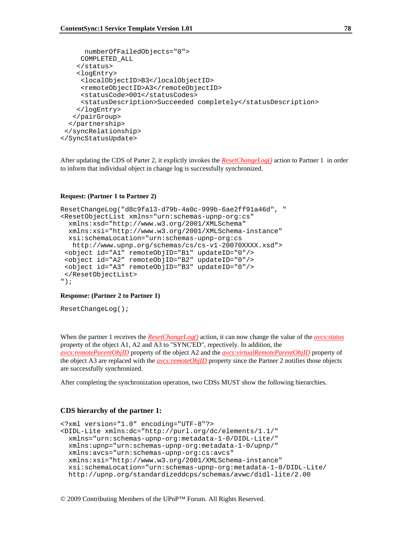```
 numberOfFailedObjects="0"> 
      COMPLETED_ALL 
     </status> 
     <logEntry> 
      <localObjectID>B3</localObjectID> 
      <remoteObjectID>A3</remoteObjectID> 
      <statusCode>001</statusCodes> 
      <statusDescription>Succeeded completely</statusDescription> 
     </logEntry> 
    </pairGroup> 
   </partnership> 
  </syncRelationship> 
</SyncStatusUpdate>
```
After updating the CDS of Parter 2, it explictly invokes the *ResetChangeLog()* action to Partner 1 in order to inform that individual object in change log is successfully synchronized.

#### **Request: (Partner 1 to Partner 2)**

```
ResetChangeLog("d8c9fa13-d79b-4a0c-999b-6ae2ff91a46d", " 
<ResetObjectList xmlns="urn:schemas-upnp-org:cs" 
  xmlns:xsd="http://www.w3.org/2001/XMLSchema" 
  xmlns:xsi="http://www.w3.org/2001/XMLSchema-instance" 
  xsi:schemaLocation="urn:schemas-upnp-org:cs 
   http://www.upnp.org/schemas/cs/cs-v1-20070XXXX.xsd"> 
  <object id="A1" remoteObjID="B1" updateID="0"/> 
  <object id="A2" remoteObjID="B2" updateID="0"/> 
  <object id="A3" remoteObjID="B3" updateID="0"/> 
  </ResetObjectList> 
");
```
#### **Response: (Partner 2 to Partner 1)**

ResetChangeLog();

When the partner 1 receives the *ResetChangeLog()* action, it can now change the value of the *avcs:status* property of the object A1, A2 and A3 to "SYNC'ED", repectively. In addition, the *avcs:remoteParentObjID* property of the object A2 and the *avcs:virtualRemoteParentObjID* property of the object A3 are replaced with the *avcs:remoteObjID* property since the Partner 2 notifies those objects are successfully synchronized.

After completing the synchronization operation, two CDSs MUST show the following hierarchies.

#### **CDS hierarchy of the partner 1:**

```
<?xml version="1.0" encoding="UTF-8"?> 
<DIDL-Lite xmlns:dc="http://purl.org/dc/elements/1.1/" 
  xmlns="urn:schemas-upnp-org:metadata-1-0/DIDL-Lite/" 
  xmlns:upnp="urn:schemas-upnp-org:metadata-1-0/upnp/" 
  xmlns:avcs="urn:schemas-upnp-org:cs:avcs" 
  xmlns:xsi="http://www.w3.org/2001/XMLSchema-instance" 
  xsi:schemaLocation="urn:schemas-upnp-org:metadata-1-0/DIDL-Lite/ 
  http://upnp.org/standardizeddcps/schemas/avwc/didl-lite/2.00
```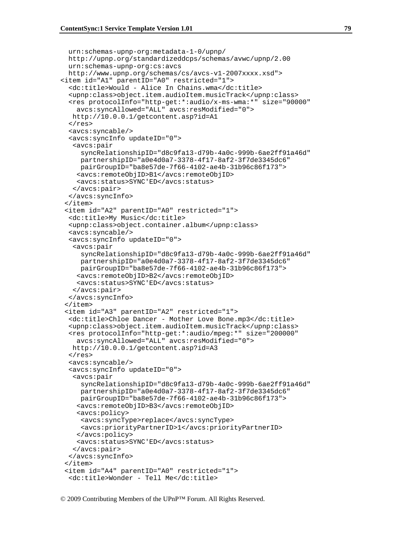```
 urn:schemas-upnp-org:metadata-1-0/upnp/ 
  http://upnp.org/standardizeddcps/schemas/avwc/upnp/2.00 
  urn:schemas-upnp-org:cs:avcs 
  http://www.upnp.org/schemas/cs/avcs-v1-2007xxxx.xsd"> 
<item id="A1" parentID="A0" restricted="1"> 
   <dc:title>Would - Alice In Chains.wma</dc:title> 
   <upnp:class>object.item.audioItem.musicTrack</upnp:class> 
   <res protocolInfo="http-get:*:audio/x-ms-wma:*" size="90000" 
     avcs:syncAllowed="ALL" avcs:resModified="0"> 
   http://10.0.0.1/getcontent.asp?id=A1 
  \langle res>
   <avcs:syncable/> 
   <avcs:syncInfo updateID="0"> 
    <avcs:pair 
      syncRelationshipID="d8c9fa13-d79b-4a0c-999b-6ae2ff91a46d" 
      partnershipID="a0e4d0a7-3378-4f17-8af2-3f7de3345dc6" 
     pairGroupID="ba8e57de-7f66-4102-ae4b-31b96c86f173"> 
     <avcs:remoteObjID>B1</avcs:remoteObjID> 
     <avcs:status>SYNC'ED</avcs:status> 
    </avcs:pair> 
   </avcs:syncInfo> 
  </item> 
  <item id="A2" parentID="A0" restricted="1"> 
   <dc:title>My Music</dc:title> 
   <upnp:class>object.container.album</upnp:class> 
   <avcs:syncable/> 
   <avcs:syncInfo updateID="0"> 
    <avcs:pair 
      syncRelationshipID="d8c9fa13-d79b-4a0c-999b-6ae2ff91a46d" 
      partnershipID="a0e4d0a7-3378-4f17-8af2-3f7de3345dc6" 
      pairGroupID="ba8e57de-7f66-4102-ae4b-31b96c86f173"> 
     <avcs:remoteObjID>B2</avcs:remoteObjID> 
     <avcs:status>SYNC'ED</avcs:status> 
    </avcs:pair> 
   </avcs:syncInfo> 
  </item> 
  <item id="A3" parentID="A2" restricted="1"> 
   <dc:title>Chloe Dancer - Mother Love Bone.mp3</dc:title> 
   <upnp:class>object.item.audioItem.musicTrack</upnp:class> 
   <res protocolInfo="http-get:*:audio/mpeg:*" size="200000" 
     avcs:syncAllowed="ALL" avcs:resModified="0"> 
   http://10.0.0.1/getcontent.asp?id=A3 
  \langleres>
   <avcs:syncable/> 
   <avcs:syncInfo updateID="0"> 
    <avcs:pair 
      syncRelationshipID="d8c9fa13-d79b-4a0c-999b-6ae2ff91a46d" 
      partnershipID="a0e4d0a7-3378-4f17-8af2-3f7de3345dc6" 
      pairGroupID="ba8e57de-7f66-4102-ae4b-31b96c86f173"> 
     <avcs:remoteObjID>B3</avcs:remoteObjID> 
     <avcs:policy> 
      <avcs:syncType>replace</avcs:syncType> 
      <avcs:priorityPartnerID>1</avcs:priorityPartnerID> 
     </avcs:policy> 
     <avcs:status>SYNC'ED</avcs:status> 
    </avcs:pair> 
   </avcs:syncInfo> 
  </item> 
  <item id="A4" parentID="A0" restricted="1"> 
   <dc:title>Wonder - Tell Me</dc:title>
```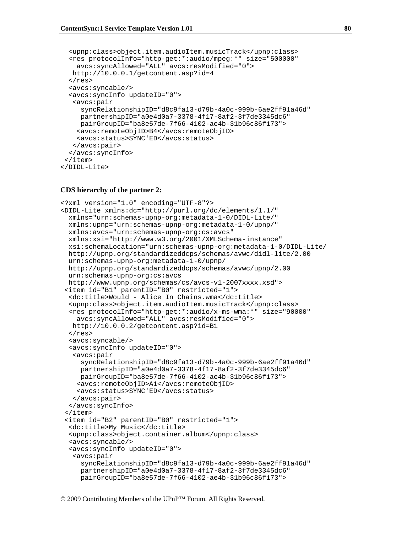```
 <upnp:class>object.item.audioItem.musicTrack</upnp:class> 
   <res protocolInfo="http-get:*:audio/mpeg:*" size="500000" 
     avcs:syncAllowed="ALL" avcs:resModified="0"> 
   http://10.0.0.1/getcontent.asp?id=4 
  \langle res>
   <avcs:syncable/> 
   <avcs:syncInfo updateID="0"> 
    <avcs:pair 
      syncRelationshipID="d8c9fa13-d79b-4a0c-999b-6ae2ff91a46d" 
      partnershipID="a0e4d0a7-3378-4f17-8af2-3f7de3345dc6" 
      pairGroupID="ba8e57de-7f66-4102-ae4b-31b96c86f173"> 
     <avcs:remoteObjID>B4</avcs:remoteObjID> 
     <avcs:status>SYNC'ED</avcs:status> 
    </avcs:pair> 
   </avcs:syncInfo> 
  </item> 
</DIDL-Lite>
```
#### **CDS hierarchy of the partner 2:**

```
<?xml version="1.0" encoding="UTF-8"?> 
<DIDL-Lite xmlns:dc="http://purl.org/dc/elements/1.1/" 
  xmlns="urn:schemas-upnp-org:metadata-1-0/DIDL-Lite/" 
  xmlns:upnp="urn:schemas-upnp-org:metadata-1-0/upnp/" 
  xmlns:avcs="urn:schemas-upnp-org:cs:avcs" 
  xmlns:xsi="http://www.w3.org/2001/XMLSchema-instance" 
  xsi:schemaLocation="urn:schemas-upnp-org:metadata-1-0/DIDL-Lite/ 
  http://upnp.org/standardizeddcps/schemas/avwc/didl-lite/2.00 
  urn:schemas-upnp-org:metadata-1-0/upnp/ 
  http://upnp.org/standardizeddcps/schemas/avwc/upnp/2.00 
  urn:schemas-upnp-org:cs:avcs 
  http://www.upnp.org/schemas/cs/avcs-v1-2007xxxx.xsd"> 
  <item id="B1" parentID="B0" restricted="1"> 
   <dc:title>Would - Alice In Chains.wma</dc:title> 
   <upnp:class>object.item.audioItem.musicTrack</upnp:class> 
   <res protocolInfo="http-get:*:audio/x-ms-wma:*" size="90000" 
     avcs:syncAllowed="ALL" avcs:resModified="0"> 
   http://10.0.0.2/getcontent.asp?id=B1 
   </res> 
   <avcs:syncable/> 
   <avcs:syncInfo updateID="0"> 
    <avcs:pair 
      syncRelationshipID="d8c9fa13-d79b-4a0c-999b-6ae2ff91a46d" 
      partnershipID="a0e4d0a7-3378-4f17-8af2-3f7de3345dc6" 
     pairGroupID="ba8e57de-7f66-4102-ae4b-31b96c86f173"> 
     <avcs:remoteObjID>A1</avcs:remoteObjID> 
     <avcs:status>SYNC'ED</avcs:status> 
    </avcs:pair> 
   </avcs:syncInfo> 
  </item> 
  <item id="B2" parentID="B0" restricted="1"> 
   <dc:title>My Music</dc:title> 
   <upnp:class>object.container.album</upnp:class> 
   <avcs:syncable/> 
   <avcs:syncInfo updateID="0"> 
    <avcs:pair 
      syncRelationshipID="d8c9fa13-d79b-4a0c-999b-6ae2ff91a46d" 
      partnershipID="a0e4d0a7-3378-4f17-8af2-3f7de3345dc6" 
      pairGroupID="ba8e57de-7f66-4102-ae4b-31b96c86f173">
```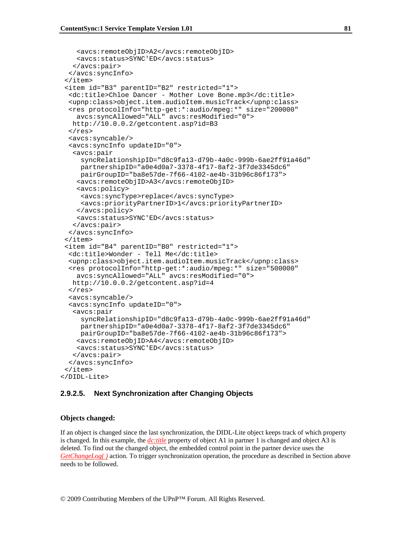```
 <avcs:remoteObjID>A2</avcs:remoteObjID> 
     <avcs:status>SYNC'ED</avcs:status> 
    </avcs:pair> 
   </avcs:syncInfo> 
  </item> 
  <item id="B3" parentID="B2" restricted="1"> 
   <dc:title>Chloe Dancer - Mother Love Bone.mp3</dc:title> 
   <upnp:class>object.item.audioItem.musicTrack</upnp:class> 
   <res protocolInfo="http-get:*:audio/mpeg:*" size="200000" 
     avcs:syncAllowed="ALL" avcs:resModified="0"> 
   http://10.0.0.2/getcontent.asp?id=B3 
  \langle res>
   <avcs:syncable/> 
   <avcs:syncInfo updateID="0"> 
    <avcs:pair 
      syncRelationshipID="d8c9fa13-d79b-4a0c-999b-6ae2ff91a46d" 
      partnershipID="a0e4d0a7-3378-4f17-8af2-3f7de3345dc6" 
      pairGroupID="ba8e57de-7f66-4102-ae4b-31b96c86f173"> 
     <avcs:remoteObjID>A3</avcs:remoteObjID> 
     <avcs:policy> 
      <avcs:syncType>replace</avcs:syncType> 
      <avcs:priorityPartnerID>1</avcs:priorityPartnerID> 
     </avcs:policy> 
     <avcs:status>SYNC'ED</avcs:status> 
    </avcs:pair> 
   </avcs:syncInfo> 
  </item> 
  <item id="B4" parentID="B0" restricted="1"> 
   <dc:title>Wonder - Tell Me</dc:title> 
   <upnp:class>object.item.audioItem.musicTrack</upnp:class> 
   <res protocolInfo="http-get:*:audio/mpeg:*" size="500000" 
     avcs:syncAllowed="ALL" avcs:resModified="0"> 
   http://10.0.0.2/getcontent.asp?id=4 
  \langle res>
   <avcs:syncable/> 
   <avcs:syncInfo updateID="0"> 
    <avcs:pair 
      syncRelationshipID="d8c9fa13-d79b-4a0c-999b-6ae2ff91a46d" 
      partnershipID="a0e4d0a7-3378-4f17-8af2-3f7de3345dc6" 
      pairGroupID="ba8e57de-7f66-4102-ae4b-31b96c86f173"> 
     <avcs:remoteObjID>A4</avcs:remoteObjID> 
     <avcs:status>SYNC'ED</avcs:status> 
    </avcs:pair> 
   </avcs:syncInfo> 
  </item> 
</DIDL-Lite>
```
#### **2.9.2.5. Next Synchronization after Changing Objects**

#### **Objects changed:**

If an object is changed since the last synchronization, the DIDL-Lite object keeps track of which property is changed. In this example, the *dc:title* property of object A1 in partner 1 is changed and object A3 is deleted. To find out the changed object, the embedded control point in the partner device uses the *GetChangeLog()* action. To trigger synchronization operation, the procedure as described in Section above needs to be followed.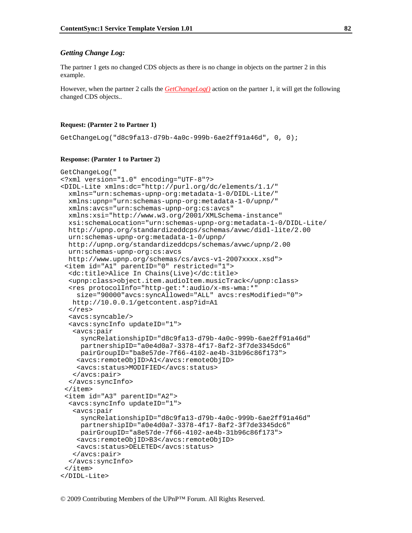#### *Getting Change Log:*

The partner 1 gets no changed CDS objects as there is no change in objects on the partner 2 in this example.

However, when the partner 2 calls the *GetChangeLog()* action on the partner 1, it will get the following changed CDS objects..

#### **Request: (Parnter 2 to Partner 1)**

GetChangeLog("d8c9fa13-d79b-4a0c-999b-6ae2ff91a46d", 0, 0);

#### **Response: (Parnter 1 to Partner 2)**

```
GetChangeLog(" 
<?xml version="1.0" encoding="UTF-8"?> 
<DIDL-Lite xmlns:dc="http://purl.org/dc/elements/1.1/" 
   xmlns="urn:schemas-upnp-org:metadata-1-0/DIDL-Lite/" 
  xmlns:upnp="urn:schemas-upnp-org:metadata-1-0/upnp/" 
  xmlns:avcs="urn:schemas-upnp-org:cs:avcs" 
   xmlns:xsi="http://www.w3.org/2001/XMLSchema-instance" 
   xsi:schemaLocation="urn:schemas-upnp-org:metadata-1-0/DIDL-Lite/ 
  http://upnp.org/standardizeddcps/schemas/avwc/didl-lite/2.00 
   urn:schemas-upnp-org:metadata-1-0/upnp/ 
   http://upnp.org/standardizeddcps/schemas/avwc/upnp/2.00 
   urn:schemas-upnp-org:cs:avcs 
   http://www.upnp.org/schemas/cs/avcs-v1-2007xxxx.xsd"> 
  <item id="A1" parentID="0" restricted="1"> 
   <dc:title>Alice In Chains(Live)</dc:title> 
   <upnp:class>object.item.audioItem.musicTrack</upnp:class> 
   <res protocolInfo="http-get:*:audio/x-ms-wma:*" 
     size="90000"avcs:syncAllowed="ALL" avcs:resModified="0"> 
   http://10.0.0.1/getcontent.asp?id=A1 
  \langleres>
   <avcs:syncable/> 
   <avcs:syncInfo updateID="1"> 
    <avcs:pair 
      syncRelationshipID="d8c9fa13-d79b-4a0c-999b-6ae2ff91a46d" 
      partnershipID="a0e4d0a7-3378-4f17-8af2-3f7de3345dc6" 
     pairGroupID="ba8e57de-7f66-4102-ae4b-31b96c86f173"> 
     <avcs:remoteObjID>A1</avcs:remoteObjID> 
     <avcs:status>MODIFIED</avcs:status> 
    </avcs:pair> 
   </avcs:syncInfo> 
  </item> 
  <item id="A3" parentID="A2"> 
   <avcs:syncInfo updateID="1"> 
    <avcs:pair 
      syncRelationshipID="d8c9fa13-d79b-4a0c-999b-6ae2ff91a46d" 
      partnershipID="a0e4d0a7-3378-4f17-8af2-3f7de3345dc6" 
      pairGroupID="a8e57de-7f66-4102-ae4b-31b96c86f173"> 
     <avcs:remoteObjID>B3</avcs:remoteObjID> 
     <avcs:status>DELETED</avcs:status> 
    </avcs:pair> 
   </avcs:syncInfo> 
  </item> 
</DIDL-Lite>
```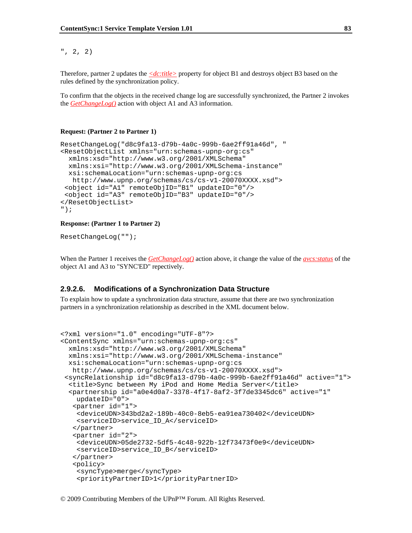#### ", 2, 2)

Therefore, partner 2 updates the *<dc:title>* property for object B1 and destroys object B3 based on the rules defined by the synchronization policy.

To confirm that the objects in the received change log are successfully synchronized, the Partner 2 invokes the *GetChangeLog()* action with object A1 and A3 information.

#### **Request: (Partner 2 to Partner 1)**

```
ResetChangeLog("d8c9fa13-d79b-4a0c-999b-6ae2ff91a46d", " 
<ResetObjectList xmlns="urn:schemas-upnp-org:cs" 
  xmlns:xsd="http://www.w3.org/2001/XMLSchema" 
  xmlns:xsi="http://www.w3.org/2001/XMLSchema-instance" 
  xsi:schemaLocation="urn:schemas-upnp-org:cs 
    http://www.upnp.org/schemas/cs/cs-v1-20070XXXX.xsd"> 
  <object id="A1" remoteObjID="B1" updateID="0"/> 
  <object id="A3" remoteObjID="B3" updateID="0"/> 
</ResetObjectList> 
");
```
#### **Response: (Partner 1 to Partner 2)**

```
ResetChangeLog("");
```
When the Partner 1 receives the *GetChangeLog()* action above, it change the value of the *avcs:status* of the object A1 and A3 to "SYNC'ED" repectively.

#### **2.9.2.6. Modifications of a Synchronization Data Structure**

To explain how to update a synchronization data structure, assume that there are two synchronization partners in a synchronization relationship as described in the XML document below.

```
<?xml version="1.0" encoding="UTF-8"?> 
<ContentSync xmlns="urn:schemas-upnp-org:cs" 
  xmlns:xsd="http://www.w3.org/2001/XMLSchema" 
  xmlns:xsi="http://www.w3.org/2001/XMLSchema-instance" 
  xsi:schemaLocation="urn:schemas-upnp-org:cs 
   http://www.upnp.org/schemas/cs/cs-v1-20070XXXX.xsd"> 
  <syncRelationship id="d8c9fa13-d79b-4a0c-999b-6ae2ff91a46d" active="1"> 
   <title>Sync between My iPod and Home Media Server</title> 
   <partnership id="a0e4d0a7-3378-4f17-8af2-3f7de3345dc6" active="1" 
     updateID="0"> 
    <partner id="1"> 
     <deviceUDN>343bd2a2-189b-40c0-8eb5-ea91ea730402</deviceUDN> 
     <serviceID>service_ID_A</serviceID> 
    </partner> 
    <partner id="2"> 
     <deviceUDN>05de2732-5df5-4c48-922b-12f73473f0e9</deviceUDN> 
     <serviceID>service_ID_B</serviceID> 
    </partner> 
    <policy> 
     <syncType>merge</syncType> 
     <priorityPartnerID>1</priorityPartnerID>
```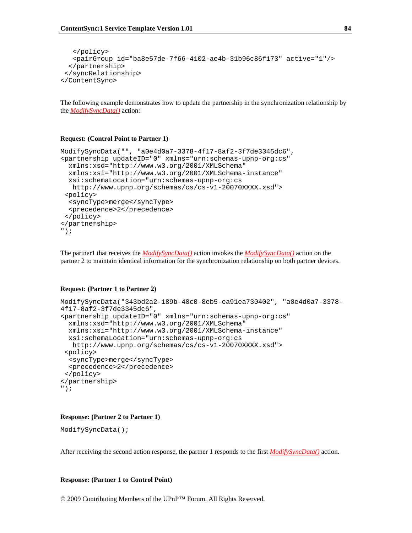```
 </policy> 
    <pairGroup id="ba8e57de-7f66-4102-ae4b-31b96c86f173" active="1"/> 
   </partnership> 
  </syncRelationship> 
</ContentSync>
```
The following example demonstrates how to update the partnership in the synchronization relationship by the *ModifySyncData()* action:

#### **Request: (Control Point to Partner 1)**

```
ModifySyncData("", "a0e4d0a7-3378-4f17-8af2-3f7de3345dc6", 
<partnership updateID="0" xmlns="urn:schemas-upnp-org:cs" 
   xmlns:xsd="http://www.w3.org/2001/XMLSchema" 
   xmlns:xsi="http://www.w3.org/2001/XMLSchema-instance" 
   xsi:schemaLocation="urn:schemas-upnp-org:cs 
   http://www.upnp.org/schemas/cs/cs-v1-20070XXXX.xsd"> 
  <policy> 
   <syncType>merge</syncType> 
   <precedence>2</precedence> 
 </policy> 
</partnership> 
");
```
The partner1 that receives the *ModifySyncData()* action invokes the *ModifySyncData()* action on the partner 2 to maintain identical information for the synchronization relationship on both partner devices.

#### **Request: (Partner 1 to Partner 2)**

```
ModifySyncData("343bd2a2-189b-40c0-8eb5-ea91ea730402", "a0e4d0a7-3378-
4f17-8af2-3f7de3345dc6", 
<partnership updateID="0" xmlns="urn:schemas-upnp-org:cs" 
   xmlns:xsd="http://www.w3.org/2001/XMLSchema" 
  xmlns:xsi="http://www.w3.org/2001/XMLSchema-instance" 
   xsi:schemaLocation="urn:schemas-upnp-org:cs 
   http://www.upnp.org/schemas/cs/cs-v1-20070XXXX.xsd"> 
  <policy> 
   <syncType>merge</syncType> 
   <precedence>2</precedence> 
  </policy> 
</partnership> 
");
```
#### **Response: (Partner 2 to Partner 1)**

```
ModifySyncData();
```
After receiving the second action response, the partner 1 responds to the first *ModifySyncData()* action.

#### **Response: (Partner 1 to Control Point)**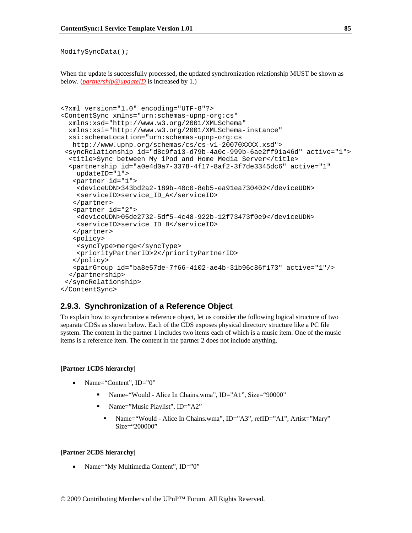```
ModifySyncData();
```
When the update is successfully processed, the updated synchronization relationship MUST be shown as below. (*partnership@updateID* is increased by 1.)

```
<?xml version="1.0" encoding="UTF-8"?> 
<ContentSync xmlns="urn:schemas-upnp-org:cs" 
  xmlns:xsd="http://www.w3.org/2001/XMLSchema" 
  xmlns:xsi="http://www.w3.org/2001/XMLSchema-instance" 
  xsi:schemaLocation="urn:schemas-upnp-org:cs 
   http://www.upnp.org/schemas/cs/cs-v1-20070XXXX.xsd"> 
  <syncRelationship id="d8c9fa13-d79b-4a0c-999b-6ae2ff91a46d" active="1"> 
   <title>Sync between My iPod and Home Media Server</title> 
   <partnership id="a0e4d0a7-3378-4f17-8af2-3f7de3345dc6" active="1" 
     updateID="1"> 
    <partner id="1"> 
     <deviceUDN>343bd2a2-189b-40c0-8eb5-ea91ea730402</deviceUDN> 
     <serviceID>service_ID_A</serviceID> 
    </partner> 
    <partner id="2"> 
     <deviceUDN>05de2732-5df5-4c48-922b-12f73473f0e9</deviceUDN> 
     <serviceID>service_ID_B</serviceID> 
    </partner> 
    <policy> 
     <syncType>merge</syncType> 
     <priorityPartnerID>2</priorityPartnerID> 
    </policy> 
    <pairGroup id="ba8e57de-7f66-4102-ae4b-31b96c86f173" active="1"/> 
   </partnership> 
  </syncRelationship> 
</ContentSync>
```
### **2.9.3. Synchronization of a Reference Object**

To explain how to synchronize a reference object, let us consider the following logical structure of two separate CDSs as shown below. Each of the CDS exposes physical directory structure like a PC file system. The content in the partner 1 includes two items each of which is a music item. One of the music items is a reference item. The content in the partner 2 does not include anything.

#### **[Partner 1CDS hierarchy]**

- Name="Content",  $ID="0"$ 
	- Name="Would Alice In Chains.wma", ID="A1", Size="90000"
	- Name="Music Playlist", ID="A2"
		- Name="Would Alice In Chains.wma", ID="A3", refID="A1", Artist="Mary" Size="200000"

#### **[Partner 2CDS hierarchy]**

Name="My Multimedia Content", ID="0"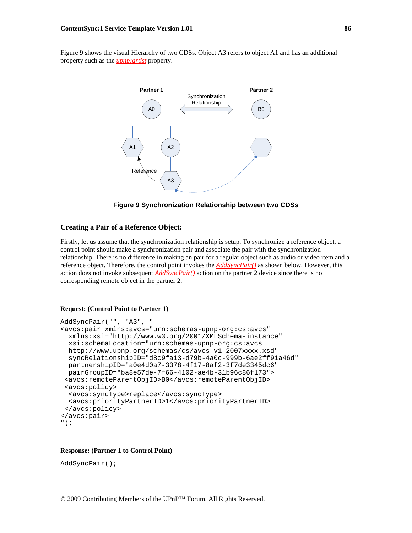Figure 9 shows the visual Hierarchy of two CDSs. Object A3 refers to object A1 and has an additional property such as the *upnp:artist* property.



**Figure 9 Synchronization Relationship between two CDSs** 

#### **Creating a Pair of a Reference Object:**

Firstly, let us assume that the synchronization relationship is setup. To synchronize a reference object, a control point should make a synchronization pair and associate the pair with the synchronization relationship. There is no difference in making an pair for a regular object such as audio or video item and a reference object. Therefore, the control point invokes the *AddSyncPair()* as shown below. However, this action does not invoke subsequent *AddSyncPair()* action on the partner 2 device since there is no corresponding remote object in the partner 2.

#### **Request: (Control Point to Partner 1)**

```
AddSyncPair("", "A3", " 
<avcs:pair xmlns:avcs="urn:schemas-upnp-org:cs:avcs" 
  xmlns:xsi="http://www.w3.org/2001/XMLSchema-instance" 
  xsi:schemaLocation="urn:schemas-upnp-org:cs:avcs 
  http://www.upnp.org/schemas/cs/avcs-v1-2007xxxx.xsd" 
  syncRelationshipID="d8c9fa13-d79b-4a0c-999b-6ae2ff91a46d" 
  partnershipID="a0e4d0a7-3378-4f17-8af2-3f7de3345dc6" 
  pairGroupID="ba8e57de-7f66-4102-ae4b-31b96c86f173"> 
  <avcs:remoteParentObjID>B0</avcs:remoteParentObjID> 
  <avcs:policy> 
   <avcs:syncType>replace</avcs:syncType> 
  <avcs:priorityPartnerID>1</avcs:priorityPartnerID> 
 </avcs:policy> 
</avcs:pair> 
");
```
#### **Response: (Partner 1 to Control Point)**

AddSyncPair();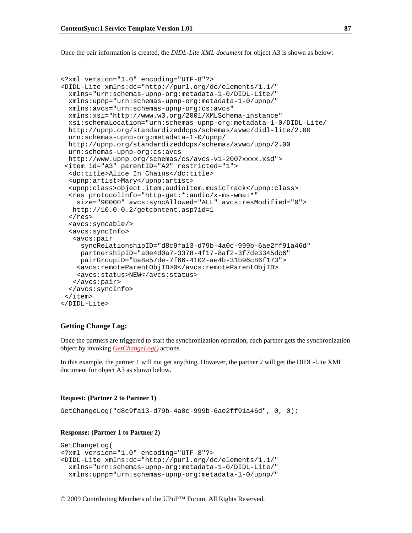Once the pair information is created, the *DIDL-Lite XML document* for object A3 is shown as below:

```
<?xml version="1.0" encoding="UTF-8"?> 
<DIDL-Lite xmlns:dc="http://purl.org/dc/elements/1.1/" 
  xmlns="urn:schemas-upnp-org:metadata-1-0/DIDL-Lite/" 
  xmlns:upnp="urn:schemas-upnp-org:metadata-1-0/upnp/" 
  xmlns:avcs="urn:schemas-upnp-org:cs:avcs" 
  xmlns:xsi="http://www.w3.org/2001/XMLSchema-instance" 
  xsi:schemaLocation="urn:schemas-upnp-org:metadata-1-0/DIDL-Lite/ 
  http://upnp.org/standardizeddcps/schemas/avwc/didl-lite/2.00 
  urn:schemas-upnp-org:metadata-1-0/upnp/ 
  http://upnp.org/standardizeddcps/schemas/avwc/upnp/2.00 
  urn:schemas-upnp-org:cs:avcs 
  http://www.upnp.org/schemas/cs/avcs-v1-2007xxxx.xsd"> 
  <item id="A3" parentID="A2" restricted="1"> 
   <dc:title>Alice In Chains</dc:title> 
   <upnp:artist>Mary</upnp:artist> 
   <upnp:class>object.item.audioItem.musicTrack</upnp:class> 
   <res protocolInfo="http-get:*:audio/x-ms-wma:*" 
     size="90000" avcs:syncAllowed="ALL" avcs:resModified="0"> 
   http://10.0.0.2/getcontent.asp?id=1 
  \langleres>
   <avcs:syncable/> 
   <avcs:syncInfo> 
    <avcs:pair 
      syncRelationshipID="d8c9fa13-d79b-4a0c-999b-6ae2ff91a46d" 
      partnershipID="a0e4d0a7-3378-4f17-8af2-3f7de3345dc6" 
     pairGroupID="ba8e57de-7f66-4102-ae4b-31b96c86f173"> 
     <avcs:remoteParentObjID>0</avcs:remoteParentObjID> 
     <avcs:status>NEW</avcs:status> 
    </avcs:pair> 
   </avcs:syncInfo> 
  </item> 
</DIDL-Lite>
```
#### **Getting Change Log:**

Once the partners are triggered to start the synchronization operation, each partner gets the synchronization object by invoking *GetChangeLog()* actions.

In this example, the partner 1 will not get anything. However, the partner 2 will get the DIDL-Lite XML document for object A3 as shown below.

#### **Request: (Partner 2 to Partner 1)**

GetChangeLog("d8c9fa13-d79b-4a0c-999b-6ae2ff91a46d", 0, 0);

#### **Response: (Partner 1 to Partner 2)**

```
GetChangeLog( 
<?xml version="1.0" encoding="UTF-8"?> 
<DIDL-Lite xmlns:dc="http://purl.org/dc/elements/1.1/" 
  xmlns="urn:schemas-upnp-org:metadata-1-0/DIDL-Lite/" 
  xmlns:upnp="urn:schemas-upnp-org:metadata-1-0/upnp/"
```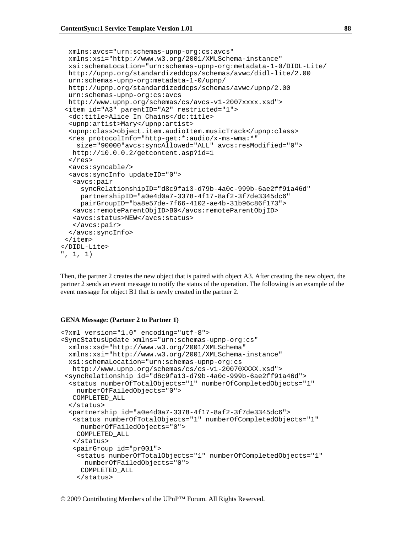```
 xmlns:avcs="urn:schemas-upnp-org:cs:avcs" 
  xmlns:xsi="http://www.w3.org/2001/XMLSchema-instance" 
  xsi:schemaLocation="urn:schemas-upnp-org:metadata-1-0/DIDL-Lite/ 
  http://upnp.org/standardizeddcps/schemas/avwc/didl-lite/2.00 
  urn:schemas-upnp-org:metadata-1-0/upnp/ 
  http://upnp.org/standardizeddcps/schemas/avwc/upnp/2.00 
  urn:schemas-upnp-org:cs:avcs 
  http://www.upnp.org/schemas/cs/avcs-v1-2007xxxx.xsd"> 
  <item id="A3" parentID="A2" restricted="1"> 
   <dc:title>Alice In Chains</dc:title> 
   <upnp:artist>Mary</upnp:artist> 
   <upnp:class>object.item.audioItem.musicTrack</upnp:class> 
   <res protocolInfo="http-get:*:audio/x-ms-wma:*" 
     size="90000"avcs:syncAllowed="ALL" avcs:resModified="0"> 
   http://10.0.0.2/getcontent.asp?id=1 
  \langleres>
   <avcs:syncable/> 
   <avcs:syncInfo updateID="0"> 
    <avcs:pair 
      syncRelationshipID="d8c9fa13-d79b-4a0c-999b-6ae2ff91a46d" 
      partnershipID="a0e4d0a7-3378-4f17-8af2-3f7de3345dc6" 
      pairGroupID="ba8e57de-7f66-4102-ae4b-31b96c86f173"> 
    <avcs:remoteParentObjID>B0</avcs:remoteParentObjID> 
    <avcs:status>NEW</avcs:status> 
    </avcs:pair> 
   </avcs:syncInfo> 
  </item> 
</DIDL-Lite> 
", 1, 1)
```
Then, the partner 2 creates the new object that is paired with object A3. After creating the new object, the partner 2 sends an event message to notify the status of the operation. The following is an example of the event message for object B1 that is newly created in the partner 2.

#### **GENA Message: (Partner 2 to Partner 1)**

```
<?xml version="1.0" encoding="utf-8"> 
<SyncStatusUpdate xmlns="urn:schemas-upnp-org:cs" 
  xmlns:xsd="http://www.w3.org/2001/XMLSchema" 
   xmlns:xsi="http://www.w3.org/2001/XMLSchema-instance" 
   xsi:schemaLocation="urn:schemas-upnp-org:cs 
   http://www.upnp.org/schemas/cs/cs-v1-20070XXXX.xsd"> 
  <syncRelationship id="d8c9fa13-d79b-4a0c-999b-6ae2ff91a46d"> 
   <status numberOfTotalObjects="1" numberOfCompletedObjects="1" 
    numberOfFailedObjects="0"> 
   COMPLETED_ALL 
   </status> 
   <partnership id="a0e4d0a7-3378-4f17-8af2-3f7de3345dc6"> 
    <status numberOfTotalObjects="1" numberOfCompletedObjects="1" 
     numberOfFailedObjects="0"> 
    COMPLETED_ALL 
    </status> 
    <pairGroup id="pr001"> 
     <status numberOfTotalObjects="1" numberOfCompletedObjects="1" 
       numberOfFailedObjects="0"> 
      COMPLETED_ALL 
     </status>
```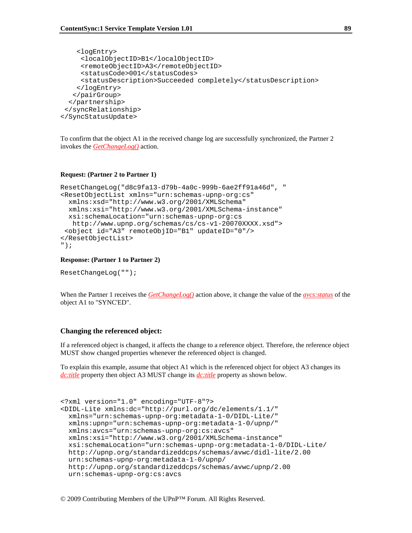```
 <logEntry> 
      <localObjectID>B1</localObjectID> 
      <remoteObjectID>A3</remoteObjectID> 
      <statusCode>001</statusCodes> 
      <statusDescription>Succeeded completely</statusDescription> 
     </logEntry> 
    </pairGroup> 
   </partnership> 
  </syncRelationship> 
</SyncStatusUpdate>
```
To confirm that the object A1 in the received change log are successfully synchronized, the Partner 2 invokes the *GetChangeLog()* action.

#### **Request: (Partner 2 to Partner 1)**

```
ResetChangeLog("d8c9fa13-d79b-4a0c-999b-6ae2ff91a46d", " 
<ResetObjectList xmlns="urn:schemas-upnp-org:cs" 
   xmlns:xsd="http://www.w3.org/2001/XMLSchema" 
  xmlns:xsi="http://www.w3.org/2001/XMLSchema-instance" 
  xsi:schemaLocation="urn:schemas-upnp-org:cs 
   http://www.upnp.org/schemas/cs/cs-v1-20070XXXX.xsd"> 
  <object id="A3" remoteObjID="B1" updateID="0"/> 
</ResetObjectList> 
");
```
#### **Response: (Partner 1 to Partner 2)**

ResetChangeLog("");

When the Partner 1 receives the *GetChangeLog()* action above, it change the value of the *avcs:status* of the object A1 to "SYNC'ED".

#### **Changing the referenced object:**

If a referenced object is changed, it affects the change to a reference object. Therefore, the reference object MUST show changed properties whenever the referenced object is changed.

To explain this example, assume that object A1 which is the referenced object for object A3 changes its *dc:title* property then object A3 MUST change its *dc:title* property as shown below.

```
<?xml version="1.0" encoding="UTF-8"?> 
<DIDL-Lite xmlns:dc="http://purl.org/dc/elements/1.1/" 
  xmlns="urn:schemas-upnp-org:metadata-1-0/DIDL-Lite/" 
  xmlns:upnp="urn:schemas-upnp-org:metadata-1-0/upnp/" 
  xmlns:avcs="urn:schemas-upnp-org:cs:avcs" 
  xmlns:xsi="http://www.w3.org/2001/XMLSchema-instance" 
  xsi:schemaLocation="urn:schemas-upnp-org:metadata-1-0/DIDL-Lite/ 
  http://upnp.org/standardizeddcps/schemas/avwc/didl-lite/2.00 
  urn:schemas-upnp-org:metadata-1-0/upnp/ 
  http://upnp.org/standardizeddcps/schemas/avwc/upnp/2.00 
  urn:schemas-upnp-org:cs:avcs
```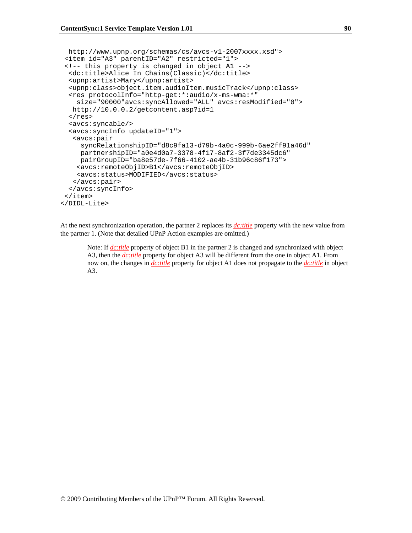```
 http://www.upnp.org/schemas/cs/avcs-v1-2007xxxx.xsd"> 
  <item id="A3" parentID="A2" restricted="1"> 
  <!-- this property is changed in object A1 --> 
   <dc:title>Alice In Chains(Classic)</dc:title> 
   <upnp:artist>Mary</upnp:artist> 
   <upnp:class>object.item.audioItem.musicTrack</upnp:class> 
   <res protocolInfo="http-get:*:audio/x-ms-wma:*" 
     size="90000"avcs:syncAllowed="ALL" avcs:resModified="0"> 
   http://10.0.0.2/getcontent.asp?id=1 
  \langleres>
   <avcs:syncable/> 
   <avcs:syncInfo updateID="1"> 
    <avcs:pair 
      syncRelationshipID="d8c9fa13-d79b-4a0c-999b-6ae2ff91a46d" 
      partnershipID="a0e4d0a7-3378-4f17-8af2-3f7de3345dc6" 
     pairGroupID="ba8e57de-7f66-4102-ae4b-31b96c86f173"> 
     <avcs:remoteObjID>B1</avcs:remoteObjID> 
     <avcs:status>MODIFIED</avcs:status> 
    </avcs:pair> 
   </avcs:syncInfo> 
  </item> 
</DIDL-Lite>
```
At the next synchronization operation, the partner 2 replaces its *dc:title* property with the new value from the partner 1. (Note that detailed UPnP Action examples are omitted.)

Note: If *dc:title* property of object B1 in the partner 2 is changed and synchronized with object A3, then the *dc:title* property for object A3 will be different from the one in object A1. From now on, the changes in *dc:title* property for object A1 does not propagate to the *dc:title* in object A3.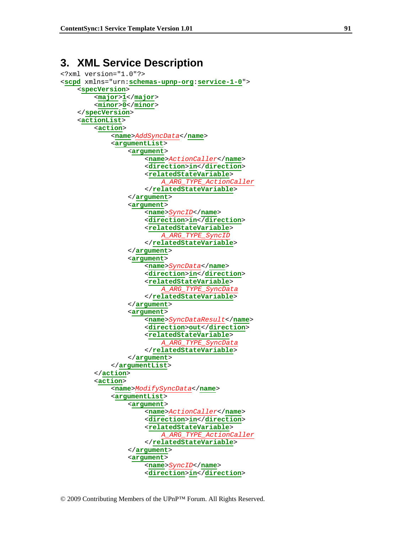# **3. XML Service Description**

```
<?xml version="1.0"?> 
<scpd xmlns="urn:schemas-upnp-org:service-1-0"> 
     <specVersion> 
          <major>1</major> 
          <minor>0</minor> 
     </specVersion> 
     <actionList> 
          <action> 
              <name>AddSyncData</name> 
               <argumentList> 
                   <argument> 
                        <name>ActionCaller</name> 
                        <direction>in</direction> 
                        <relatedStateVariable> 
                             A_ARG_TYPE_ActionCaller
                        </relatedStateVariable> 
                   </argument> 
                   <argument> 
                       <name>SyncID</name> 
                       <direction>in</direction> 
                       <relatedStateVariable> 
                            A_ARG_TYPE_SyncID
                       </relatedStateVariable> 
                  </argument> 
                  <argument> 
                       <name>SyncData</name> 
                       <direction>in</direction> 
                       <relatedStateVariable> 
                            A_ARG_TYPE_SyncData
                       </relatedStateVariable> 
                  </argument> 
                  <argument> 
                       <name>SyncDataResult</name> 
                       <direction>out</direction> 
                       <relatedStateVariable> 
                             A_ARG_TYPE_SyncData
                       </relatedStateVariable> 
                  </argument> 
               </argumentList> 
          </action> 
          <action> 
               <name>ModifySyncData</name> 
               <argumentList> 
                   <argument> 
                        <name>ActionCaller</name> 
                        <direction>in</direction> 
                        <relatedStateVariable> 
                            A_ARG_TYPE_ActionCaller
                        </relatedStateVariable> 
                   </argument> 
                   <argument> 
                       <name>SyncID</name> 
                       <direction>in</direction>
```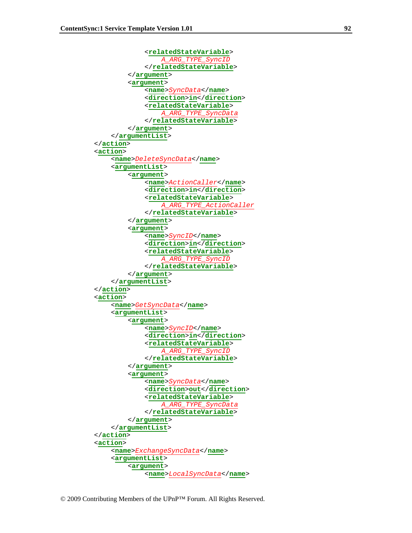```
<relatedStateVariable> 
                   A_ARG_TYPE_SyncID
              </relatedStateVariable> 
         </argument> 
         <argument> 
              <name>SyncData</name> 
              <direction>in</direction> 
              <relatedStateVariable> 
                   A_ARG_TYPE_SyncData
              </relatedStateVariable> 
         </argument> 
     </argumentList> 
 </action> 
 <action> 
     <name>DeleteSyncData</name> 
     <argumentList> 
          <argument> 
               <name>ActionCaller</name> 
               <direction>in</direction> 
               <relatedStateVariable> 
                    A_ARG_TYPE_ActionCaller
               </relatedStateVariable> 
          </argument> 
          <argument> 
              <name>SyncID</name> 
              <direction>in</direction> 
              <relatedStateVariable> 
                   A_ARG_TYPE_SyncID
              </relatedStateVariable> 
         </argument> 
     </argumentList> 
 </action> 
 <action> 
     <name>GetSyncData</name> 
     <argumentList> 
          <argument> 
               <name>SyncID</name> 
               <direction>in</direction> 
               <relatedStateVariable> 
                   A_ARG_TYPE_SyncID
               </relatedStateVariable> 
          </argument> 
          <argument> 
              <name>SyncData</name> 
              <direction>out</direction> 
              <relatedStateVariable> 
                   A_ARG_TYPE_SyncData
              </relatedStateVariable> 
         </argument> 
     </argumentList> 
 </action> 
 <action> 
     <name>ExchangeSyncData</name> 
     <argumentList> 
          <argument> 
               <name>LocalSyncData</name>
```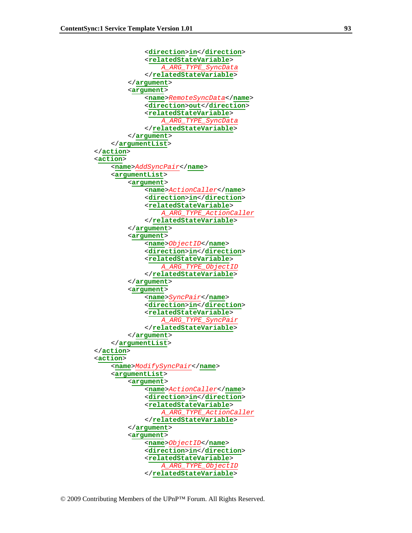```
 <direction>in</direction> 
               <relatedStateVariable> 
                   A_ARG_TYPE_SyncData
               </relatedStateVariable> 
          </argument> 
          <argument> 
              <name>RemoteSyncData</name> 
              <direction>out</direction> 
              <relatedStateVariable> 
                   A_ARG_TYPE_SyncData
              </relatedStateVariable> 
         </argument> 
     </argumentList> 
 </action> 
 <action> 
     <name>AddSyncPair</name> 
     <argumentList> 
          <argument> 
               <name>ActionCaller</name> 
               <direction>in</direction> 
               <relatedStateVariable> 
                    A_ARG_TYPE_ActionCaller
              </relatedStateVariable> 
          </argument> 
          <argument> 
              <name>ObjectID</name> 
              <direction>in</direction> 
              <relatedStateVariable> 
                   A_ARG_TYPE_ObjectID
              </relatedStateVariable> 
         </argument> 
          <argument> 
              <name>SyncPair</name> 
              <direction>in</direction> 
              <relatedStateVariable> 
                   A_ARG_TYPE_SyncPair
             </relatedStateVariable> 
         </argument> 
     </argumentList> 
 </action> 
 <action> 
     <name>ModifySyncPair</name> 
     <argumentList> 
          <argument> 
               <name>ActionCaller</name> 
               <direction>in</direction> 
               <relatedStateVariable> 
                   A_ARG_TYPE_ActionCaller
              </relatedStateVariable> 
          </argument> 
          <argument> 
              <name>ObjectID</name> 
              <direction>in</direction> 
              <relatedStateVariable> 
                    A_ARG_TYPE_ObjectID
              </relatedStateVariable>
```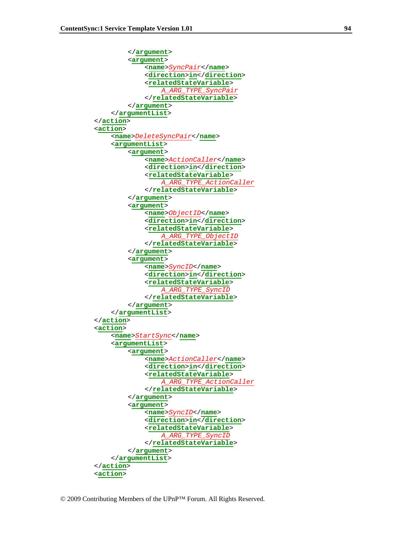```
</argument> 
          <argument> 
              <name>SyncPair</name> 
              <direction>in</direction> 
              <relatedStateVariable> 
                    A_ARG_TYPE_SyncPair
              </relatedStateVariable> 
         </argument> 
     </argumentList> 
 </action> 
 <action> 
     <name>DeleteSyncPair</name> 
     <argumentList> 
          <argument> 
               <name>ActionCaller</name> 
               <direction>in</direction> 
               <relatedStateVariable> 
                    A_ARG_TYPE_ActionCaller
               </relatedStateVariable> 
          </argument> 
          <argument> 
              <name>ObjectID</name> 
              <direction>in</direction> 
              <relatedStateVariable> 
                   A_ARG_TYPE_ObjectID
              </relatedStateVariable> 
         </argument> 
          <argument> 
              <name>SyncID</name> 
              <direction>in</direction> 
              <relatedStateVariable> 
                    A_ARG_TYPE_SyncID
              </relatedStateVariable> 
         </argument> 
     </argumentList> 
 </action> 
 <action> 
     <name>StartSync</name> 
     <argumentList> 
          <argument> 
               <name>ActionCaller</name> 
               <direction>in</direction> 
               <relatedStateVariable> 
                    A_ARG_TYPE_ActionCaller
               </relatedStateVariable> 
          </argument> 
          <argument> 
              <name>SyncID</name> 
              <direction>in</direction> 
              <relatedStateVariable> 
                    A_ARG_TYPE_SyncID
              </relatedStateVariable> 
         </argument> 
     </argumentList> 
 </action> 
 <action>
```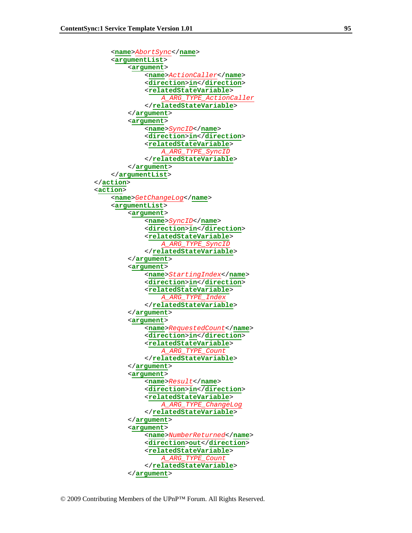```
 <name>AbortSync</name> 
              <argumentList> 
                   <argument> 
                       <name>ActionCaller</name> 
                       <direction>in</direction> 
                       <relatedStateVariable> 
                            A_ARG_TYPE_ActionCaller
                       </relatedStateVariable> 
                   </argument> 
                   <argument> 
                      <name>SyncID</name> 
                      <direction>in</direction> 
                      <relatedStateVariable> 
                            A_ARG_TYPE_SyncID
                      </relatedStateVariable> 
                  </argument> 
              </argumentList> 
          </action> 
          <action> 
              <name>GetChangeLog</name> 
              <argumentList> 
                   <argument> 
                      <name>SyncID</name> 
                      <direction>in</direction> 
                      <relatedStateVariable> 
                            A_ARG_TYPE_SyncID
                      </relatedStateVariable> 
                  </argument> 
                   <argument> 
                      <name>StartingIndex</name> 
                      <direction>in</direction> 
                      <relatedStateVariable> 
 A_ARG_TYPE_Index
                      </relatedStateVariable> 
                  </argument> 
                   <argument> 
                      <name>RequestedCount</name> 
                      <direction>in</direction> 
                      <relatedStateVariable> 
                            A_ARG_TYPE_Count
                      </relatedStateVariable> 
                  </argument> 
                   <argument> 
                      <name>Result</name> 
                      <direction>in</direction> 
                      <relatedStateVariable> 
                            A_ARG_TYPE_ChangeLog
                      </relatedStateVariable> 
                  </argument> 
                   <argument> 
                      <name>NumberReturned</name> 
                      <direction>out</direction> 
                      <relatedStateVariable> 
                            A_ARG_TYPE_Count
                      </relatedStateVariable> 
                  </argument>
```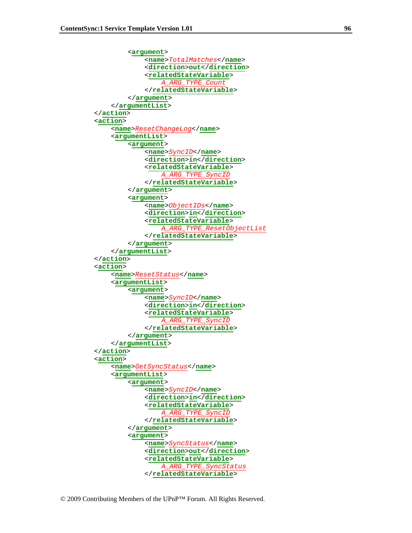```
 <argument> 
              <name>TotalMatches</name> 
              <direction>out</direction> 
              <relatedStateVariable> 
                   A_ARG_TYPE_Count
              </relatedStateVariable> 
         </argument> 
     </argumentList> 
 </action> 
 <action> 
     <name>ResetChangeLog</name> 
     <argumentList> 
          <argument> 
              <name>SyncID</name> 
              <direction>in</direction> 
              <relatedStateVariable> 
                   A_ARG_TYPE_SyncID
              </relatedStateVariable> 
         </argument> 
          <argument> 
              <name>ObjectIDs</name> 
             <direction>in</direction> 
              <relatedStateVariable> 
                   A_ARG_TYPE_ResetObjectList
              </relatedStateVariable> 
         </argument> 
     </argumentList> 
 </action> 
 <action> 
     <name>ResetStatus</name> 
     <argumentList> 
          <argument> 
              <name>SyncID</name> 
              <direction>in</direction> 
              <relatedStateVariable> 
                   A_ARG_TYPE_SyncID
              </relatedStateVariable> 
         </argument> 
     </argumentList> 
 </action> 
 <action> 
     <name>GetSyncStatus</name> 
     <argumentList> 
          <argument> 
              <name>SyncID</name> 
              <direction>in</direction> 
              <relatedStateVariable> 
                   A_ARG_TYPE_SyncID
              </relatedStateVariable> 
         </argument> 
          <argument> 
              <name>SyncStatus</name> 
              <direction>out</direction> 
              <relatedStateVariable> 
                    A_ARG_TYPE_SyncStatus
              </relatedStateVariable>
```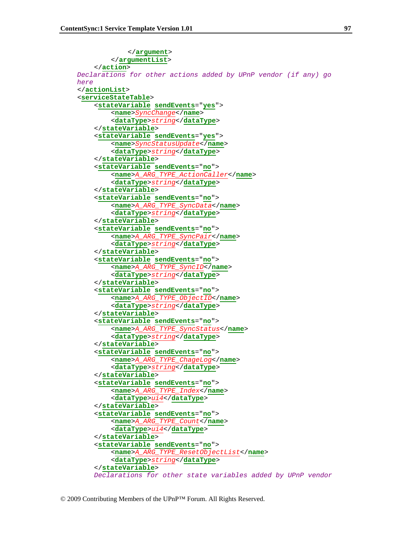```
</argument> 
          </argumentList> 
     </action> 
Declarations for other actions added by UPnP vendor (if any) go 
here 
 </actionList> 
 <serviceStateTable> 
      <stateVariable sendEvents="yes"> 
          <name>SyncChange</name> 
          <dataType>string</dataType> 
     </stateVariable> 
      <stateVariable sendEvents="yes"> 
          <name>SyncStatusUpdate</name> 
          <dataType>string</dataType> 
     </stateVariable> 
      <stateVariable sendEvents="no"> 
          <name>A_ARG_TYPE_ActionCaller</name> 
          <dataType>string</dataType> 
     </stateVariable> 
      <stateVariable sendEvents="no"> 
          <name>A_ARG_TYPE_SyncData</name> 
          <dataType>string</dataType> 
     </stateVariable> 
     <stateVariable sendEvents="no"> 
          <name>A_ARG_TYPE_SyncPair</name> 
          <dataType>string</dataType> 
     </stateVariable> 
      <stateVariable sendEvents="no"> 
          <name>A_ARG_TYPE_SyncID</name> 
          <dataType>string</dataType> 
     </stateVariable> 
     <stateVariable sendEvents="no"> 
          <name>A_ARG_TYPE_ObjectID</name> 
          <dataType>string</dataType> 
     </stateVariable> 
     <stateVariable sendEvents="no"> 
          <name>A_ARG_TYPE_SyncStatus</name> 
          <dataType>string</dataType> 
     </stateVariable> 
     <stateVariable sendEvents="no"> 
          <name>A_ARG_TYPE_ChageLog</name> 
          <dataType>string</dataType> 
     </stateVariable> 
      <stateVariable sendEvents="no"> 
          <name>A_ARG_TYPE_Index</name> 
          <dataType>ui4</dataType> 
     </stateVariable> 
      <stateVariable sendEvents="no"> 
          <name>A_ARG_TYPE_Count</name> 
          <dataType>ui4</dataType> 
     </stateVariable> 
     <stateVariable sendEvents="no"> 
          <name>A_ARG_TYPE_ResetObjectList</name> 
          <dataType>string</dataType> 
     </stateVariable> 
     Declarations for other state variables added by UPnP vendor
```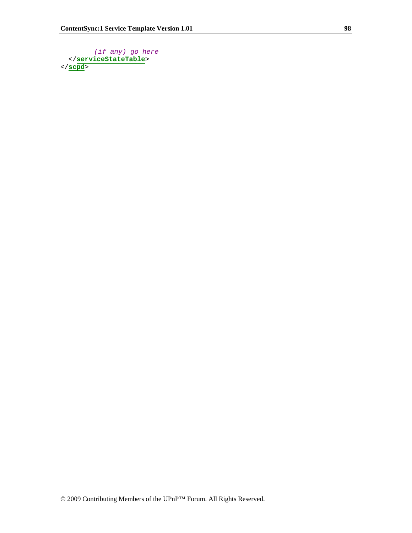```
(if any) go here 
 </serviceStateTable> 
</scpd>
```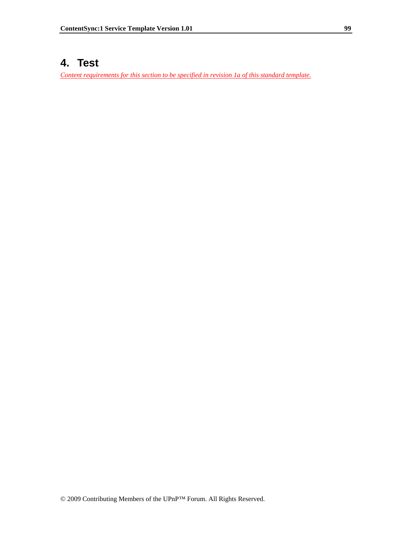# **4. Test**

*Content requirements for this section to be specified in revision 1a of this standard template.*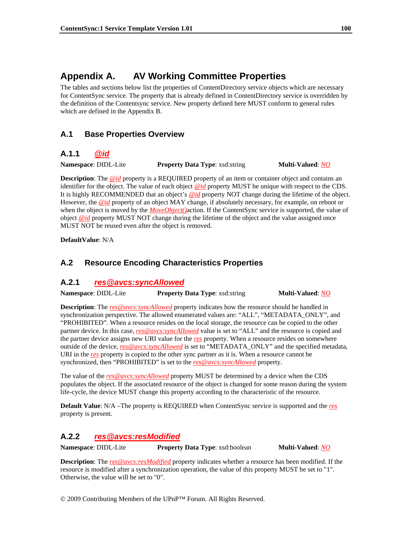# **Appendix A. AV Working Committee Properties**

The tables and sections below list the properties of ContentDirectory service objects which are necessary for ContentSync service. The property that is already defined in ContentDirectory service is overridden by the definition of the Contentsync service. New property defined here MUST conform to general rules which are defined in the Appendix B.

# **A.1 Base Properties Overview**

# **A.1.1** *@id*

**Namespace**: DIDL-Lite **Property Data Type**: xsd:string **Multi-Valued**: *NO*

**Description**: The *@id* property is a REQUIRED property of an item or container object and contains an identifier for the object. The value of each object *@id* property MUST be unique with respect to the CDS. It is highly RECOMMENDED that an object's *@id* property NOT change during the lifetime of the object. However, the *@id* property of an object MAY change, if absolutely necessary, for example, on reboot or when the object is moved by the *MoveObject()*action. If the ContentSync service is supported, the value of object *@id* property MUST NOT change during the lifetime of the object and the value assigned once MUST NOT be reused even after the object is removed.

**DefaultValue**: N/A

# **A.2 Resource Encoding Characteristics Properties**

# **A.2.1** *res@avcs:syncAllowed*

**Namespace**: DIDL-Lite **Property Data Type**: xsd:string **Multi-Valued**: *NO*

**Description**: The *res@avcs:syncAllowed* property indicates how the resource should be handled in synchronization perspective. The allowed enumerated values are: "ALL", "METADATA\_ONLY", and "PROHIBITED". When a resource resides on the local storage, the resource can be copied to the other partner device. In this case, *res@avcs:syncAllowed* value is set to "ALL" and the resource is copied and the partner device assigns new URI value for the *res* property. When a resource resides on somewhere outside of the device, *res@avcs:syncAllowed* is set to "METADATA\_ONLY" and the specified metadata, URI in the *res* property is copied to the other sync partner as it is. When a resource cannot be synchronized, then "PROHIBITED" is set to the *res@avcs:syncAllowed* property.

The value of the *res@avcs:syncAllowed* property MUST be determined by a device when the CDS populates the object. If the associated resource of the object is changed for some reason during the system life-cycle, the device MUST change this property according to the characteristic of the resource.

**Default Value**: N/A –The property is REQUIRED when ContentSync service is supported and the *res* property is present.

# **A.2.2** *res@avcs:resModified*

**Namespace**: DIDL-Lite **Property Data Type**: xsd:boolean **Multi-Valued**: *NO*

**Description**: The *res@avcs:resModified* property indicates whether a resource has been modified. If the resource is modified after a synchronization operation, the value of this property MUST be set to "1". Otherwise, the value will be set to "0".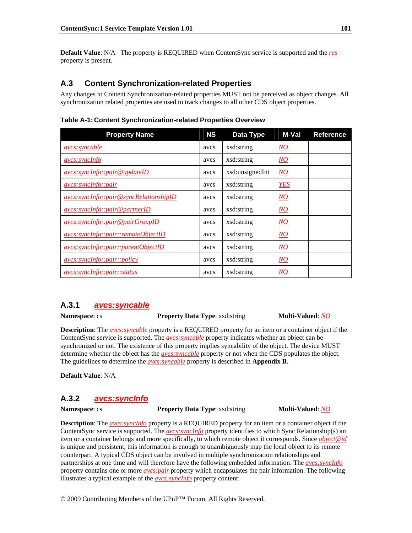**Default Value**: N/A –The property is REQUIRED when ContentSync service is supported and the *res* property is present.

## **A.3 Content Synchronization-related Properties**

Any changes to Content Synchronization-related properties MUST not be perceived as object changes. All synchronization related properties are used to track changes to all other CDS object properties.

| <b>Property Name</b>                      | <b>NS</b> | Data Type       | M-Val            | <b>Reference</b> |
|-------------------------------------------|-----------|-----------------|------------------|------------------|
| <i>avcs:syncable</i>                      | avcs      | xsd:string      | $\underline{NO}$ |                  |
| avcs:syncInfo                             | avcs      | xsd:string      | $\underline{NO}$ |                  |
| avcs: synchfo::pair@updateID              | avcs      | xsd:unsignedInt | $\overline{NO}$  |                  |
| avcs:syncInfo::pair                       | avcs      | xsd:string      | <b>YES</b>       |                  |
| $avcs: synchfoc: pair@syncRelationshipID$ | avcs      | xsd:string      | $\overline{NO}$  |                  |
| avcs:syncInfo::pair@partnerID             | avcs      | xsd:string      | $\underline{NO}$ |                  |
| avcs: synchfo::pair@pairGroupID           | avcs      | xsd:string      | $\overline{NO}$  |                  |
| avcs:syncInfo::pair::remoteObjectID       | avcs      | xsd:string      | $\overline{NO}$  |                  |
| avcs:syncInfo::pair::parentObjectID       | avcs      | xsd:string      | $\overline{NO}$  |                  |
| <i>avcs:syncInfo::pair::policy</i>        | avcs      | xsd:string      | $\overline{NO}$  |                  |
| avcs: synchfo::pair::status               | avcs      | xsd:string      | $\overline{NO}$  |                  |

**Table A-1: Content Synchronization-related Properties Overview** 

## **A.3.1** *avcs:syncable*

**Namespace**: cs **Property Data Type**: xsd:string **Multi-Valued**: *NO*

**Description**: The *avcs:syncable* property is a REQUIRED property for an item or a container object if the ContentSync service is supported. The *avcs:syncable* property indicates whether an object can be synchronized or not. The existence of this property implies syncability of the object. The device MUST determine whether the object has the *avcs:syncable* property or not when the CDS populates the object. The guidelines to determine the *avcs:syncable* property is described in **Appendix B**.

**Default Value**: N/A

## **A.3.2** *avcs:syncInfo*

**Namespace**: cs **Property Data Type**: xsd:string **Multi-Valued**: *NO*

**Description**: The *avcs:syncInfo* property is a REQUIRED property for an item or a container object if the ContentSync service is supported. The *avcs:syncInfo* property identifies to which Sync Relationship(s) an item or a container belongs and more specifically, to which remote object it corresponds. Since *object@id* is unique and persistent, this information is enough to unambiguously map the local object to its remote counterpart. A typical CDS object can be involved in multiple synchronization relationships and partnerships at one time and will therefore have the following embedded information. The *avcs:syncInfo* property contains one or more *avcs:pair* property which encapsulates the pair information. The following illustrates a typical example of the *avcs:syncInfo* property content: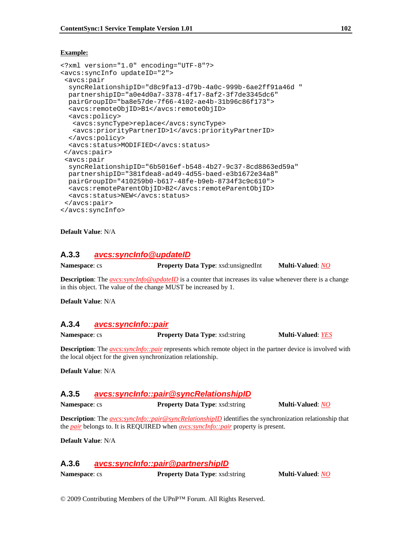#### **Example:**

```
<?xml version="1.0" encoding="UTF-8"?> 
<avcs:syncInfo updateID="2"> 
  <avcs:pair 
  syncRelationshipID="d8c9fa13-d79b-4a0c-999b-6ae2ff91a46d " 
  partnershipID="a0e4d0a7-3378-4f17-8af2-3f7de3345dc6" 
  pairGroupID="ba8e57de-7f66-4102-ae4b-31b96c86f173"> 
   <avcs:remoteObjID>B1</avcs:remoteObjID> 
  <avcs:policy> 
    <avcs:syncType>replace</avcs:syncType> 
    <avcs:priorityPartnerID>1</avcs:priorityPartnerID> 
  </avcs:policy> 
  <avcs:status>MODIFIED</avcs:status> 
</avcs:pair> 
  <avcs:pair 
  syncRelationshipID="6b5016ef-b548-4b27-9c37-8cd8863ed59a" 
  partnershipID="381fdea8-ad49-4d55-baed-e3b1672e34a8" 
  pairGroupID="410259b0-b617-48fe-b9eb-8734f3c9c610"> 
  <avcs:remoteParentObjID>B2</avcs:remoteParentObjID> 
  <avcs:status>NEW</avcs:status> 
 </avcs:pair> 
</avcs:syncInfo>
```
#### **Default Value**: N/A

### **A.3.3** *avcs:syncInfo@updateID*

**Namespace**: cs **Property Data Type**: xsd:unsignedInt **Multi-Valued**: *NO*

**Description**: The *avcs:syncInfo@updateID* is a counter that increases its value whenever there is a change in this object. The value of the change MUST be increased by 1.

**Default Value**: N/A

### **A.3.4** *avcs:syncInfo::pair*

**Namespace: cs <b>Property Data Type**: xsd:string **Multi-Valued**: <u>YES</u>

**Description**: The *avcs:syncInfo::pair* represents which remote object in the partner device is involved with the local object for the given synchronization relationship.

**Default Value**: N/A

## **A.3.5** *avcs:syncInfo::pair@syncRelationshipID*

**Namespace**: cs **Property Data Type**: xsd:string **Multi-Valued**: *NO* 

**Description**: The *avcs:syncInfo::pair@syncRelationshipID* identifies the synchronization relationship that the *pair* belongs to. It is REQUIRED when *avcs:syncInfo::pair* property is present.

**Default Value**: N/A

# **A.3.6** *avcs:syncInfo::pair@partnershipID*

**Namespace**: cs **Property Data Type**: xsd:string **Multi-Valued**: *NO*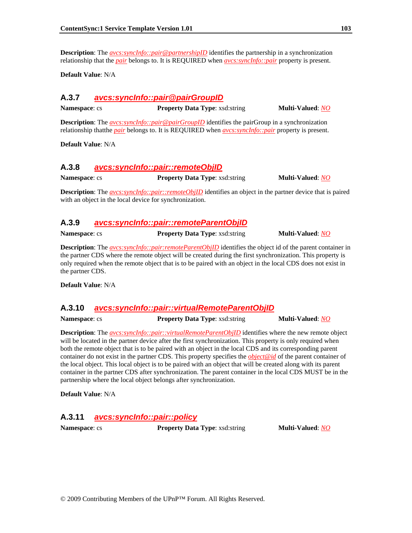**Description**: The *avcs:syncInfo::pair@partnershipID* identifies the partnership in a synchronization relationship that the *pair* belongs to. It is REQUIRED when *avcs:syncInfo::pair* property is present.

**Default Value**: N/A

## **A.3.7** *avcs:syncInfo::pair@pairGroupID*

**Namespace**: cs **Property Data Type**: xsd:string **Multi-Valued**: *NO*

**Description**: The *avcs:syncInfo::pair@pairGroupID* identifies the pairGroup in a synchronization relationship thatthe *pair* belongs to. It is REQUIRED when *avcs:syncInfo::pair* property is present.

**Default Value**: N/A

## **A.3.8** *avcs:syncInfo::pair::remoteObjID*

**Namespace**: cs **Property Data Type**: xsd:string **Multi-Valued**: *NO*

**Description**: The *avcs:syncInfo::pair::remoteObjID* identifies an object in the partner device that is paired with an object in the local device for synchronization.

### **A.3.9** *avcs:syncInfo::pair::remoteParentObjID*

**Namespace**: cs **Property Data Type**: xsd:string **Multi-Valued**: *NO*

**Description**: The *avcs:syncInfo::pair:remoteParentObjID* identifies the object id of the parent container in the partner CDS where the remote object will be created during the first synchronization. This property is only required when the remote object that is to be paired with an object in the local CDS does not exist in the partner CDS.

**Default Value**: N/A

# **A.3.10** *avcs:syncInfo::pair::virtualRemoteParentObjID*

**Namespace**: cs **Property Data Type**: xsd:string **Multi-Valued**: *NO*

**Description**: The *avcs:syncInfo::pair::virtualRemoteParentObjID* identifies where the new remote object will be located in the partner device after the first synchronization. This property is only required when both the remote object that is to be paired with an object in the local CDS and its corresponding parent container do not exist in the partner CDS. This property specifies the *object@id* of the parent container of the local object. This local object is to be paired with an object that will be created along with its parent container in the partner CDS after synchronization. The parent container in the local CDS MUST be in the partnership where the local object belongs after synchronization.

**Default Value**: N/A

# **A.3.11** *avcs:syncInfo::pair::policy*

**Namespace**: cs **Property Data Type**: xsd:string **Multi-Valued**: *NO*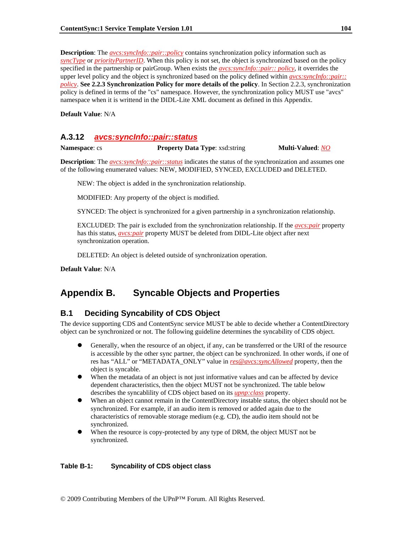**Description**: The *avcs:syncInfo::pair::policy* contains synchronization policy information such as *syncType* or *priorityPartnerID*. When this policy is not set, the object is synchronized based on the policy specified in the partnership or pairGroup. When exists the *avcs:syncInfo::pair:: policy*, it overrides the upper level policy and the object is synchronized based on the policy defined within *avcs:syncInfo::pair:: policy*. **See 2.2.3 Synchronization Policy for more details of the policy**. In Section 2.2.3, synchronization policy is defined in terms of the "cs" namespace. However, the synchronization policy MUST use "avcs" namespace when it is writtend in the DIDL-Lite XML document as defined in this Appendix.

**Default Value**: N/A

## **A.3.12** *avcs:syncInfo::pair::status*

**Namespace: cs <b>Property Data Type:** xsd:string **Multi-Valued: NO** 

**Description**: The *avcs:syncInfo::pair::status* indicates the status of the synchronization and assumes one of the following enumerated values: NEW, MODIFIED, SYNCED, EXCLUDED and DELETED.

NEW: The object is added in the synchronization relationship.

MODIFIED: Any property of the object is modified.

SYNCED: The object is synchronized for a given partnership in a synchronization relationship.

EXCLUDED: The pair is excluded from the synchronization relationship. If the *avcs:pair* property has this status, *avcs:pair* property MUST be deleted from DIDL-Lite object after next synchronization operation.

DELETED: An object is deleted outside of synchronization operation.

**Default Value**: N/A

# **Appendix B. Syncable Objects and Properties**

## **B.1 Deciding Syncability of CDS Object**

The device supporting CDS and ContentSync service MUST be able to decide whether a ContentDirectory object can be synchronized or not. The following guideline determines the syncability of CDS object.

- Generally, when the resource of an object, if any, can be transferred or the URI of the resource is accessible by the other sync partner, the object can be synchronized. In other words, if one of res has "ALL" or "METADATA\_ONLY" value in *res@avcs:syncAllowed* property, then the object is syncable.
- When the metadata of an object is not just informative values and can be affected by device dependent characteristics, then the object MUST not be synchronized. The table below describes the syncablility of CDS object based on its *upnp:class* property.
- When an object cannot remain in the ContentDirectory instable status, the object should not be synchronized. For example, if an audio item is removed or added again due to the characteristics of removable storage medium (e.g. CD), the audio item should not be synchronized.
- When the resource is copy-protected by any type of DRM, the object MUST not be synchronized.

#### **Table B-1: Syncability of CDS object class**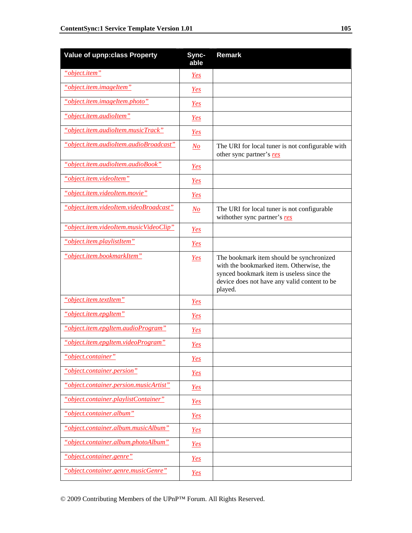| <b>Value of upnp:class Property</b>    | Sync-<br>able  | <b>Remark</b>                                                                                                                                                                                |
|----------------------------------------|----------------|----------------------------------------------------------------------------------------------------------------------------------------------------------------------------------------------|
| "object.item"                          | Yes            |                                                                                                                                                                                              |
| "object.item.imageItem"                | <u>Yes</u>     |                                                                                                                                                                                              |
| "object.item.imageItem.photo"          | Yes            |                                                                                                                                                                                              |
| "object.item.audioItem"                | Yes            |                                                                                                                                                                                              |
| "object.item.audioItem.musicTrack"     | Yes            |                                                                                                                                                                                              |
| "object.item.audioItem.audioBroadcast" | N o            | The URI for local tuner is not configurable with<br>other sync partner's res                                                                                                                 |
| "object.item.audioItem.audioBook"      | Yes            |                                                                                                                                                                                              |
| "object.item.videoItem"                | Yes            |                                                                                                                                                                                              |
| "object.item.videoItem.movie"          | <u>Yes</u>     |                                                                                                                                                                                              |
| "object.item.videoItem.videoBroadcast" | N <sub>O</sub> | The URI for local tuner is not configurable<br>withother sync partner's res                                                                                                                  |
| "object.item.videoItem.musicVideoClip" | <u>Yes</u>     |                                                                                                                                                                                              |
| "object.item.playlistItem"             | <u>Yes</u>     |                                                                                                                                                                                              |
| "object.item.bookmarkItem"             | Yes            | The bookmark item should be synchronized<br>with the bookmarked item. Otherwise, the<br>synced bookmark item is useless since the<br>device does not have any valid content to be<br>played. |
| "object.item.textItem"                 | <u>Yes</u>     |                                                                                                                                                                                              |
| "object.item.epgItem"                  | Yes            |                                                                                                                                                                                              |
| "object.item.epgItem.audioProgram"     | Yes            |                                                                                                                                                                                              |
| "object.item.epgItem.videoProgram"     | <u>Yes</u>     |                                                                                                                                                                                              |
| "object.container"                     | <u>Yes</u>     |                                                                                                                                                                                              |
| "object.container.persion"             | <u>Yes</u>     |                                                                                                                                                                                              |
| "object.container.persion.musicArtist" | <u>Yes</u>     |                                                                                                                                                                                              |
| "object.container.playlistContainer"   | Yes            |                                                                                                                                                                                              |
| "object.container.album"               | <u>Yes</u>     |                                                                                                                                                                                              |
| "object.container.album.musicAlbum"    | <u>Yes</u>     |                                                                                                                                                                                              |
| "object.container.album.photoAlbum"    | <u>Yes</u>     |                                                                                                                                                                                              |
| "object.container.genre"               | <u>Yes</u>     |                                                                                                                                                                                              |
| "object.container.genre.musicGenre"    | <u>Yes</u>     |                                                                                                                                                                                              |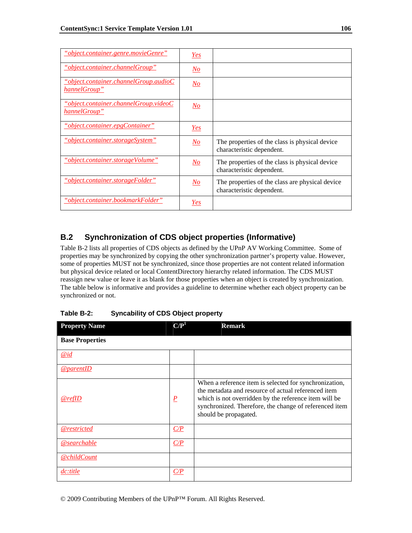| "object.container.genre.movieGenre"                                | <u>Yes</u>                |                                                                              |
|--------------------------------------------------------------------|---------------------------|------------------------------------------------------------------------------|
| <u>"object.container.channelGroup"</u>                             | No                        |                                                                              |
| $"object. container. channel Group. audioC$<br><u>hannelGroup"</u> | No                        |                                                                              |
| <u> "object.container.channelGroup.videoC</u><br>hannelGroup"      | <u>No</u>                 |                                                                              |
| "object.container.epgContainer"                                    | Yes                       |                                                                              |
| "object.container.storageSystem"                                   | No                        | The properties of the class is physical device<br>characteristic dependent.  |
| "object.container.storageVolume"                                   | $\underline{\textit{No}}$ | The properties of the class is physical device<br>characteristic dependent.  |
| "object.container.storageFolder"                                   | No                        | The properties of the class are physical device<br>characteristic dependent. |
| "object.container.bookmarkFolder"                                  | <b>Yes</b>                |                                                                              |

# **B.2 Synchronization of CDS object properties (Informative)**

Table B-2 lists all properties of CDS objects as defined by the UPnP AV Working Committee. Some of properties may be synchronized by copying the other synchronization partner's property value. However, some of properties MUST not be synchronized, since those properties are not content related information but physical device related or local ContentDirectory hierarchy related information. The CDS MUST reassign new value or leave it as blank for those properties when an object is created by synchronization. The table below is informative and provides a guideline to determine whether each object property can be synchronized or not.

| <b>Property Name</b>   | $\mathbf{C}/\mathbf{P}^1$ | <b>Remark</b>                                                                                                                                                                                                                                             |
|------------------------|---------------------------|-----------------------------------------------------------------------------------------------------------------------------------------------------------------------------------------------------------------------------------------------------------|
| <b>Base Properties</b> |                           |                                                                                                                                                                                                                                                           |
| $\mathcal{Q}id$        |                           |                                                                                                                                                                                                                                                           |
| @parentID              |                           |                                                                                                                                                                                                                                                           |
| <u>@refID</u>          | $\underline{P}$           | When a reference item is selected for synchronization,<br>the metadata and resource of actual referenced item<br>which is not overridden by the reference item will be<br>synchronized. Therefore, the change of referenced item<br>should be propagated. |
| @restricted            | C/P                       |                                                                                                                                                                                                                                                           |
| @searchable            | C/P                       |                                                                                                                                                                                                                                                           |
| <u>@childCount</u>     |                           |                                                                                                                                                                                                                                                           |
| dc:title               | C/P                       |                                                                                                                                                                                                                                                           |

**Table B-2: Syncability of CDS Object property**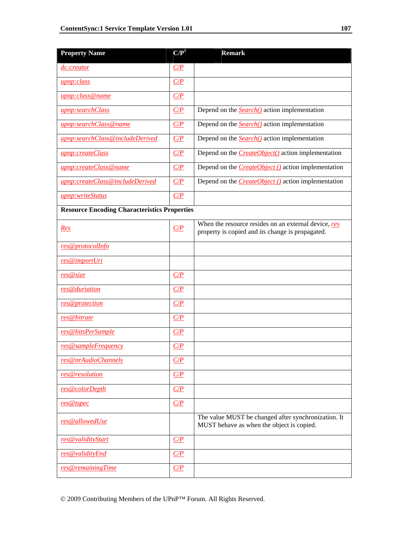| <b>Property Name</b>                                | C/P <sup>1</sup> | <b>Remark</b>                                                                                            |
|-----------------------------------------------------|------------------|----------------------------------------------------------------------------------------------------------|
| <i>dc:creator</i>                                   | C/P              |                                                                                                          |
| upnp:class                                          | C/P              |                                                                                                          |
| upnp:class@name                                     | C/P              |                                                                                                          |
| upnp:searchClass                                    | C/P              | Depend on the <b>Search</b> () action implementation                                                     |
| upnp:searchClass@name                               | C/P              | Depend on the $Search()$ action implementation                                                           |
| upnp:searchClass@includeDerived                     | C/P              | Depend on the <b>Search</b> () action implementation                                                     |
| upnp:createClass                                    | C/P              | Depend on the <b>CreateObject</b> () action implementation                                               |
| upnp:createClass@name                               | C/P              | Depend on the $CreateObject()$ action implementation                                                     |
| upnp:createClass@includeDerived                     | C/P              | Depend on the <i>CreateObject ()</i> action implementation                                               |
| upnp:writeStatus                                    | C/P              |                                                                                                          |
| <b>Resource Encoding Characteristics Properties</b> |                  |                                                                                                          |
| Res                                                 | C/P              | When the resource resides on an external device, res<br>property is copied and its change is propagated. |
| res@protocolInfo                                    |                  |                                                                                                          |
| res@importUri                                       |                  |                                                                                                          |
| res@size                                            | C/P              |                                                                                                          |
| res@duriation                                       | C/P              |                                                                                                          |
| res@protection                                      | C/P              |                                                                                                          |
| res@bitrate                                         | C/P              |                                                                                                          |
| res@bitsPerSample                                   | C/P              |                                                                                                          |
| res@sampleFrequency                                 | C/P              |                                                                                                          |
| res@nrAudioChannels                                 | C/P              |                                                                                                          |
| res@resolution                                      | C/P              |                                                                                                          |
| res@colorDepth                                      | C/P              |                                                                                                          |
| res@tspec                                           | C/P              |                                                                                                          |
| res@allowedUse                                      |                  | The value MUST be changed after synchronization. It<br>MUST behave as when the object is copied.         |
| res@validityStart                                   | C/P              |                                                                                                          |
| res@validityEnd                                     | C/P              |                                                                                                          |
| res@remainingTime                                   | C/P              |                                                                                                          |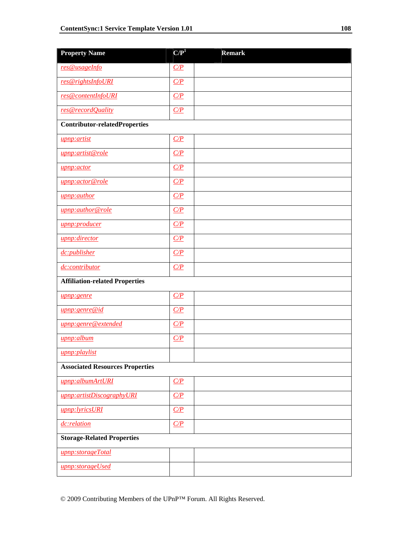| <b>Property Name</b>                   | $\mathbf{C}/\mathbf{P}^1$ | <b>Remark</b> |
|----------------------------------------|---------------------------|---------------|
| res@usageInfo                          | C/P                       |               |
| res@rightsInfoURI                      | C/P                       |               |
| res@contentInfoURI                     | C/P                       |               |
| res@recordQuality                      | C/P                       |               |
| <b>Contributor-relatedProperties</b>   |                           |               |
| upnp:artist                            | C/P                       |               |
| upnp: artist@role                      | C/P                       |               |
| upnp:actor                             | C/P                       |               |
| upnp:actor@role                        | C/P                       |               |
| upnp:author                            | C/P                       |               |
| upnp:author@role                       | C/P                       |               |
| upnp:producer                          | C/P                       |               |
| upnp:director                          | C/P                       |               |
| dc:publisher                           | C/P                       |               |
| dc:contributor                         | C/P                       |               |
| <b>Affiliation-related Properties</b>  |                           |               |
| upnp: genre                            | C/P                       |               |
| upnp:genre@id                          | C/P                       |               |
| upnp: genre@extended                   | C/P                       |               |
| upnp:album                             | C/P                       |               |
| <u>upnp:playlist</u>                   |                           |               |
| <b>Associated Resources Properties</b> |                           |               |
| upnp:albumArtURI                       | C/P                       |               |
| upnp: artistDiscographyURI             | C/P                       |               |
| upnp:lyricsURI                         | C/P                       |               |
| dc:relation                            | C/P                       |               |
| <b>Storage-Related Properties</b>      |                           |               |
| upnp:storageTotal                      |                           |               |
| upnp:storageUsed                       |                           |               |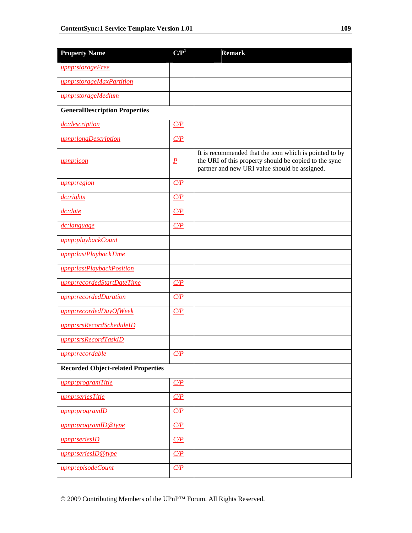| <b>Property Name</b>                      | $\mathbf{C}/\mathbf{P}^1$ | <b>Remark</b>                                                                                                                                                    |  |  |  |  |
|-------------------------------------------|---------------------------|------------------------------------------------------------------------------------------------------------------------------------------------------------------|--|--|--|--|
| upnp:storageFree                          |                           |                                                                                                                                                                  |  |  |  |  |
| upnp:storageMaxPartition                  |                           |                                                                                                                                                                  |  |  |  |  |
| upnp:storageMedium                        |                           |                                                                                                                                                                  |  |  |  |  |
| <b>GeneralDescription Properties</b>      |                           |                                                                                                                                                                  |  |  |  |  |
| dc:description                            | C/P                       |                                                                                                                                                                  |  |  |  |  |
| upnp:longDescription                      | C/P                       |                                                                                                                                                                  |  |  |  |  |
| <u>upnp:icon</u>                          | $\underline{P}$           | It is recommended that the icon which is pointed to by<br>the URI of this property should be copied to the sync<br>partner and new URI value should be assigned. |  |  |  |  |
| upnp:region                               | C/P                       |                                                                                                                                                                  |  |  |  |  |
| dc: rights                                | C/P                       |                                                                                                                                                                  |  |  |  |  |
| dc:date                                   | C/P                       |                                                                                                                                                                  |  |  |  |  |
| dc:language                               | C/P                       |                                                                                                                                                                  |  |  |  |  |
| upnp:playbackCount                        |                           |                                                                                                                                                                  |  |  |  |  |
| upnp:lastPlaybackTime                     |                           |                                                                                                                                                                  |  |  |  |  |
| upnp:lastPlaybackPosition                 |                           |                                                                                                                                                                  |  |  |  |  |
| upnp:recordedStartDateTime                | C/P                       |                                                                                                                                                                  |  |  |  |  |
| upnp:recordedDuration                     | C/P                       |                                                                                                                                                                  |  |  |  |  |
| upnp:recordedDayOfWeek                    | C/P                       |                                                                                                                                                                  |  |  |  |  |
| upnp:srsRecordScheduleID                  |                           |                                                                                                                                                                  |  |  |  |  |
| upnp:srsRecordTaskID                      |                           |                                                                                                                                                                  |  |  |  |  |
| upnp:recordable                           | C/P                       |                                                                                                                                                                  |  |  |  |  |
| <b>Recorded Object-related Properties</b> |                           |                                                                                                                                                                  |  |  |  |  |
| upnp:programTitle                         | C/P                       |                                                                                                                                                                  |  |  |  |  |
| upnp:seriesTitle                          | C/P                       |                                                                                                                                                                  |  |  |  |  |
| upnp:programID                            | C/P                       |                                                                                                                                                                  |  |  |  |  |
| upnp:programID@type                       | C/P                       |                                                                                                                                                                  |  |  |  |  |
| upnp:seriesID                             | C/P                       |                                                                                                                                                                  |  |  |  |  |
| upnp:seriesID@type                        | C/P                       |                                                                                                                                                                  |  |  |  |  |
| upnp:episodeCount                         | C/P                       |                                                                                                                                                                  |  |  |  |  |

© 2009 Contributing Members of the UPnP™ Forum. All Rights Reserved.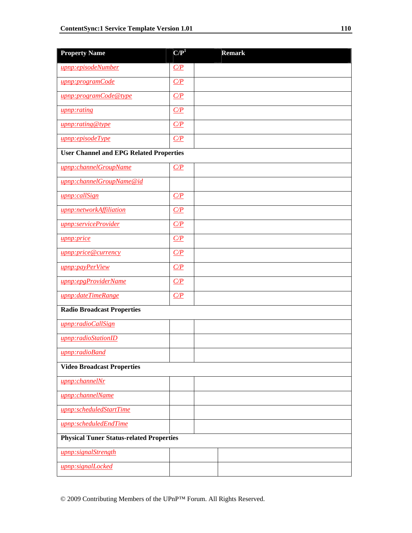| <b>Property Name</b>                            | $\mathbf{C}/\mathbf{P}^1$ |  | <b>Remark</b> |  |  |  |
|-------------------------------------------------|---------------------------|--|---------------|--|--|--|
| upnp:episodeNumber                              | C/P                       |  |               |  |  |  |
| upnp:programCode                                | C/P                       |  |               |  |  |  |
| upnp:programCode@type                           | C/P                       |  |               |  |  |  |
| upnp:rating                                     | C/P                       |  |               |  |  |  |
| upnp:rating@type                                | C/P                       |  |               |  |  |  |
| upnp:episodeType                                | C/P                       |  |               |  |  |  |
| <b>User Channel and EPG Related Properties</b>  |                           |  |               |  |  |  |
| upnp:channelGroupName                           | C/P                       |  |               |  |  |  |
| upnp:channelGroupName@id                        |                           |  |               |  |  |  |
| upnp:callSign                                   | C/P                       |  |               |  |  |  |
| upnp:networkAffiliation                         | C/P                       |  |               |  |  |  |
| upnp:serviceProvider                            | C/P                       |  |               |  |  |  |
| upnp:price                                      | C/P                       |  |               |  |  |  |
| upnp:price@currency                             | C/P                       |  |               |  |  |  |
| upnp:payPerView                                 | C/P                       |  |               |  |  |  |
| upnp:epgProviderName                            | C/P                       |  |               |  |  |  |
| upnp:dateTimeRange                              | C/P                       |  |               |  |  |  |
| <b>Radio Broadcast Properties</b>               |                           |  |               |  |  |  |
| upnp:radioCallSign                              |                           |  |               |  |  |  |
| upnp:radioStationID                             |                           |  |               |  |  |  |
| upnp:radioBand                                  |                           |  |               |  |  |  |
| <b>Video Broadcast Properties</b>               |                           |  |               |  |  |  |
| upnp:channelNr                                  |                           |  |               |  |  |  |
| upnp:channelName                                |                           |  |               |  |  |  |
| upnp:scheduledStartTime                         |                           |  |               |  |  |  |
| upnp:scheduledEndTime                           |                           |  |               |  |  |  |
| <b>Physical Tuner Status-related Properties</b> |                           |  |               |  |  |  |
| upnp:signalStrength                             |                           |  |               |  |  |  |
| upnp:signalLocked                               |                           |  |               |  |  |  |

© 2009 Contributing Members of the UPnP™ Forum. All Rights Reserved.